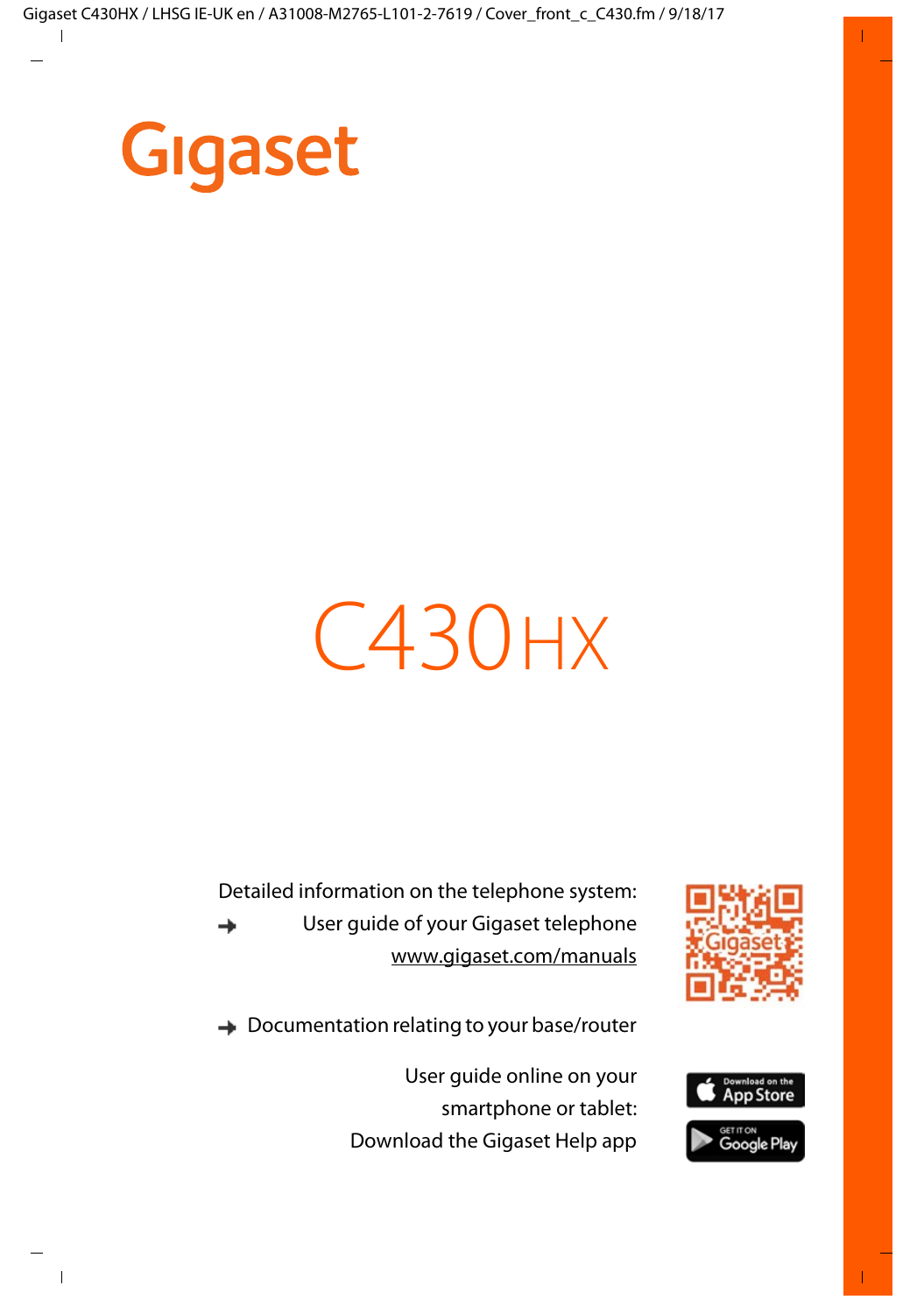

# C430 HX

Detailed information on the telephone system: User guide of your Gigaset telephone → [www.gigaset.com/manuals](http://www.gigaset.com/manuals)



**→** Documentation relating to your base/router

User guide online on your smartphone or tablet: Download the Gigaset Help app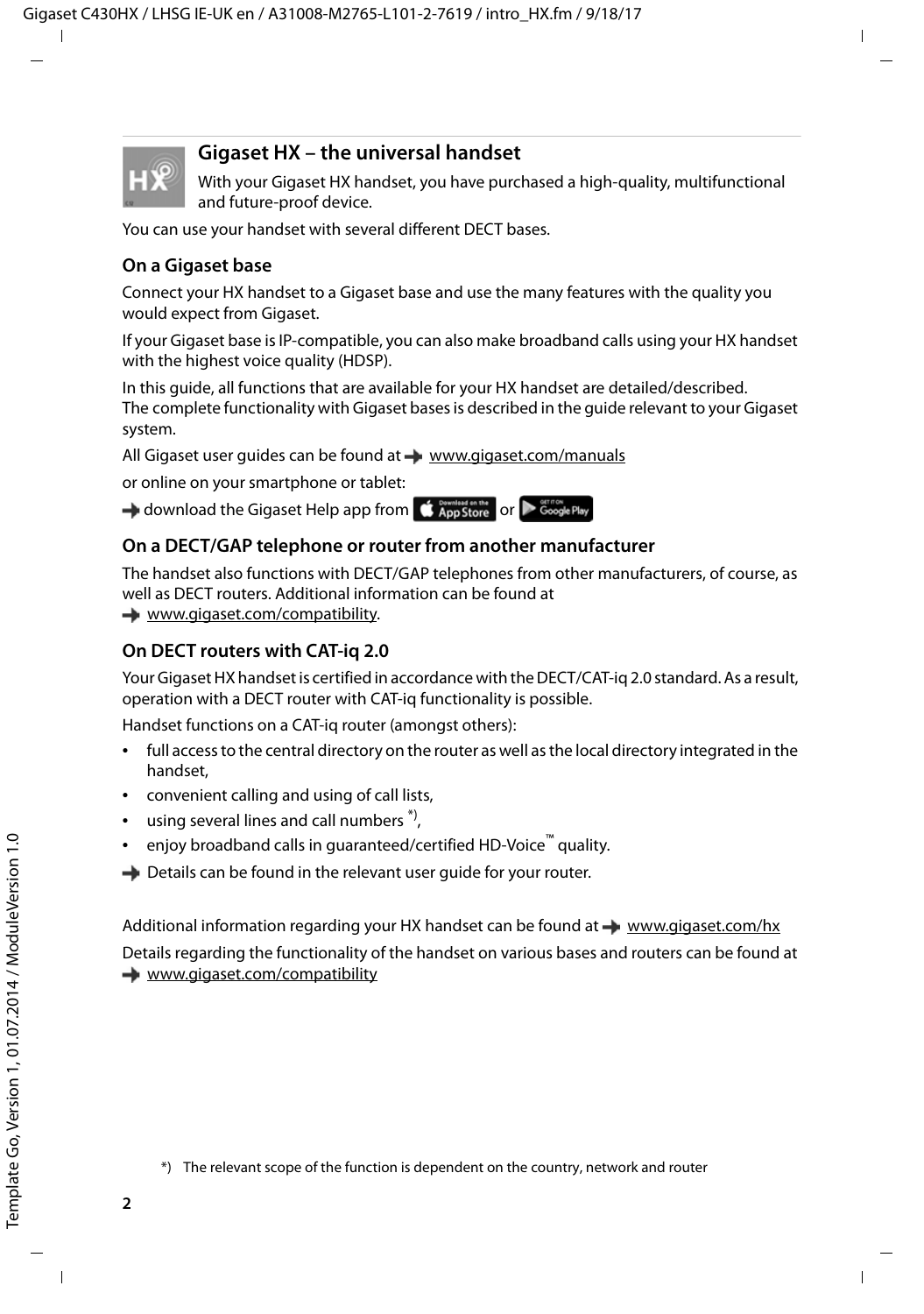

### **Gigaset HX – the universal handset**

With your Gigaset HX handset, you have purchased a high-quality, multifunctional and future-proof device.

You can use your handset with several different DECT bases.

### **On a Gigaset base**

Connect your HX handset to a Gigaset base and use the many features with the quality you would expect from Gigaset.

If your Gigaset base is IP-compatible, you can also make broadband calls using your HX handset with the highest voice quality (HDSP).

In this guide, all functions that are available for your HX handset are detailed/described. The complete functionality with Gigaset bases is described in the guide relevant to your Gigaset system.

All Gigaset user guides can be found at [www.gigaset.com/manuals](http://www.gigaset.com/manuals)

or online on your smartphone or tablet:

download the Gigaset Help app from **the App Store or Decogle Play** 

### **On a DECT/GAP telephone or router from another manufacturer**

The handset also functions with DECT/GAP telephones from other manufacturers, of course, as well as DECT routers. Additional information can be found at

[www.gigaset.com/compatibility.](http://www.gigaset.com/compatibility)

### **On DECT routers with CAT-iq 2.0**

Your Gigaset HX handset is certified in accordance with the DECT/CAT-iq 2.0 standard. As a result, operation with a DECT router with CAT-iq functionality is possible.

Handset functions on a CAT-iq router (amongst others):

- full access to the central directory on the router as well as the local directory integrated in the handset,
- convenient calling and using of call lists,
- using several lines and call numbers  $\alpha$ ,
- enjoy broadband calls in guaranteed/certified HD-Voice™ quality.
- $\rightarrow$  Details can be found in the relevant user quide for your router.

Additional information regarding your HX handset can be found at [www.gigaset.com/hx](http://www.gigaset.com/hx) Details regarding the functionality of the handset on various bases and routers can be found at [www.gigaset.com/compatibility](http://www.gigaset.com/compatibility)

<sup>\*)</sup> The relevant scope of the function is dependent on the country, network and router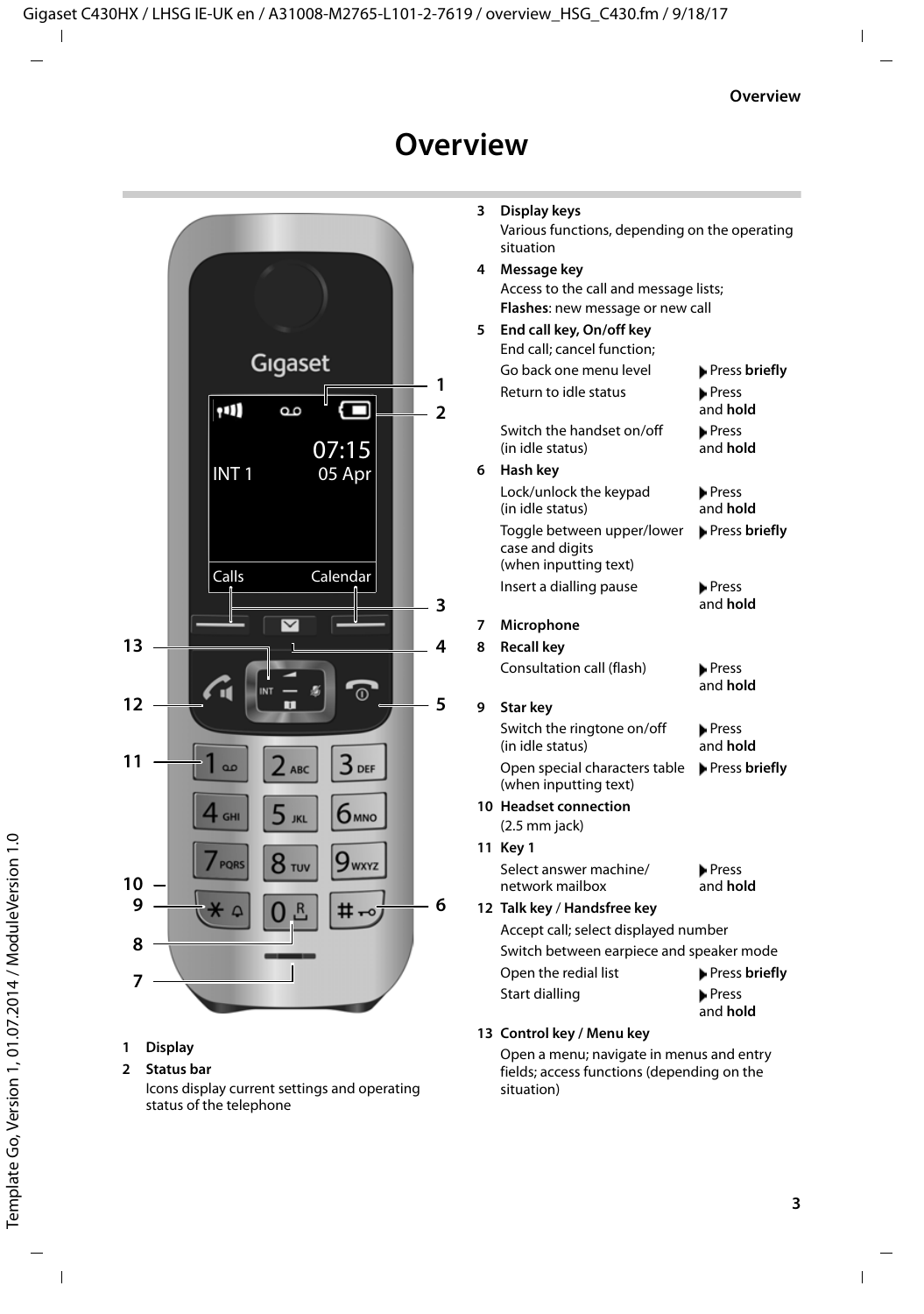# **Overview**

<span id="page-2-0"></span>

#### <span id="page-2-7"></span>**1 Display**

#### **2 Status bar**

<span id="page-2-11"></span><span id="page-2-5"></span><span id="page-2-1"></span>Icons display current settings and operating status of the telephone

<span id="page-2-12"></span><span id="page-2-10"></span><span id="page-2-9"></span><span id="page-2-8"></span><span id="page-2-6"></span><span id="page-2-4"></span><span id="page-2-3"></span><span id="page-2-2"></span>

| 3 | Display keys                                                                                         |                          |  |  |  |
|---|------------------------------------------------------------------------------------------------------|--------------------------|--|--|--|
|   | Various functions, depending on the operating<br>situation                                           |                          |  |  |  |
| 4 | Message key                                                                                          |                          |  |  |  |
|   | Access to the call and message lists;                                                                |                          |  |  |  |
|   | Flashes: new message or new call                                                                     |                          |  |  |  |
| 5 | End call key, On/off key                                                                             |                          |  |  |  |
|   | End call; cancel function;                                                                           |                          |  |  |  |
|   | Go back one menu level                                                                               | Press briefly            |  |  |  |
|   | Return to idle status                                                                                | <b>Press</b><br>and hold |  |  |  |
|   | Switch the handset on/off<br>(in idle status)                                                        | <b>Press</b><br>and hold |  |  |  |
| 6 | Hash key                                                                                             |                          |  |  |  |
|   | Lock/unlock the keypad<br>(in idle status)                                                           | Press<br>and hold        |  |  |  |
|   | Toggle between upper/lower<br>case and digits<br>(when inputting text)                               | Press briefly            |  |  |  |
|   | Insert a dialling pause                                                                              | <b>Press</b><br>and hold |  |  |  |
| 7 | Microphone                                                                                           |                          |  |  |  |
| 8 | <b>Recall key</b>                                                                                    |                          |  |  |  |
|   | Consultation call (flash)                                                                            | <b>Press</b><br>and hold |  |  |  |
| 9 | Star key                                                                                             |                          |  |  |  |
|   | Switch the ringtone on/off<br>(in idle status)                                                       | <b>Press</b><br>and hold |  |  |  |
|   | Open special characters table<br>(when inputting text)                                               | Press briefly            |  |  |  |
|   | 10 Headset connection<br>$(2.5$ mm jack)                                                             |                          |  |  |  |
|   | 11 Key 1                                                                                             |                          |  |  |  |
|   | Select answer machine/<br>network mailbox                                                            | <b>Press</b><br>and hold |  |  |  |
|   | 12 Talk key / Handsfree key                                                                          |                          |  |  |  |
|   | Accept call; select displayed number                                                                 |                          |  |  |  |
|   | Switch between earpiece and speaker mode                                                             |                          |  |  |  |
|   | Open the redial list                                                                                 | Press briefly            |  |  |  |
|   | Start dialling                                                                                       | <b>Press</b><br>and hold |  |  |  |
|   | 13 Control key / Menu key                                                                            |                          |  |  |  |
|   | Open a menu; navigate in menus and entry<br>fields; access functions (depending on the<br>situation) |                          |  |  |  |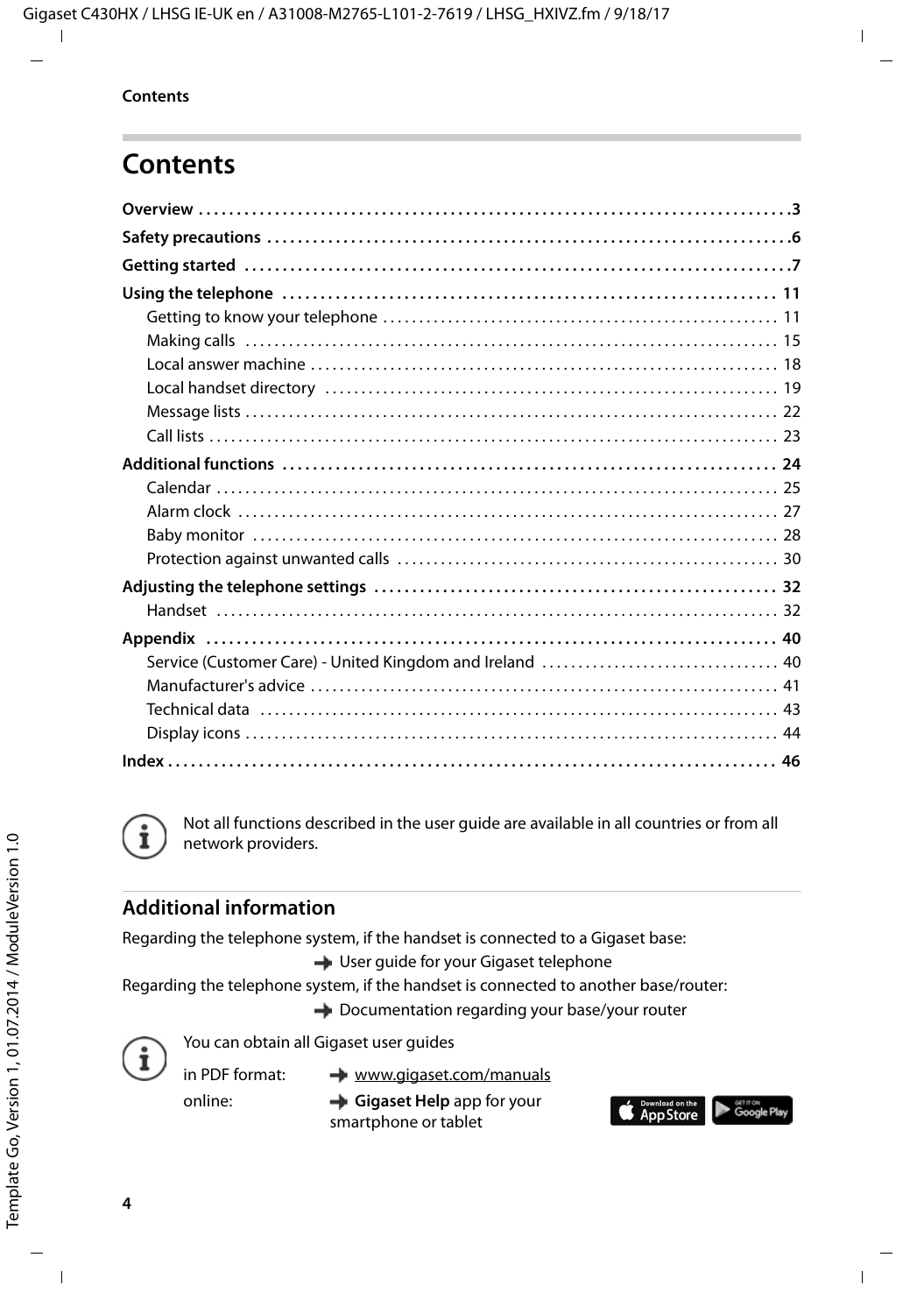# **Contents**



Not all functions described in the user guide are available in all countries or from all network providers.

### **Additional information**

Regarding the telephone system, if the handset is connected to a Gigaset base:

User guide for your Gigaset telephone

Regarding the telephone system, if the handset is connected to another base/router:

**→** Documentation regarding your base/your router



You can obtain all Gigaset user guides

in PDF format:

[www.gigaset.com/manuals](http://www.gigaset.com/manuals)

online:

**Gigaset Help** app for your

smartphone or tablet

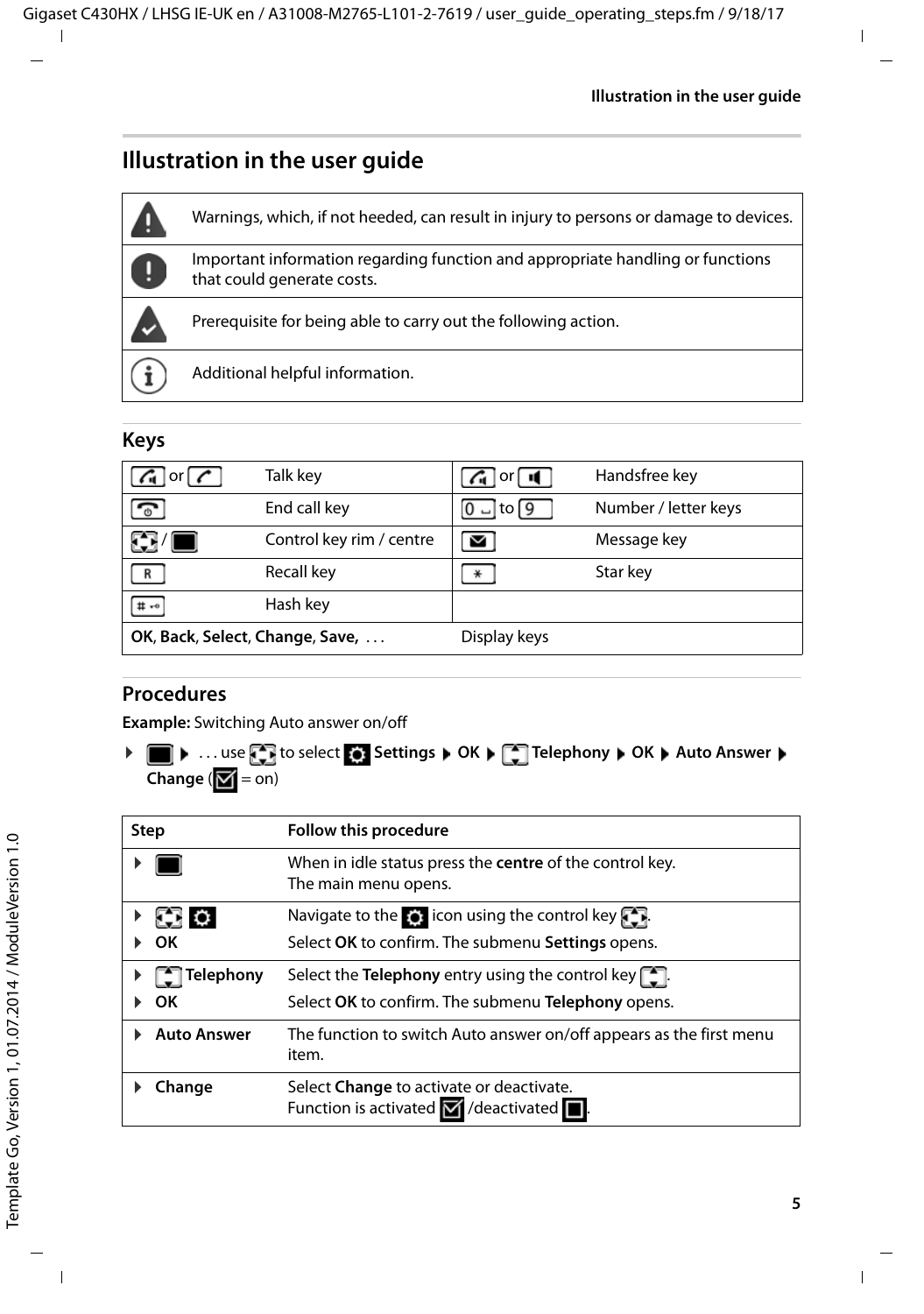# **Illustration in the user guide**



# **Keys**

| $G$ or $C$                      | Talk key                 | $G$ or $\mathbf{I}$    | Handsfree key        |
|---------------------------------|--------------------------|------------------------|----------------------|
| ా                               | End call key             | $ 0 $ – to $\boxed{9}$ | Number / letter keys |
| HI HI                           | Control key rim / centre |                        | Message key          |
|                                 | Recall key               |                        | Star key             |
| $#$ $*$ <sup>o</sup>            | Hash key                 |                        |                      |
| OK, Back, Select, Change, Save, |                          | Display keys           |                      |

# **Procedures**

**Example:** Switching Auto answer on/off

**▶ ■ ▶ ... use to select to select OF** Settings ▶ OK ▶ Telephony ▶ OK ▶ Auto Answer ▶ **Change**  $(\blacksquare = \mathsf{on})$ 

| <b>Step</b>        | Follow this procedure                                                                                          |
|--------------------|----------------------------------------------------------------------------------------------------------------|
|                    | When in idle status press the <b>centre</b> of the control key.<br>The main menu opens.                        |
| <b>THE OF</b>      | Navigate to the $\bullet$ : icon using the control key $\bullet$ .                                             |
| OК                 | Select OK to confirm. The submenu Settings opens.                                                              |
| <b>Telephony</b>   | Select the <b>Telephony</b> entry using the control key $\begin{bmatrix} 1 \\ -1 \end{bmatrix}$ .              |
| ΩK                 | Select OK to confirm. The submenu Telephony opens.                                                             |
| <b>Auto Answer</b> | The function to switch Auto answer on/off appears as the first menu<br>item.                                   |
| Change             | Select Change to activate or deactivate.<br>Function is activated $\blacksquare$ /deactivated $\blacksquare$ . |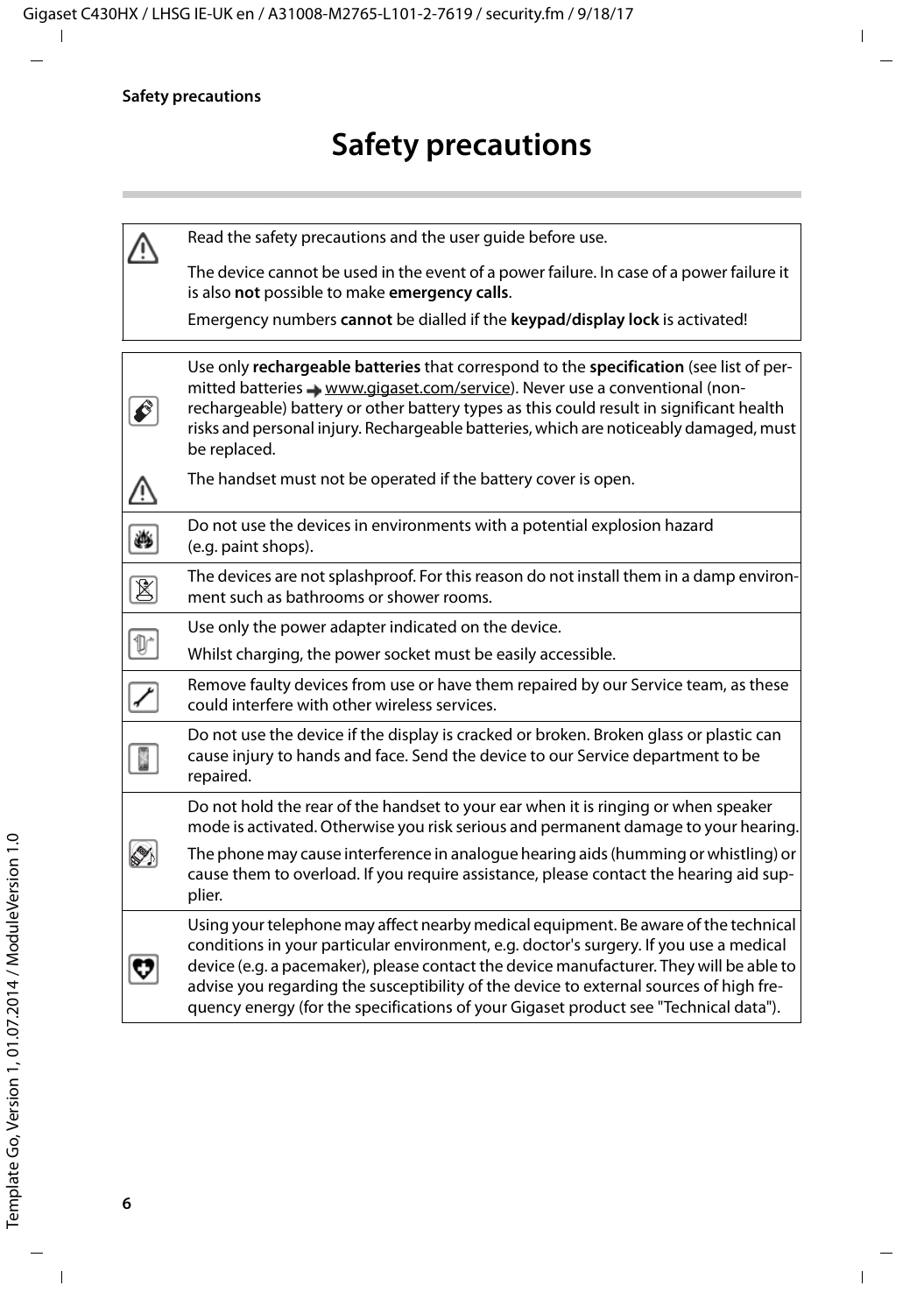|                         | Read the safety precautions and the user quide before use.                                                                                                                                                                                                                                                                                                                                                                                                 |
|-------------------------|------------------------------------------------------------------------------------------------------------------------------------------------------------------------------------------------------------------------------------------------------------------------------------------------------------------------------------------------------------------------------------------------------------------------------------------------------------|
|                         | The device cannot be used in the event of a power failure. In case of a power failure it<br>is also not possible to make emergency calls.                                                                                                                                                                                                                                                                                                                  |
|                         | Emergency numbers cannot be dialled if the keypad/display lock is activated!                                                                                                                                                                                                                                                                                                                                                                               |
|                         | Use only rechargeable batteries that correspond to the specification (see list of per-<br>mitted batteries $\rightarrow$ www.gigaset.com/service). Never use a conventional (non-<br>rechargeable) battery or other battery types as this could result in significant health<br>risks and personal injury. Rechargeable batteries, which are noticeably damaged, must<br>be replaced.                                                                      |
|                         | The handset must not be operated if the battery cover is open.                                                                                                                                                                                                                                                                                                                                                                                             |
| ۳                       | Do not use the devices in environments with a potential explosion hazard<br>(e.g. paint shops).                                                                                                                                                                                                                                                                                                                                                            |
| $\overline{\mathbb{8}}$ | The devices are not splashproof. For this reason do not install them in a damp environ-<br>ment such as bathrooms or shower rooms.                                                                                                                                                                                                                                                                                                                         |
|                         | Use only the power adapter indicated on the device.                                                                                                                                                                                                                                                                                                                                                                                                        |
| $\mathbb{D}^*$          | Whilst charging, the power socket must be easily accessible.                                                                                                                                                                                                                                                                                                                                                                                               |
|                         | Remove faulty devices from use or have them repaired by our Service team, as these<br>could interfere with other wireless services.                                                                                                                                                                                                                                                                                                                        |
|                         | Do not use the device if the display is cracked or broken. Broken glass or plastic can<br>cause injury to hands and face. Send the device to our Service department to be<br>repaired.                                                                                                                                                                                                                                                                     |
|                         | Do not hold the rear of the handset to your ear when it is ringing or when speaker<br>mode is activated. Otherwise you risk serious and permanent damage to your hearing.                                                                                                                                                                                                                                                                                  |
|                         | The phone may cause interference in analogue hearing aids (humming or whistling) or<br>cause them to overload. If you require assistance, please contact the hearing aid sup-<br>plier.                                                                                                                                                                                                                                                                    |
|                         | Using your telephone may affect nearby medical equipment. Be aware of the technical<br>conditions in your particular environment, e.g. doctor's surgery. If you use a medical<br>device (e.g. a pacemaker), please contact the device manufacturer. They will be able to<br>advise you regarding the susceptibility of the device to external sources of high fre-<br>quency energy (for the specifications of your Gigaset product see "Technical data"). |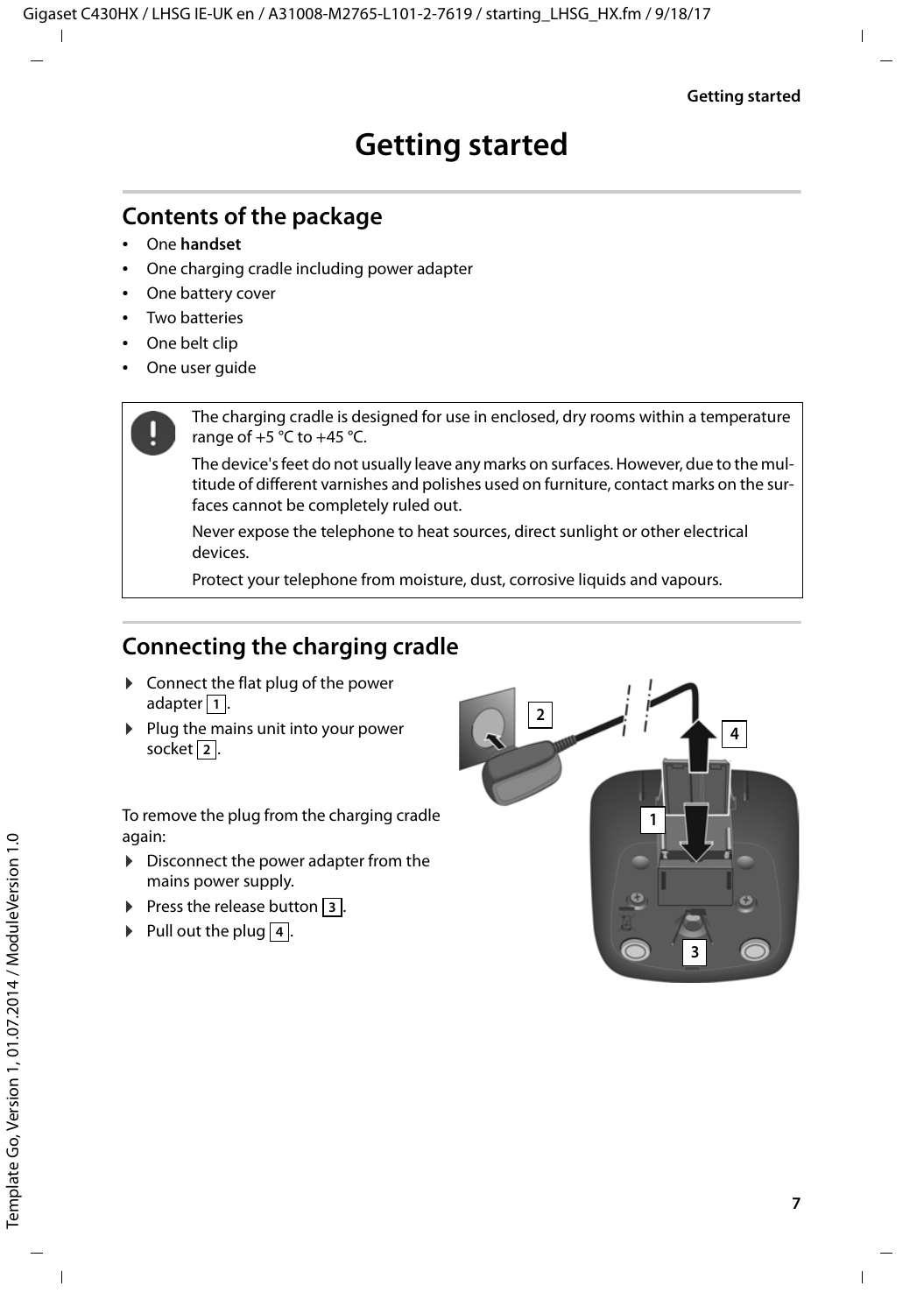# <span id="page-6-3"></span><span id="page-6-2"></span><span id="page-6-0"></span>**Contents of the package**

- One **handset**
- One charging cradle including power adapter
- One battery cover
- Two batteries
- One belt clip
- One user quide

The charging cradle is designed for use in enclosed, dry rooms within a temperature range of  $+5$  °C to  $+45$  °C.

The device's feet do not usually leave any marks on surfaces. However, due to the multitude of different varnishes and polishes used on furniture, contact marks on the surfaces cannot be completely ruled out.

Never expose the telephone to heat sources, direct sunlight or other electrical devices.

Protect your telephone from moisture, dust, corrosive liquids and vapours.

# <span id="page-6-1"></span>**Connecting the charging cradle**

- $\triangleright$  Connect the flat plug of the power adapter **1**.
- $\blacktriangleright$  Plug the mains unit into your power socket 2.

To remove the plug from the charging cradle again:

- $\triangleright$  Disconnect the power adapter from the mains power supply.
- $\triangleright$  Press the release button  $\overline{3}$ .
- $\blacktriangleright$  Pull out the plug  $\boxed{4}$ .

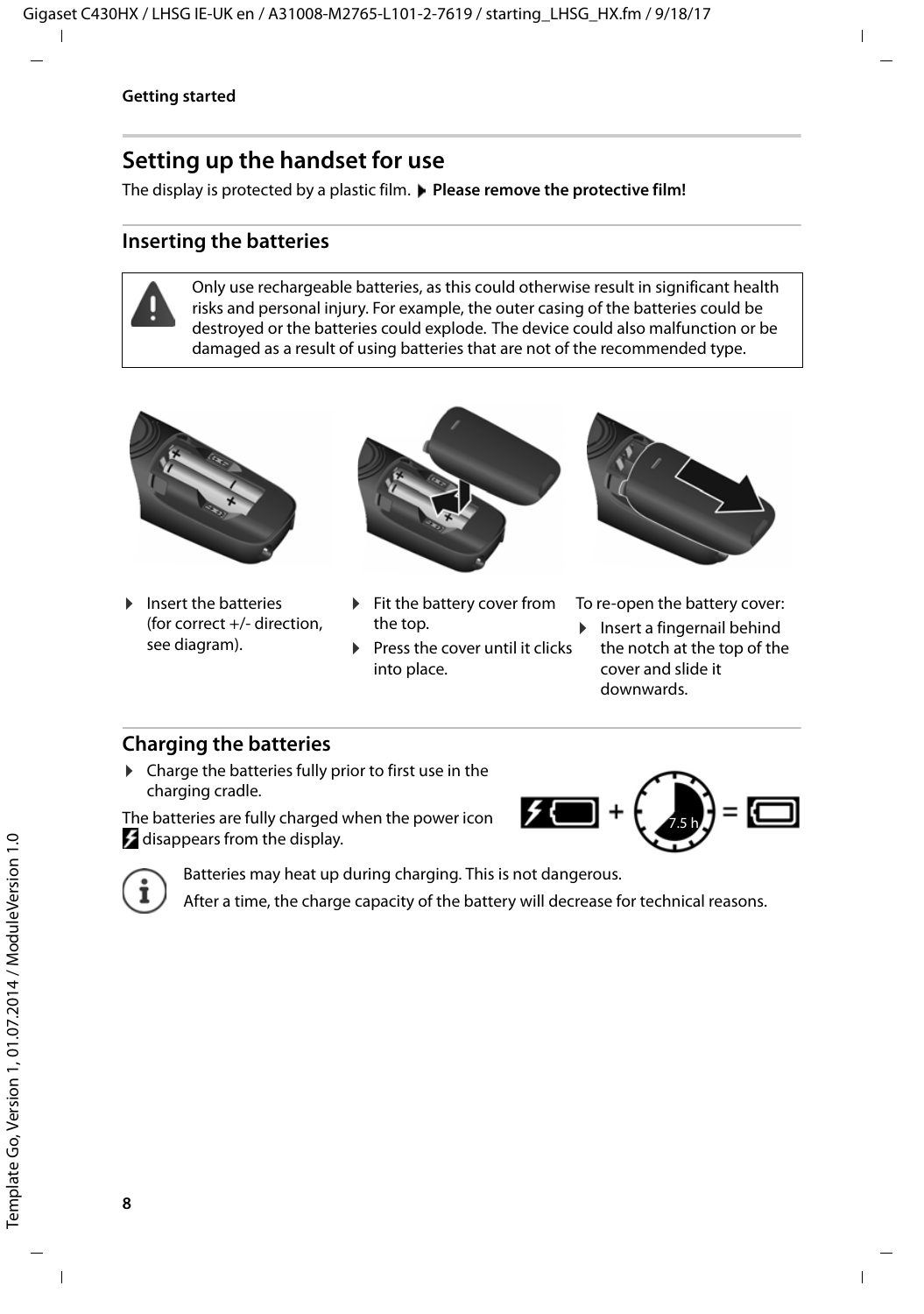# <span id="page-7-2"></span>**Setting up the handset for use**

The display is protected by a plastic film. **Please remove the protective film!** 

### <span id="page-7-1"></span>**Inserting the batteries**

Only use rechargeable batteries, as this could otherwise result in significant health risks and personal injury. For example, the outer casing of the batteries could be destroyed or the batteries could explode. The device could also malfunction or be damaged as a result of using batteries that are not of the recommended type.



 $\blacktriangleright$  Insert the batteries (for correct +/- direction, see diagram).



- $\blacktriangleright$  Fit the battery cover from the top.
- <span id="page-7-0"></span> $\blacktriangleright$  Press the cover until it clicks into place.



To re-open the battery cover:

 $\blacktriangleright$  Insert a fingernail behind the notch at the top of the cover and slide it downwards.

### **Charging the batteries**

 $\triangleright$  Charge the batteries fully prior to first use in the charging cradle.

The batteries are fully charged when the power icon disappears from the display.





Batteries may heat up during charging. This is not dangerous.

After a time, the charge capacity of the battery will decrease for technical reasons.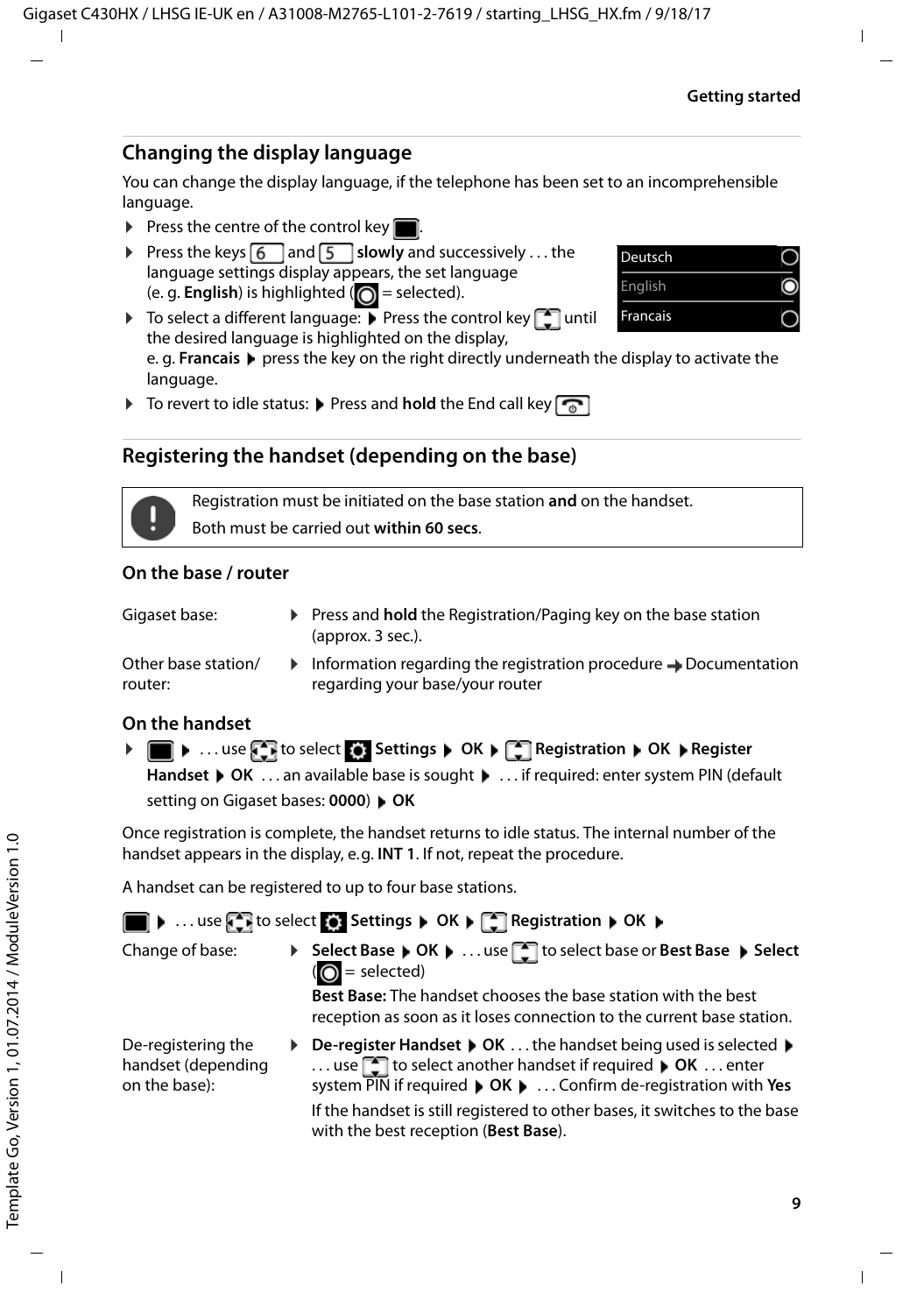### **Changing the display language**

<span id="page-8-2"></span>You can change the display language, if the telephone has been set to an incomprehensible language.

- $\triangleright$  Press the centre of the control key
- **Press the keys**  $\boxed{6}$  **and**  $\boxed{5}$  **slowly and successively ... the** language settings display appears, the set language (e. g. **English**) is highlighted  $\overline{O}$  = selected).
- $\triangleright$  To select a different language:  $\triangleright$  Press the control key  $\lceil \cdot \rceil$  until the desired language is highlighted on the display,

e. g. **Francais** press the key on the right directly underneath the display to activate the language.

 $\triangleright$  To revert to idle status:  $\triangleright$  Press and **hold** the End call key  $\boxed{\odot}$ 

### <span id="page-8-1"></span>**Registering the handset (depending on the base)**

Registration must be initiated on the base station **and** on the handset. Both must be carried out **within 60 secs**.

### **On the base / router**

| Gigaset base:                  | $\triangleright$ Press and <b>hold</b> the Registration/Paging key on the base station<br>(approx. 3 sec.).                      |
|--------------------------------|----------------------------------------------------------------------------------------------------------------------------------|
| Other base station/<br>router: | $\triangleright$ Information regarding the registration procedure $\rightarrow$ Documentation<br>regarding your base/your router |

### **On the handset**

**▶ ■ ▶ ...use to select to Settings ▶ OK ▶ Exploseration ▶ OK ▶ Register** Handset **Mandset 3 OK** ... an available base is sought  $\mathbf{M}$  ... if required: enter system PIN (default setting on Gigaset bases: **0000**) **OK**

Once registration is complete, the handset returns to idle status. The internal number of the handset appears in the display, e.g. **INT 1**. If not, repeat the procedure.

A handset can be registered to up to four base stations.

|  |  |  | $\blacksquare$ $\blacktriangleright$ $\ldots$ use $\blacksquare$ to select $\lozenge$ Settings $\blacktriangleright$ OK $\blacktriangleright$ $\blacksquare$ Registration $\blacktriangleright$ OK $\blacktriangleright$ |  |  |
|--|--|--|--------------------------------------------------------------------------------------------------------------------------------------------------------------------------------------------------------------------------|--|--|
|--|--|--|--------------------------------------------------------------------------------------------------------------------------------------------------------------------------------------------------------------------------|--|--|

Change of base: **▶ Select Base ▶ OK ▶ ... use** to select base or Best Base ▶ Select  $\overline{O}$  = selected)

> <span id="page-8-0"></span>**Best Base:** The handset chooses the base station with the best reception as soon as it loses connection to the current base station.

De-registering the handset (depending on the base):

**▶** De-register Handset ▶ OK ... the handset being used is selected ▶ ... use **the select another handset if required**  $\triangleright$  **OK** ... enter system PIN if required **OK** . . . Confirm de-registration with **Yes** If the handset is still registered to other bases, it switches to the base with the best reception (**Best Base**).

| Deutsch  |  |
|----------|--|
| English  |  |
| Francais |  |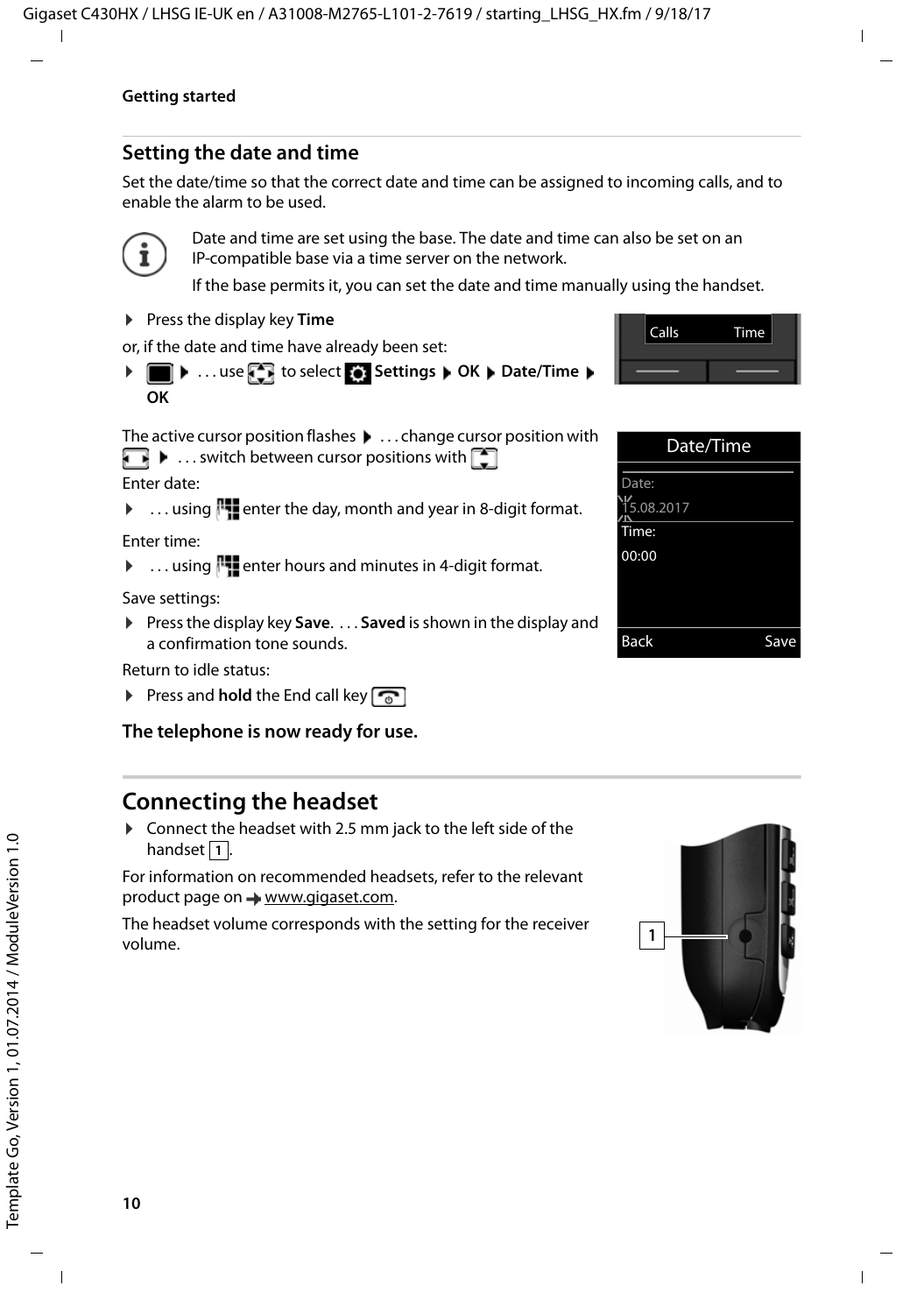# <span id="page-9-2"></span>**Setting the date and time**

Set the date/time so that the correct date and time can be assigned to incoming calls, and to enable the alarm to be used.



Date and time are set using the base. The date and time can also be set on an IP-compatible base via a time server on the network.

If the base permits it, you can set the date and time manually using the handset.

▶ Press the display key **Time** 

or, if the date and time have already been set:

**▶ ■ ▶ ... use T** to select **S** Settings ▶ OK ▶ Date/Time ▶ **OK**



Enter date:

 $\triangleright$  ... using  $\blacksquare$  enter the day, month and year in 8-digit format.

Enter time:

▶ ... using **!!!** enter hours and minutes in 4-digit format.

Save settings:

▶ Press the display key **Save.** . . . **Saved** is shown in the display and a confirmation tone sounds.

Return to idle status:

▶ Press and **hold** the End call key

**The telephone is now ready for use.** 

# <span id="page-9-0"></span>**Connecting the headset**

<span id="page-9-1"></span>▶ Connect the headset with 2.5 mm jack to the left side of the handset 1.

For information on recommended headsets, refer to the relevant product page on  $\rightarrow$  [www.gigaset.com](http://www.gigaset.com/).

The headset volume corresponds with the setting for the receiver volume.



| Calls | Time |  |
|-------|------|--|
|       |      |  |
|       |      |  |

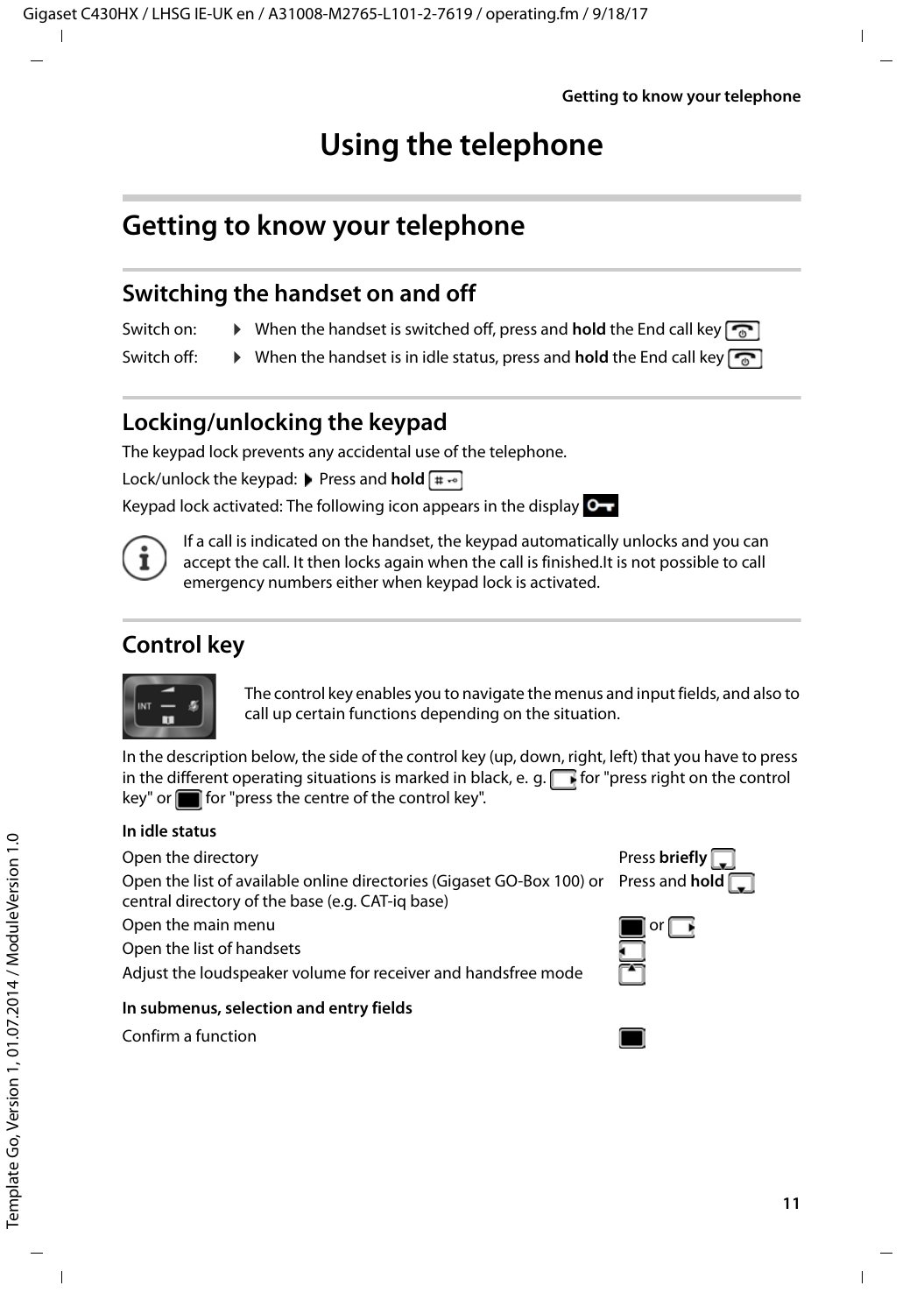# <span id="page-10-6"></span>**Using the telephone**

# <span id="page-10-1"></span><span id="page-10-0"></span>**Getting to know your telephone**

# <span id="page-10-3"></span>**Switching the handset on and off**

- Switch on: **•** When the handset is switched off, press and **hold** the End call key
- Switch off:  $\rightarrow$  When the handset is in idle status, press and **hold** the End call key  $\boxed{\odot}$

# <span id="page-10-5"></span>**Locking/unlocking the keypad**

The keypad lock prevents any accidental use of the telephone.

Lock/unlock the keypad: **Press and hold**  $\overline{a} \rightarrow$ 

Keypad lock activated: The following icon appears in the display  $\bullet$ .



# <span id="page-10-2"></span>**Control key**



The control key enables you to navigate the menus and input fields, and also to call up certain functions depending on the situation.

In the description below, the side of the control key (up, down, right, left) that you have to press in the different operating situations is marked in black, e. g.  $\Box$  for "press right on the control  $key"$  or  $f$  for "press the centre of the control key".

### **In idle status**

Open the directory **Press briefly Press briefly Press briefly Press briefly** 

Open the list of available online directories (Gigaset GO-Box 100) or Press and **hold**  central directory of the base (e.g. CAT-iq base)

<span id="page-10-4"></span>Open the main menu  $\Box$  or  $\Box$  or  $\Box$ 

Open the list of handsets

Adjust the loudspeaker volume for receiver and handsfree mode



Confirm a function





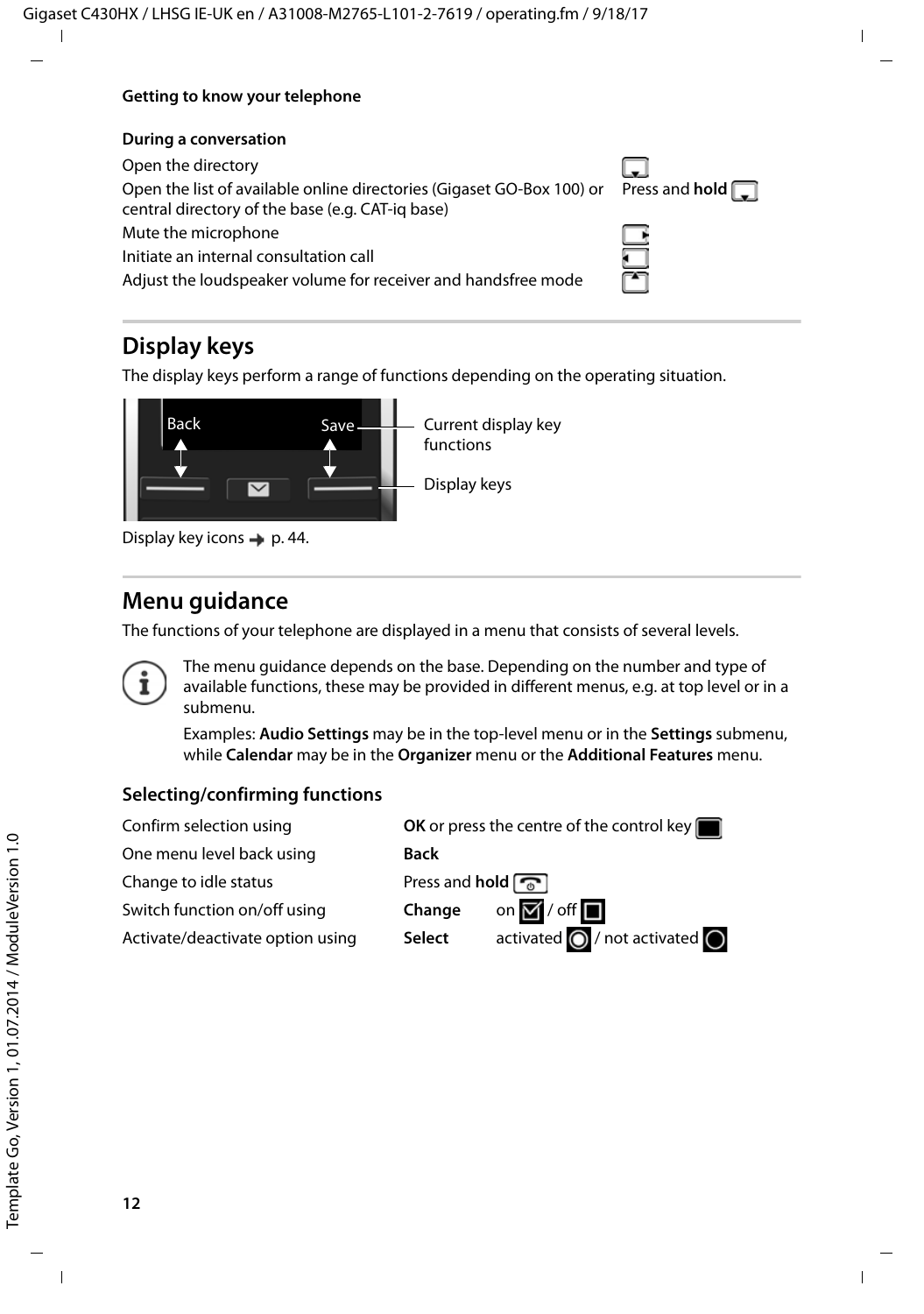#### **Getting to know your telephone**

#### **During a conversation**

Open the directory Open the list of available online directories (Gigaset GO-Box 100) or Press and **hold**  central directory of the base (e.g. CAT-iq base) Mute the microphone Initiate an internal consultation call Adjust the loudspeaker volume for receiver and handsfree mode

# <span id="page-11-0"></span>**Display keys**

The display keys perform a range of functions depending on the operating situation.



# **Menu guidance**

The functions of your telephone are displayed in a menu that consists of several levels.



The menu guidance depends on the base. Depending on the number and type of available functions, these may be provided in different menus, e.g. at top level or in a submenu.

Examples: **Audio Settings** may be in the top-level menu or in the **Settings** submenu, while **Calendar** may be in the **Organizer** menu or the **Additional Features** menu.

### **Selecting/confirming functions**

One menu level back using **Back** Change to idle status **Press** and **hold** Switch function on/off using **Change** on **Y** / off

Confirm selection using **OK** or press the centre of the control key Activate/deactivate option using **Select** activated **O** / not activated **O** 

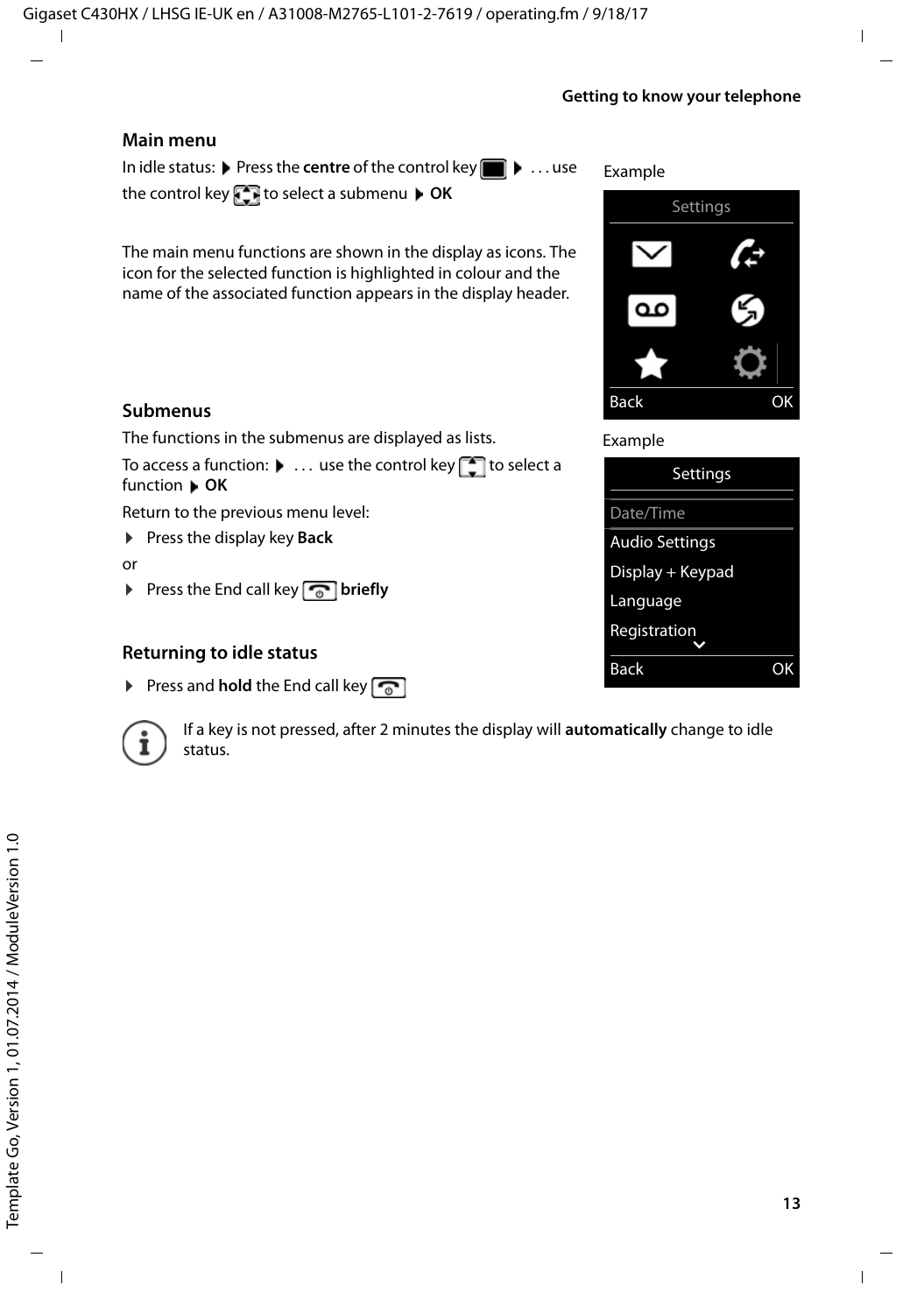#### **Getting to know your telephone**

Back OK



### <span id="page-12-0"></span>**Returning to idle status**

▶ Press and **hold** the End call key



If a key is not pressed, after 2 minutes the display will **automatically** change to idle status.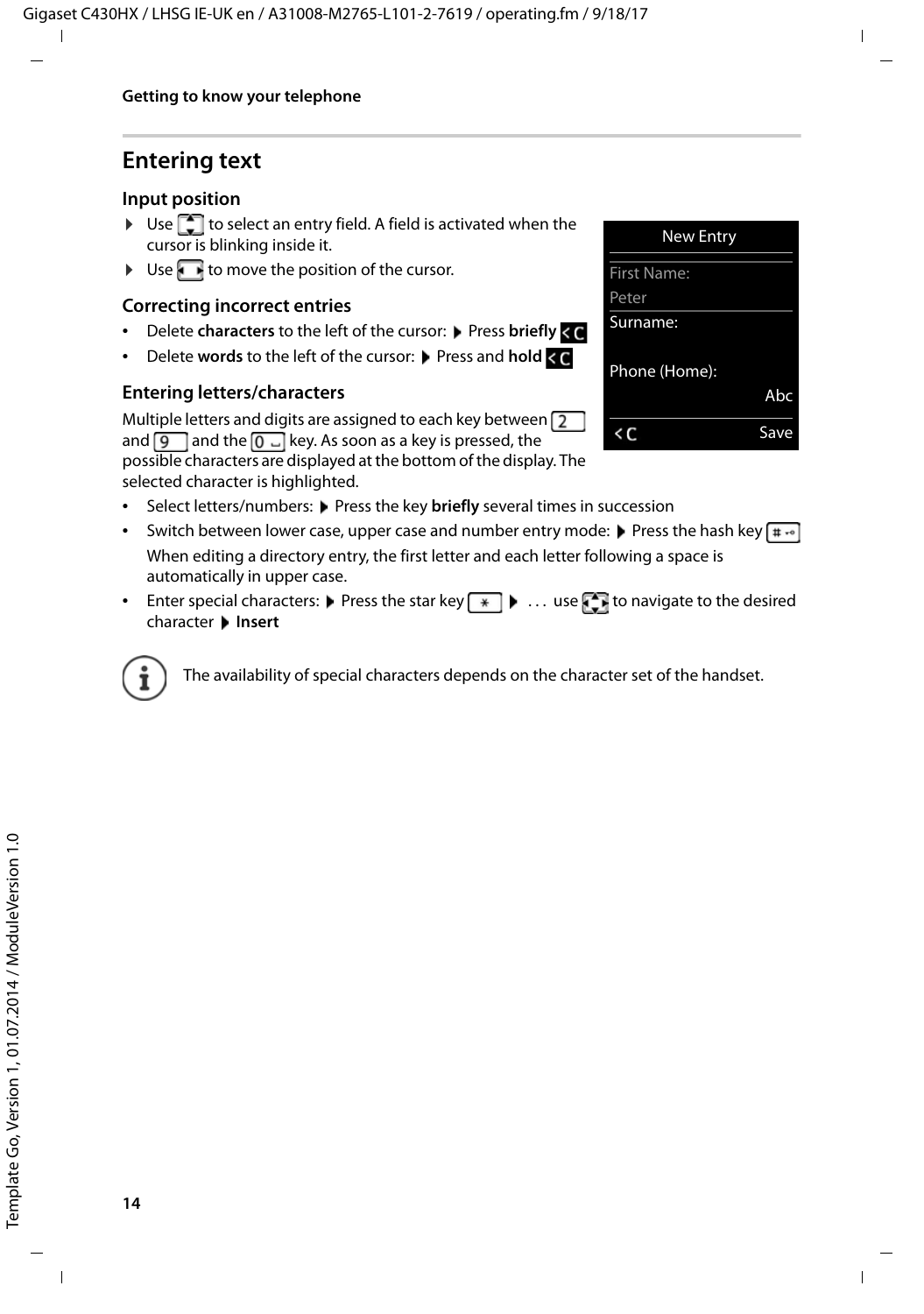# **Entering text**

### **Input position**

- $\blacktriangleright$  Use  $\Box$  to select an entry field. A field is activated when the cursor is blinking inside it.
- $\triangleright$  Use  $\blacksquare$  to move the position of the cursor.

### <span id="page-13-0"></span>**Correcting incorrect entries**

- Delete **characters** to the left of the cursor: Press **briefly < C**
- **Delete words to the left of the cursor:** Press and **hold**  $\leq$

### **Entering letters/characters**

<span id="page-13-1"></span>Multiple letters and digits are assigned to each key between  $\sqrt{2}$ and  $\boxed{9}$  and the  $\boxed{0}$  and key. As soon as a key is pressed, the



possible characters are displayed at the bottom of the display. The selected character is highlighted.

- Select letters/numbers: Press the key **briefly** several times in succession
- <span id="page-13-5"></span><span id="page-13-4"></span>• Switch between lower case, upper case and number entry mode: **P** Press the hash key  $\sharp \cdot \circ$ When editing a directory entry, the first letter and each letter following a space is automatically in upper case.
- <span id="page-13-2"></span>• Enter special characters:  $\blacktriangleright$  Press the star key  $\blacktriangleright$   $\ldots$  use  $\blacktriangleright$  to navigate to the desired character **Insert**

<span id="page-13-3"></span>The availability of special characters depends on the character set of the handset.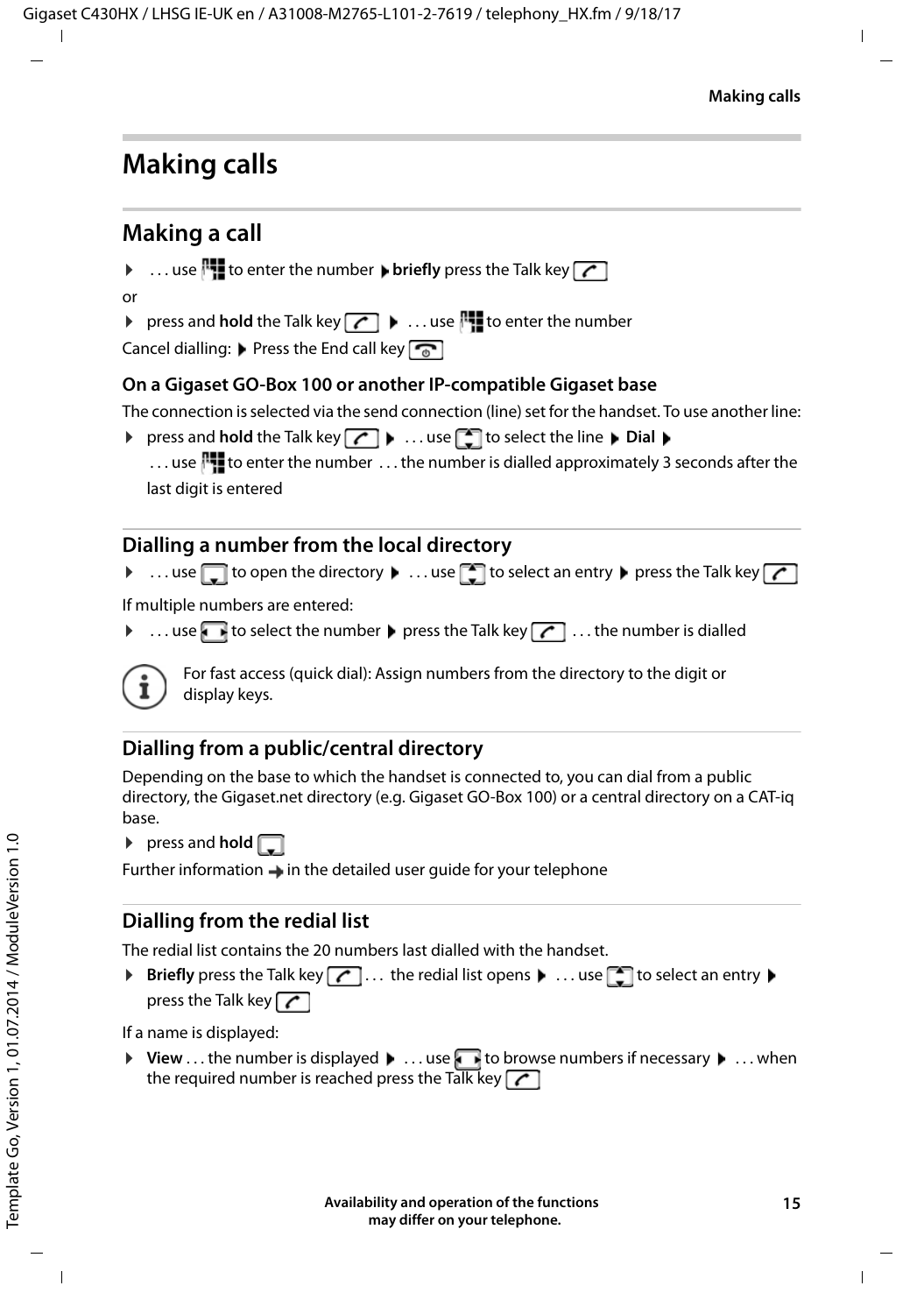# <span id="page-14-0"></span>**Making calls**

# <span id="page-14-1"></span>**Making a call**

- $\triangleright$  ... use  $\mathbb{F}_1$  to enter the number  $\triangleright$  briefly press the Talk key  $\lceil \cdot \rceil$
- or
- $\triangleright$  press and **hold** the Talk key  $\boxed{\curvearrowleft}$   $\triangleright$  ... use  $\mathbb{F}$  to enter the number
- <span id="page-14-4"></span>Cancel dialling:  $\triangleright$  Press the End call key  $\lceil \cdot \cdot \rceil$

### **On a Gigaset GO-Box 100 or another IP-compatible Gigaset base**

The connection is selected via the send connection (line) set for the handset. To use another line:

 $\triangleright$  press and **hold** the Talk key  $\boxed{\cdot}$   $\triangleright$  ... use  $\boxed{\cdot}$  to select the line  $\triangleright$  Dial  $\triangleright$ ... use  $\Gamma$  to enter the number ... the number is dialled approximately 3 seconds after the last digit is entered

# <span id="page-14-2"></span>**Dialling a number from the local directory**

 $\triangleright$  ... use  $\Box$  to open the directory  $\blacktriangleright$  ... use  $\Box$  to select an entry  $\blacktriangleright$  press the Talk key  $\Box$ 

If multiple numbers are entered:

 $\blacktriangleright$  ... use **th** to select the number  $\blacktriangleright$  press the Talk key  $\boxed{\curvearrowleft}$  ... the number is dialled



<span id="page-14-5"></span>For fast access (quick dial): Assign numbers from the directory to the digit or display keys.

# **Dialling from a public/central directory**

Depending on the base to which the handset is connected to, you can dial from a public directory, the Gigaset.net directory (e.g. Gigaset GO-Box 100) or a central directory on a CAT-iq base.

 $\triangleright$  press and **hold**  $\Box$ 

Further information  $\rightarrow$  in the detailed user guide for your telephone

# <span id="page-14-3"></span>**Dialling from the redial list**

The redial list contains the 20 numbers last dialled with the handset.

▶ **Briefly** press the Talk key  $\boxed{\frown}$  ... the redial list opens ▶ ... use  $\boxed{\frown}$  to select an entry ▶ press the Talk key  $\sqrt{\phantom{a}}$ 

If a name is displayed:

 $\triangleright$  View . . . the number is displayed  $\triangleright$  . . . use to browse numbers if necessary  $\triangleright$  . . . when the required number is reached press the Talk key  $\sim$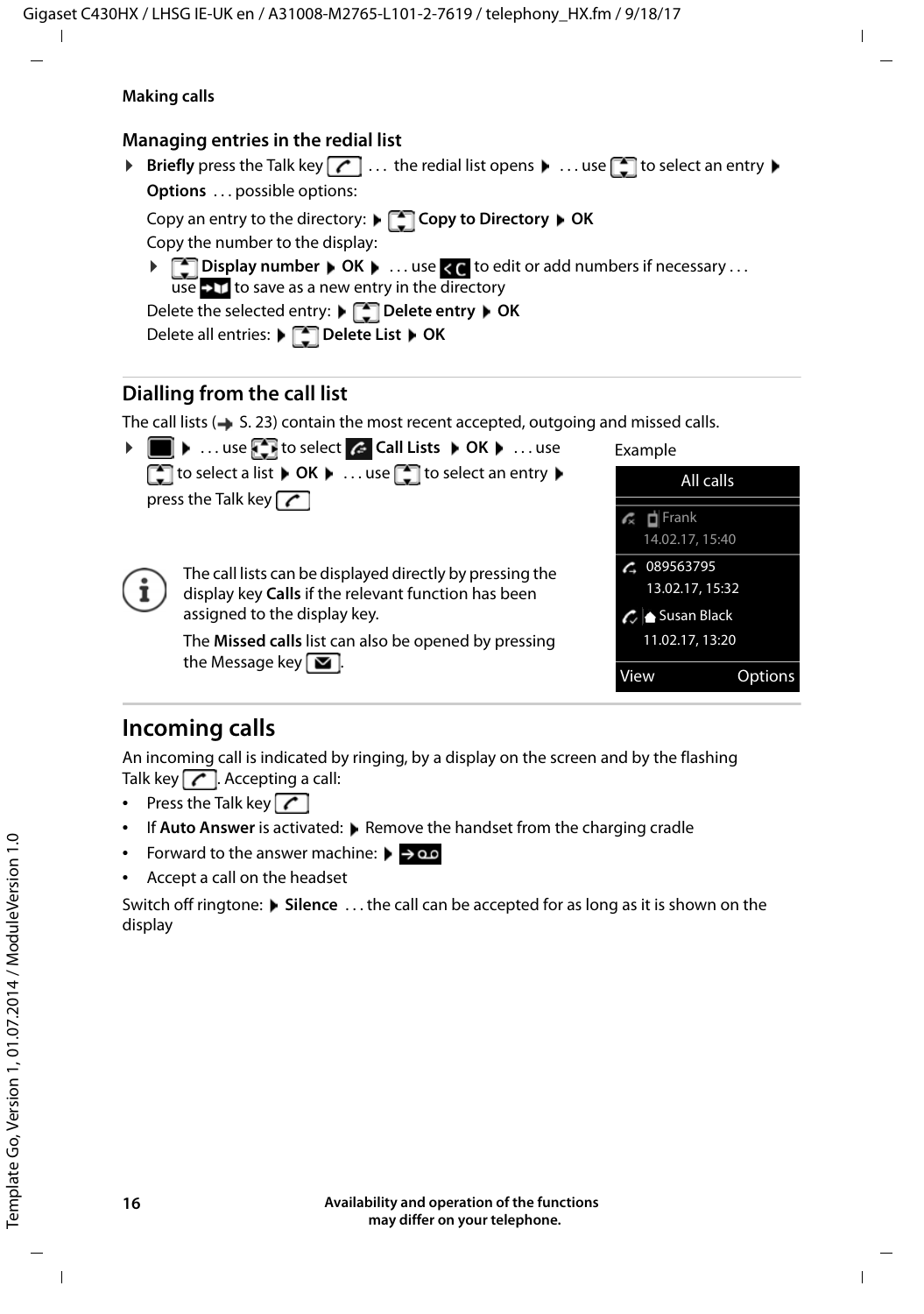### **Making calls**

### **Managing entries in the redial list**

**Briefly** press the Talk key  $\boxed{C}$  ... the redial list opens  $\blacktriangleright$  ... use  $\boxed{C}$  to select an entry  $\blacktriangleright$ **Options** . . . possible options: Copy an entry to the directory: **Copy to Directory OK** Copy the number to the display: **▶ △ Display number ▶ OK ▶ ... use < ● to edit or add numbers if necessary ...** use  $\bullet$  11 to save as a new entry in the directory Delete the selected entry: **Delete entry OK** Delete all entries: **Delete List OK**

### <span id="page-15-1"></span>**Dialling from the call list**

<span id="page-15-0"></span>The call lists  $($   $\rightarrow$  S. [23](#page-22-1)) contain the most recent accepted, outgoing and missed calls.



# **Incoming calls**

An incoming call is indicated by ringing, by a display on the screen and by the flashing Talk key  $\sqrt{\phantom{a}}$ . Accepting a call:

- Press the Talk key
- If **Auto Answer** is activated: **P** Remove the handset from the charging cradle
- Forward to the answer machine:  $\blacktriangleright \rightarrow \infty$
- Accept a call on the headset

Switch off ringtone: **Silence** ... the call can be accepted for as long as it is shown on the display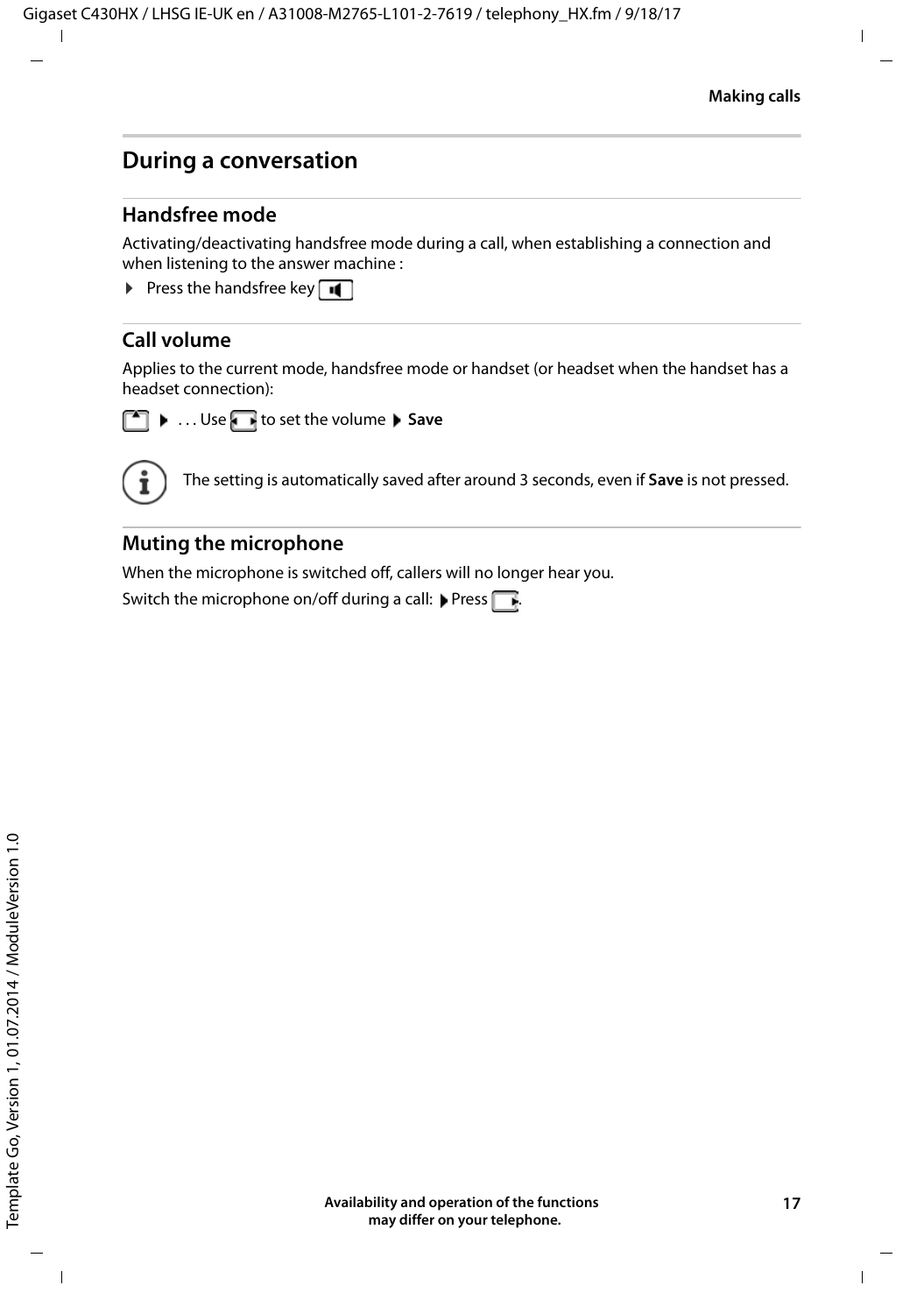# **During a conversation**

### <span id="page-16-3"></span>**Handsfree mode**

Activating/deactivating handsfree mode during a call, when establishing a connection and when listening to the answer machine :

<span id="page-16-2"></span>**•** Press the handsfree key  $\blacksquare$ 

### <span id="page-16-0"></span>**Call volume**

Applies to the current mode, handsfree mode or handset (or headset when the handset has a headset connection):



**E** ... Use **T** to set the volume **Save** 



The setting is automatically saved after around 3 seconds, even if **Save** is not pressed.

### <span id="page-16-1"></span>**Muting the microphone**

When the microphone is switched off, callers will no longer hear you.

Switch the microphone on/off during a call:  $\blacktriangleright$  Press  $\lceil$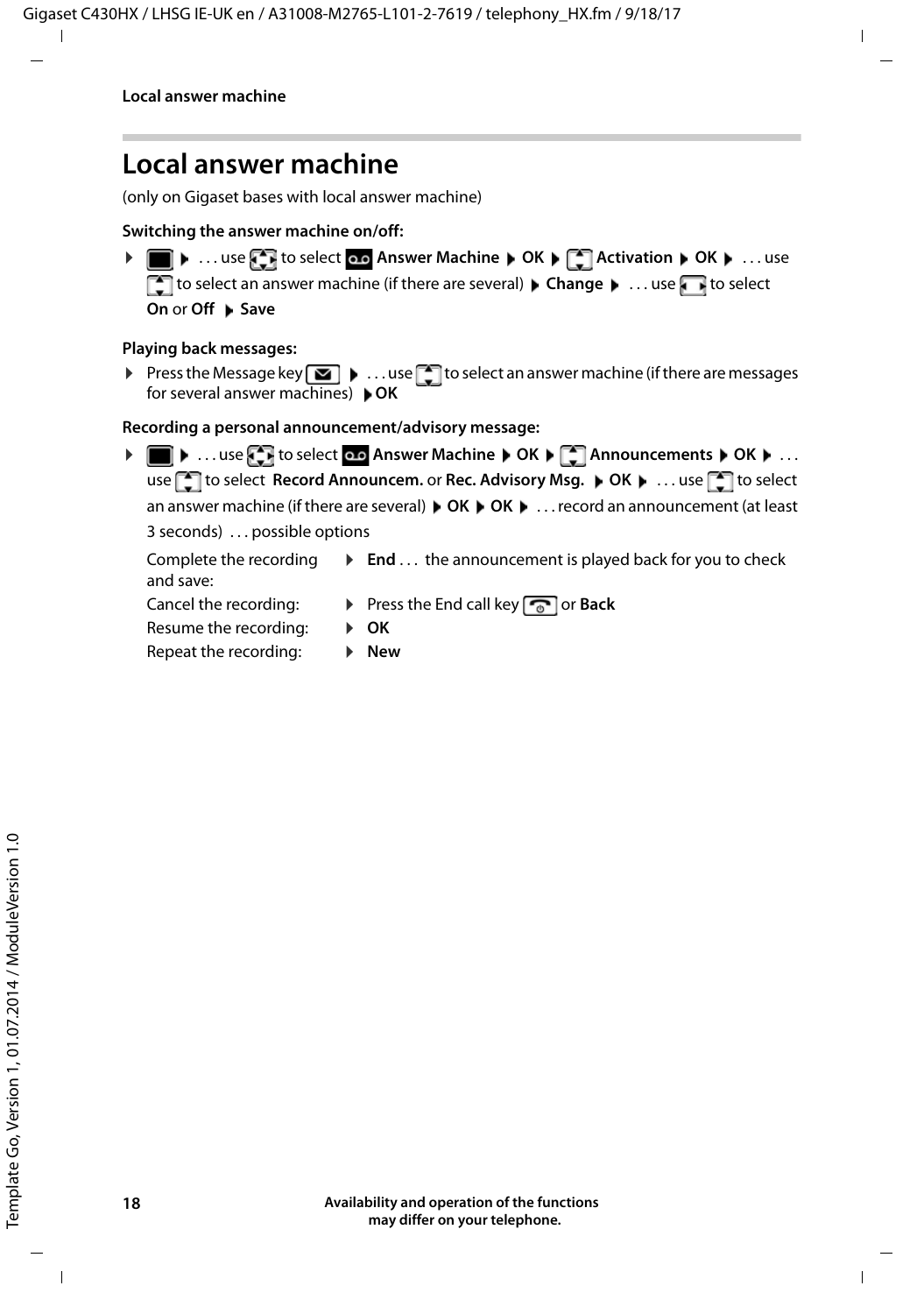# <span id="page-17-1"></span><span id="page-17-0"></span>**Local answer machine**

(only on Gigaset bases with local answer machine)

**Switching the answer machine on/off:**

**▶ ■ ▶ ... use to select on Answer Machine ▶ OK ▶ ■ Activation ▶ OK ▶ ... use** to select an answer machine (if there are several) **Change b** ... use **the select On or Off ▶ Save** 

#### **Playing back messages:**

Press the Message key  $\Box$   $\Box$  ... use  $\Box$  to select an answer machine (if there are messages for several answer machines) **OK**

**Recording a personal announcement/advisory message:**

**▶ ●** ... use **{ }** to select **Answer Machine** ▶ OK ▶ [ **]** Announcements ▶ OK ▶ ... use **the select Record Announcem.** or **Rec. Advisory Msg.**  $\triangleright$  **OK**  $\triangleright$  ... use **the select** an answer machine (if there are several)  $\triangleright$  OK  $\triangleright$  OK  $\triangleright$  ... record an announcement (at least 3 seconds) . . . possible options

Complete the recording and save: **►** End . . . the announcement is played back for you to check Cancel the recording: **•** Press the End call key **c** or **Back** 

- Resume the recording: ¤ **OK**
- Repeat the recording: **Example 1** New
-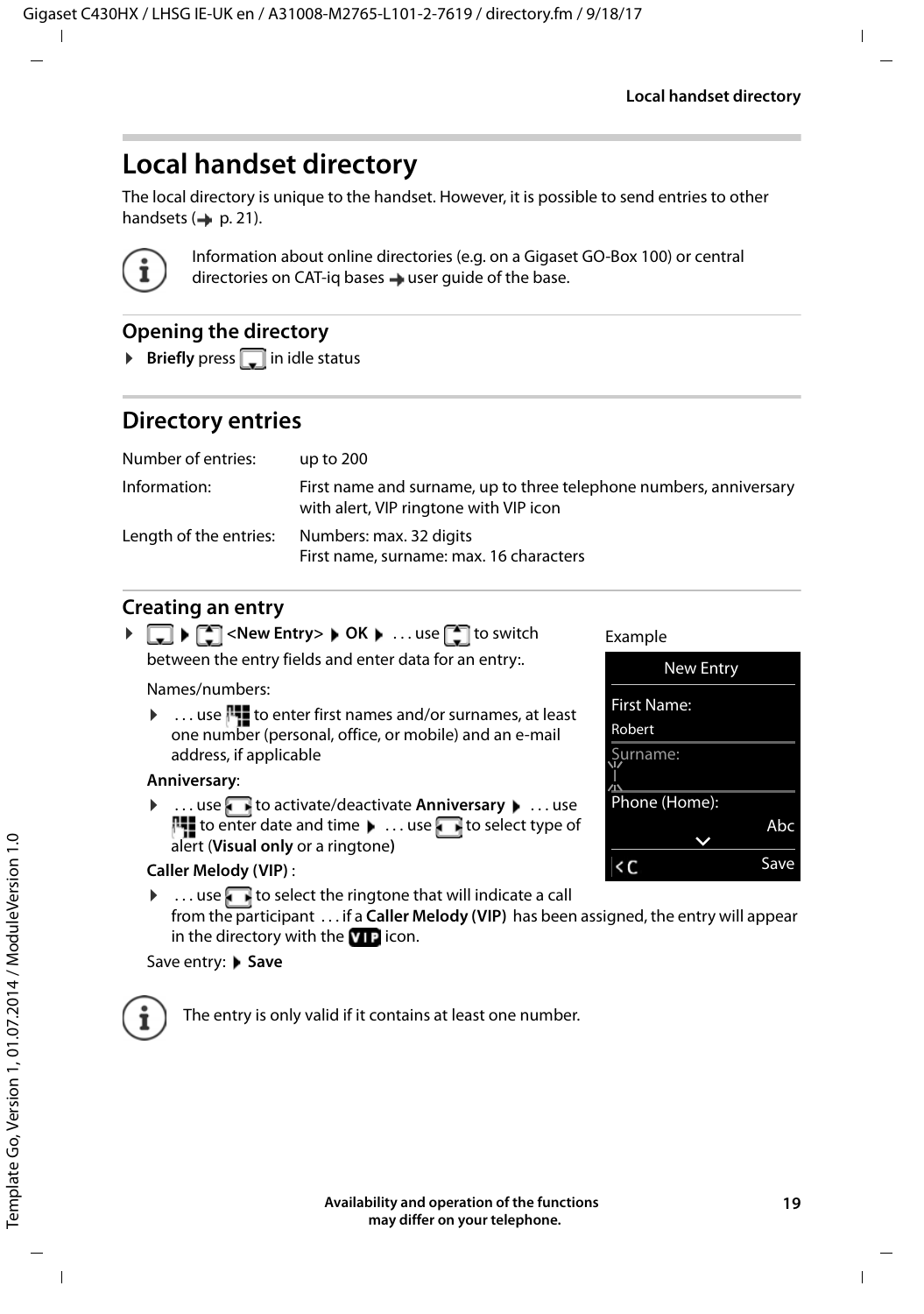# <span id="page-18-0"></span>**Local handset directory**

<span id="page-18-1"></span>The local directory is unique to the handset. However, it is possible to send entries to other handsets  $(4p 0.21)$  $(4p 0.21)$  $(4p 0.21)$ .



Information about online directories (e.g. on a Gigaset GO-Box 100) or central directories on CAT-iq bases  $\rightarrow$  user quide of the base.

### **Opening the directory**

<span id="page-18-3"></span>**Briefly** press **in idle status** 

# <span id="page-18-2"></span>**Directory entries**

| Number of entries:     | up to $200$                                                                                                  |
|------------------------|--------------------------------------------------------------------------------------------------------------|
| Information:           | First name and surname, up to three telephone numbers, anniversary<br>with alert, VIP ringtone with VIP icon |
| Length of the entries: | Numbers: max. 32 digits<br>First name, surname: max. 16 characters                                           |

### <span id="page-18-4"></span>**Creating an entry**

| ▶ $\Box$ ▶ $\Box$ < New Entry> ▶ OK ▶  use $\Box$ to switch |
|-------------------------------------------------------------|
| between the entry fields and enter data for an entry:.      |
| Names/numbers:                                              |

 $\blacktriangleright$  ... use  $\mathbb{F}_2$  to enter first names and/or surnames, at least one number (personal, office, or mobile) and an e-mail address, if applicable

### **Anniversary**:

**▶ ... use to activate/deactivate Anniversary ▶ ... use**  $\overline{\mathbb{F}}$  to enter date and time  $\blacktriangleright$  ... use  $\overline{\blacktriangleright}$  to select type of alert (**Visual only** or a ringtone**)**

### Example



#### <span id="page-18-5"></span>**Caller Melody (VIP)** :

 $\triangleright$  ... use  $\blacksquare$  to select the ringtone that will indicate a call from the participant . . . if a **Caller Melody (VIP)** has been assigned, the entry will appear in the directory with the  $\bf{v}$   $\bf{r}$  icon.

### Save entry: Save



The entry is only valid if it contains at least one number.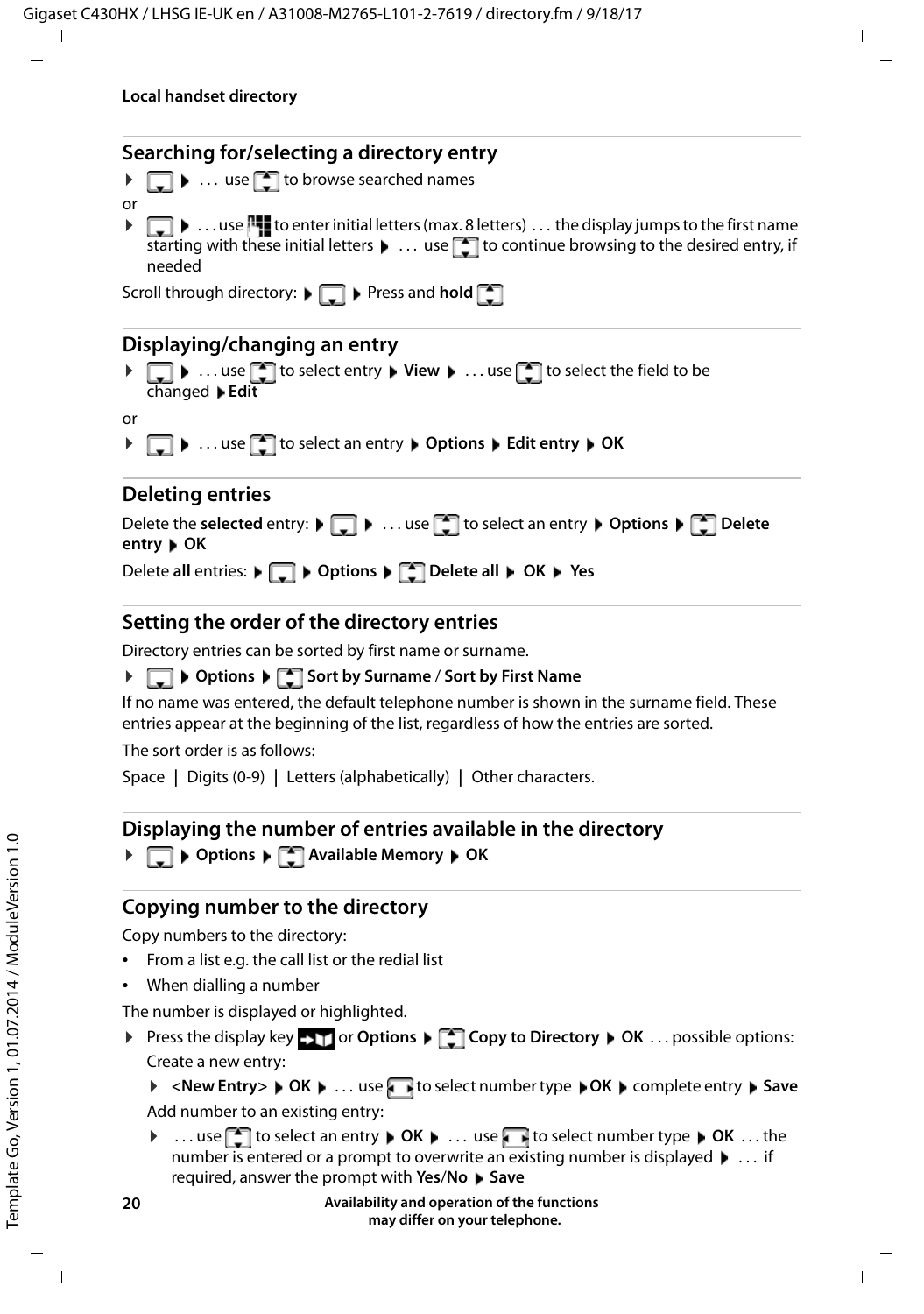### <span id="page-19-3"></span>**Searching for/selecting a directory entry**

- $\blacktriangleright \Box$   $\blacktriangleright$  ... use  $\Box$  to browse searched names
- $\blacktriangleright \Box$   $\blacktriangleright$  ... use  $\blacksquare$  to enter initial letters (max. 8 letters) ... the display jumps to the first name starting with these initial letters  $\blacktriangleright$  ... use  $\lceil \cdot \rceil$  to continue browsing to the desired entry, if needed

Scroll through directory:  $\blacktriangleright$  **Press and hold**  $\blacktriangleright$ 

### **Displaying/changing an entry**

▶ **T** ▶ ... use to select entry ▶ View ▶ ... use to select the field to be changed **Edit**

```
or
```
or

**▶**  $\Box$  **▶** ... use  $\Box$  to select an entry ▶ Options ▶ Edit entry ▶ OK

### **Deleting entries**

| Delete the selected entry: $\blacktriangleright \Box$ $\blacktriangleright$ use $\Box$ to select an entry $\blacktriangleright$ Options $\blacktriangleright \Box$ Delete<br>entry $\triangleright$ OK |
|--------------------------------------------------------------------------------------------------------------------------------------------------------------------------------------------------------|
| Delete all entries: $\bullet$ $\bullet$ $\bullet$ Options $\bullet$ $\bullet$ Delete all $\bullet$ OK $\bullet$ Yes                                                                                    |

### <span id="page-19-2"></span>**Setting the order of the directory entries**

Directory entries can be sorted by first name or surname.

### **▶ □ ▶ Options ▶ ■ Sort by Surname / Sort by First Name**

If no name was entered, the default telephone number is shown in the surname field. These entries appear at the beginning of the list, regardless of how the entries are sorted.

The sort order is as follows:

Space **|** Digits (0-9) **|** Letters (alphabetically) **|** Other characters.

### <span id="page-19-1"></span>**Displaying the number of entries available in the directory**

**▶**  $\Box$  ▶ Options ▶  $\Box$  Available Memory ▶ OK

### <span id="page-19-0"></span>**Copying number to the directory**

Copy numbers to the directory:

- From a list e.g. the call list or the redial list
- When dialling a number

The number is displayed or highlighted.

▶ Press the display key ▶ T or Options ▶ Copy to Directory ▶ OK . . . possible options: Create a new entry:

▶ <New Entry> ▶ OK ▶ ... use to select number type ▶ OK ▶ complete entry ▶ Save Add number to an existing entry:

**▶** ... use **the select an entry ▶** OK ▶ ... use to select number type ▶ OK ... the number is entered or a prompt to overwrite an existing number is displayed  $\blacktriangleright$  ... if required, answer the prompt with **Yes**/**No Save**

> **Availability and operation of the functions may differ on your telephone.**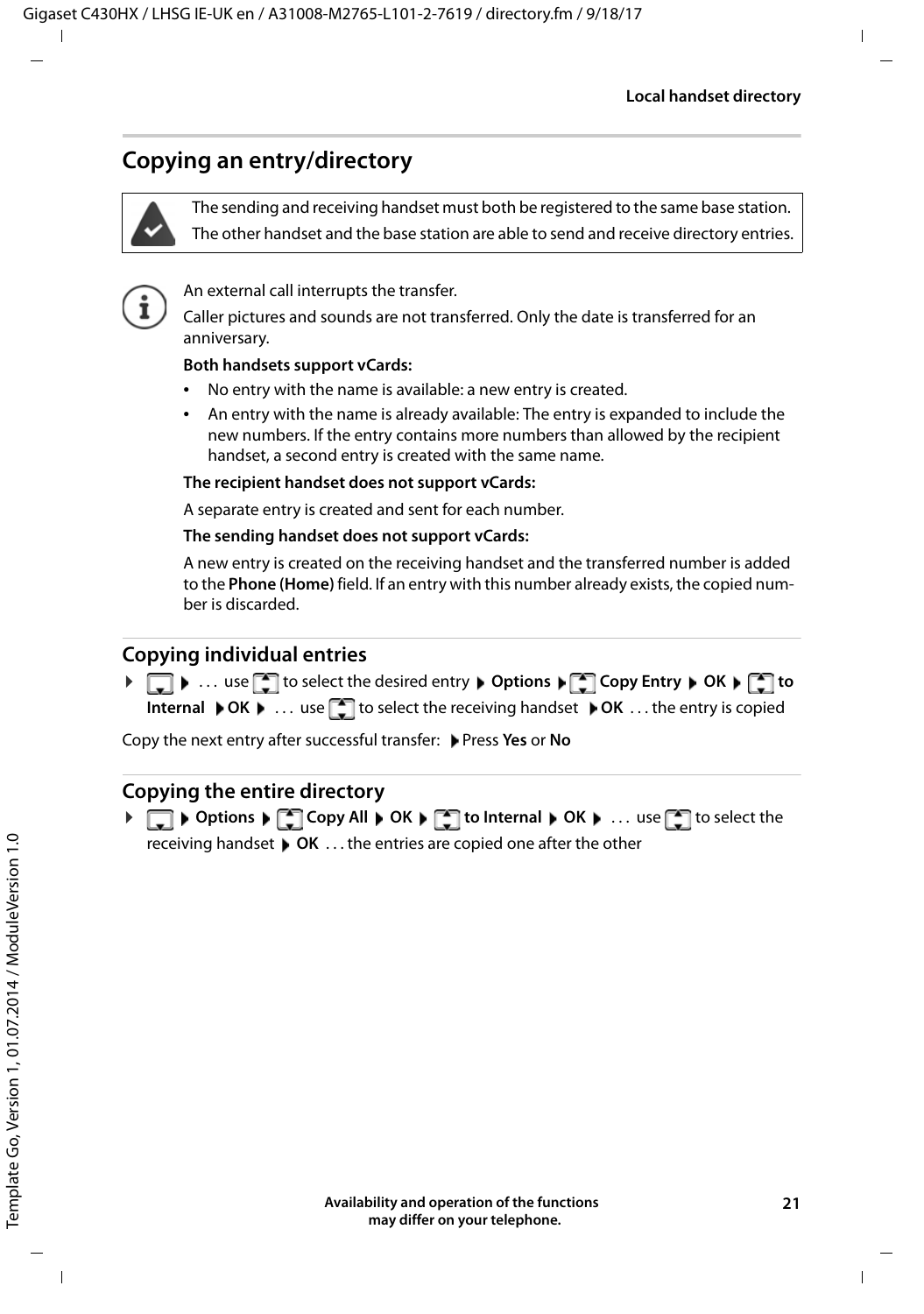# <span id="page-20-1"></span><span id="page-20-0"></span>**Copying an entry/directory**



<span id="page-20-2"></span>The sending and receiving handset must both be registered to the same base station. The other handset and the base station are able to send and receive directory entries.



An external call interrupts the transfer.

Caller pictures and sounds are not transferred. Only the date is transferred for an anniversary.

#### **Both handsets support vCards:**

- No entry with the name is available: a new entry is created.
- An entry with the name is already available: The entry is expanded to include the new numbers. If the entry contains more numbers than allowed by the recipient handset, a second entry is created with the same name.

#### **The recipient handset does not support vCards:**

A separate entry is created and sent for each number.

#### **The sending handset does not support vCards:**

A new entry is created on the receiving handset and the transferred number is added to the **Phone (Home)** field. If an entry with this number already exists, the copied number is discarded.

### **Copying individual entries**

**▶**  $\Box$  **▶** ... use  $\Box$  to select the desired entry ▶ Options ▶  $\Box$  Copy Entry ▶ OK ▶  $\Box$  to **Internal**  $\triangleright$  **OK**  $\triangleright$  ... use  $\lceil \frac{1}{n} \rceil$  to select the receiving handset  $\triangleright$  OK ... the entry is copied

Copy the next entry after successful transfer: Press **Yes** or **No**

### **Copying the entire directory**

**▶ □ ▶ Options ▶ ■ Copy All ▶ OK ▶ ■ to Internal ▶ OK ▶ ... use ■ to select the** receiving handset **OK** . . . the entries are copied one after the other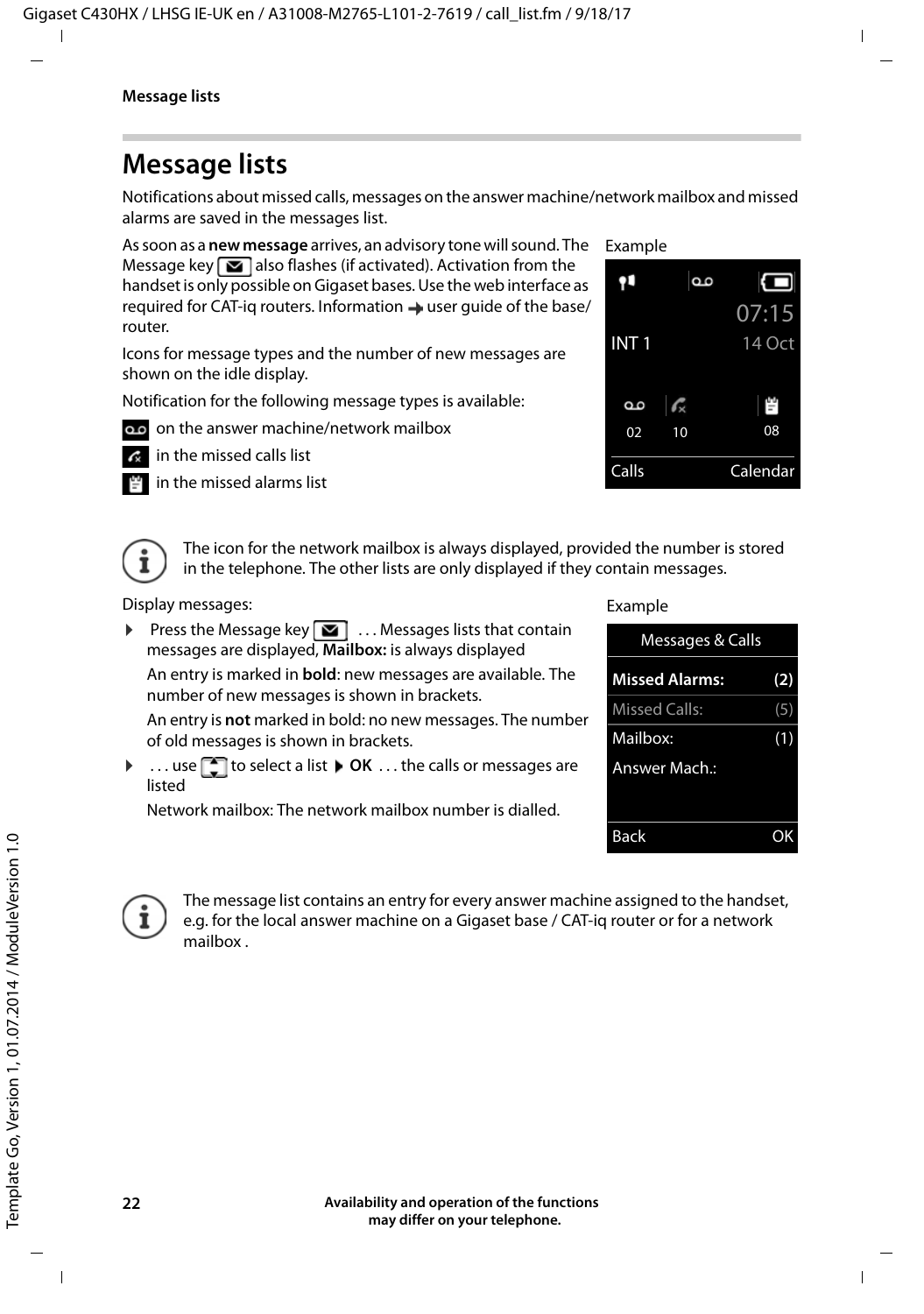# <span id="page-21-3"></span><span id="page-21-0"></span>**Message lists**

Notifications about missed calls, messages on the answer machine/network mailbox and missed alarms are saved in the messages list.

As soon as a **new message** arrives, an advisory tone will sound. The Message key  $\Box$  also flashes (if activated). Activation from the handset is only possible on Gigaset bases. Use the web interface as required for CAT-iq routers. Information  $\rightarrow$  user quide of the base/ router.

Icons for message types and the number of new messages are shown on the idle display.

Notification for the following message types is available:

- on the answer machine/network mailbox
	- in the missed calls list
	- in the missed alarms list

<span id="page-21-2"></span>

<span id="page-21-1"></span>The icon for the network mailbox is always displayed, provided the number is stored in the telephone. The other lists are only displayed if they contain messages.

Display messages:

**Press the Message key**  $\boxed{\bullet}$  ... Messages lists that contain messages are displayed, **Mailbox:** is always displayed

An entry is marked in **bold**: new messages are available. The number of new messages is shown in brackets.

An entry is **not** marked in bold: no new messages. The number of old messages is shown in brackets.

 $\blacktriangleright$  ... use  $\lceil \frac{1}{2} \rceil$  to select a list  $\blacktriangleright$  **OK** ... the calls or messages are listed

Network mailbox: The network mailbox number is dialled.

#### Example





The message list contains an entry for every answer machine assigned to the handset, e.g. for the local answer machine on a Gigaset base / CAT-iq router or for a network mailbox .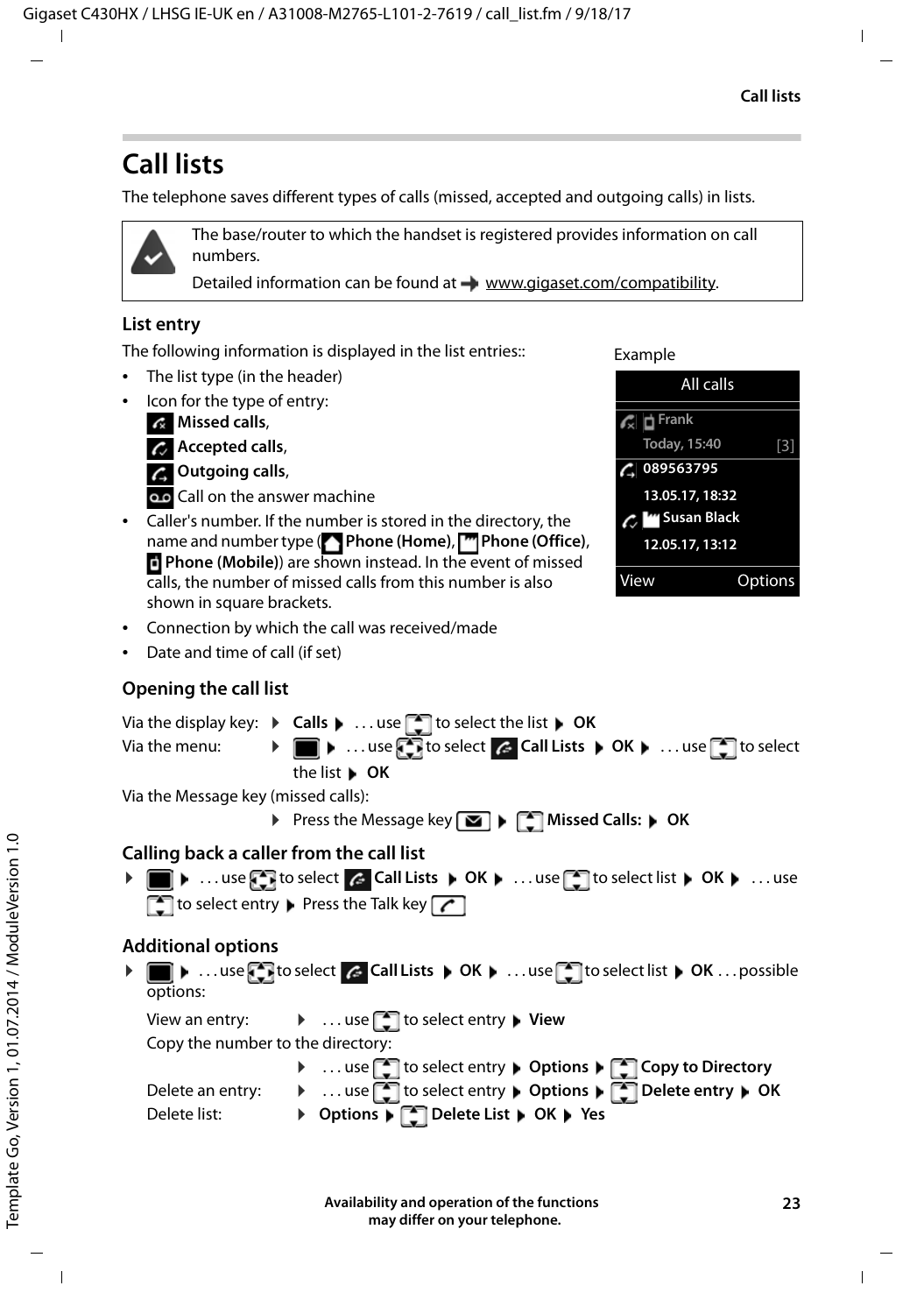# <span id="page-22-1"></span><span id="page-22-0"></span>**Call lists**

The telephone saves different types of calls (missed, accepted and outgoing calls) in lists.



The base/router to which the handset is registered provides information on call numbers.

Detailed information can be found at [www.gigaset.com/compatibility.](http://www.gigaset.com/compatibility)

### <span id="page-22-6"></span>**List entry**

The following information is displayed in the list entries::

- The list type (in the header)
- Icon for the type of entry:

**Missed calls**,



**Outgoing calls**,

Call on the answer machine

• Caller's number. If the number is stored in the directory, the name and number type ( **Phone (Home)**, **Phone (Office)**, **Phone (Mobile)**) are shown instead. In the event of missed calls, the number of missed calls from this number is also shown in square brackets.

Example



- Connection by which the call was received/made
- Date and time of call (if set)

# <span id="page-22-7"></span>**Opening the call list**

Via the display key: ▶ Calls ▶ ...use to select the list ▶ OK

Via the menu: ▶ ■ ▶ ... use to select c Call Lists ▶ OK ▶ ... use to select the list **OK**

Via the Message key (missed calls):

**▶** Press the Message key **MI** ▶  $\begin{bmatrix} \bullet \\ \bullet \end{bmatrix}$  Missed Calls: ▶ OK

### <span id="page-22-2"></span>**Calling back a caller from the call list**

**▶ ■ ▶** ... use to select a call Lists ▶ OK ▶ ... use to select list ▶ OK ▶ ... use  $\Box$  to select entry  $\Box$  Press the Talk key  $\Box$ 

# **Additional options**

<span id="page-22-3"></span>**▶ ■ ▶** ... use to select A Call Lists ▶ OK ▶ ... use to select list ▶ OK ... possible options:

View an entry: **▶ ... use** to select entry ▶ View

Copy the number to the directory:

<span id="page-22-5"></span><span id="page-22-4"></span>

|                  | ▶  use to select entry ▶ Options ▶ [●] Copy to Directory   |
|------------------|------------------------------------------------------------|
| Delete an entry: | ▶  use state to select entry ▶ Options ▶ Solete entry ▶ OK |
| Delete list:     | ▶ Options ▶ ॑ Delete List ▶ OK ▶ Yes                       |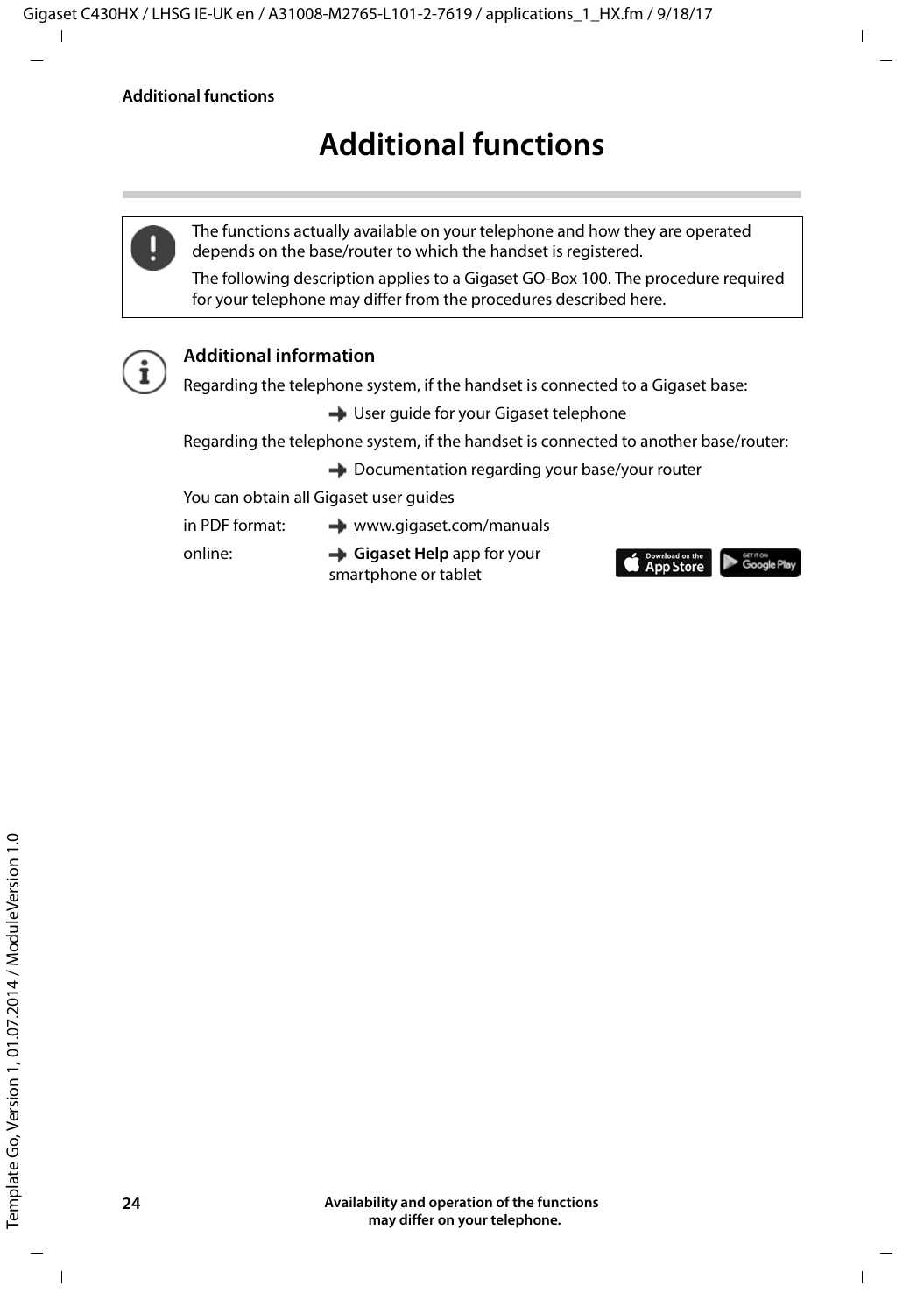# **Additional functions**

<span id="page-23-0"></span>

The functions actually available on your telephone and how they are operated depends on the base/router to which the handset is registered.

The following description applies to a Gigaset GO-Box 100. The procedure required for your telephone may differ from the procedures described here.



# **Additional information**

Regarding the telephone system, if the handset is connected to a Gigaset base:

- **→ User quide for your Gigaset telephone**
- Regarding the telephone system, if the handset is connected to another base/router:
	- **→** Documentation regarding your base/your router
- You can obtain all Gigaset user guides

in PDF format: [www.gigaset.com/manuals](http://www.gigaset.com/manuals)

online: **Gigaset Help** app for your smartphone or tablet

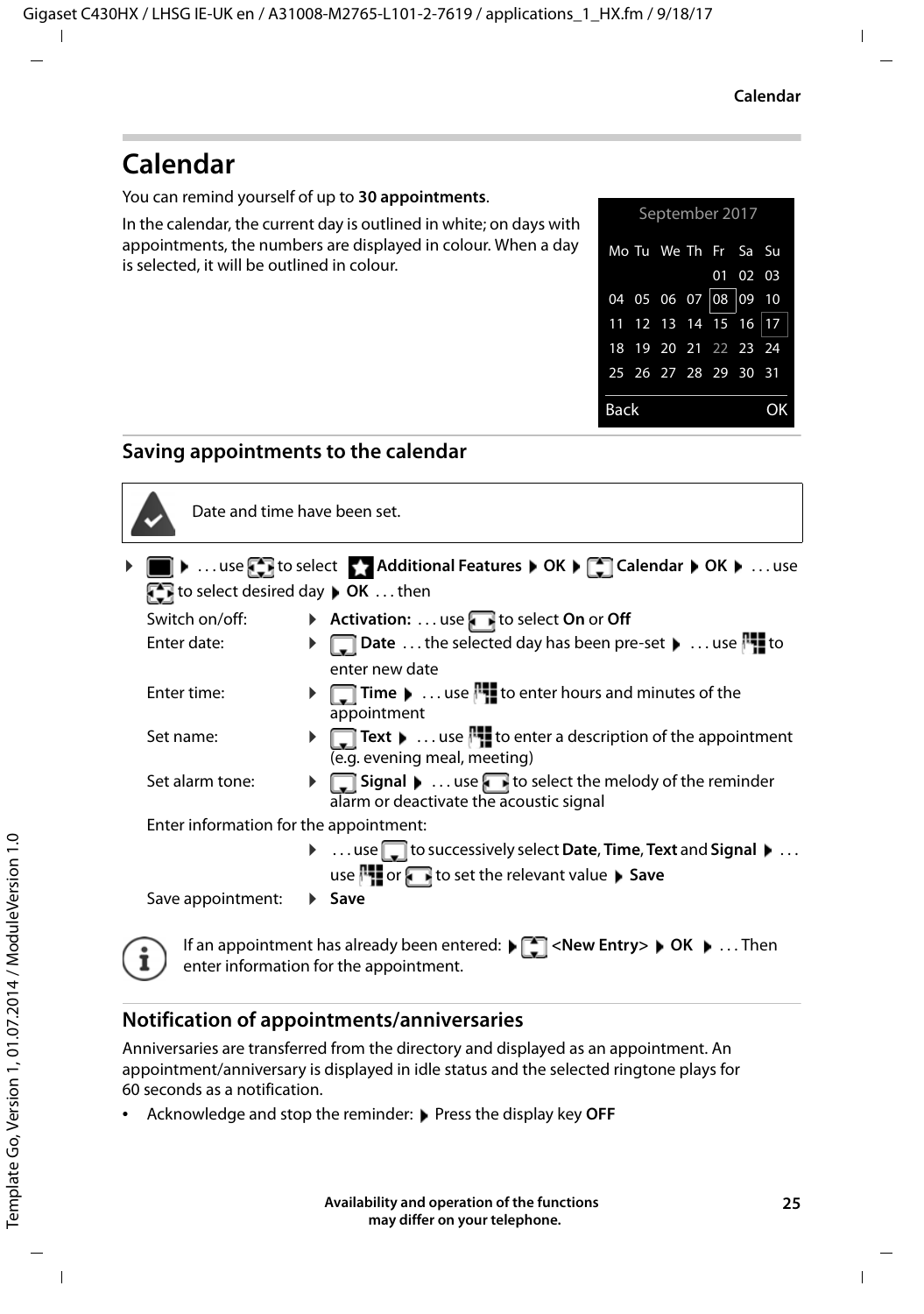# <span id="page-24-2"></span><span id="page-24-0"></span>**Calendar**

You can remind yourself of up to **30 appointments**.

In the calendar, the current day is outlined in white; on days with appointments, the numbers are displayed in colour. When a day is selected, it will be outlined in colour.



### **Saving appointments to the calendar**



Date and time have been set.

- **i**  $\bullet$  ... use  $\begin{bmatrix} 1 & 0 \\ 0 & 1 \end{bmatrix}$  to select  $\bullet$  **Additional Features**  $\bullet$  OK  $\bullet$  **Calendar**  $\bullet$  OK  $\bullet$  ... use **to select desired day <b>DK** . . . then
	- Switch on/off:  $\rightarrow$  **Activation:** ... use **t**o select **On** or **Off**<br>Futer date:  $\rightarrow$  **Date** the selected day has been pre-
		- **Example 3 Date** . . . the selected day has been pre-set **Decimal 2** to enter new date
	- Enter time:  $\rightarrow \Box$  **Time**  $\rightarrow \ldots$  use  $\Box$  to enter hours and minutes of the appointment
	- Set name:  $\mathbf{F}$  **Text**  $\mathbf{F}$  ... use  $\mathbf{F}$  to enter a description of the appointment (e.g. evening meal, meeting)
	- Set alarm tone:  $\mathbf{F}$  **Signal**  $\mathbf{F}$  ... use to select the melody of the reminder alarm or deactivate the acoustic signal

Enter information for the appointment:

**▶** ...use to successively select Date, Time, Text and Signal ▶ ... use **1** or **T** to set the relevant value **Save** 

Save appointment: **Example** 



If an appointment has already been entered:  $\blacktriangleright$   $\lceil \frac{1}{2} \rceil$  < New Entry >  $\blacktriangleright$  OK  $\blacktriangleright$  ... Then enter information for the appointment.

### <span id="page-24-1"></span>**Notification of appointments/anniversaries**

Anniversaries are transferred from the directory and displayed as an appointment. An appointment/anniversary is displayed in idle status and the selected ringtone plays for 60 seconds as a notification.

**Acknowledge and stop the reminder: Press the display key OFF**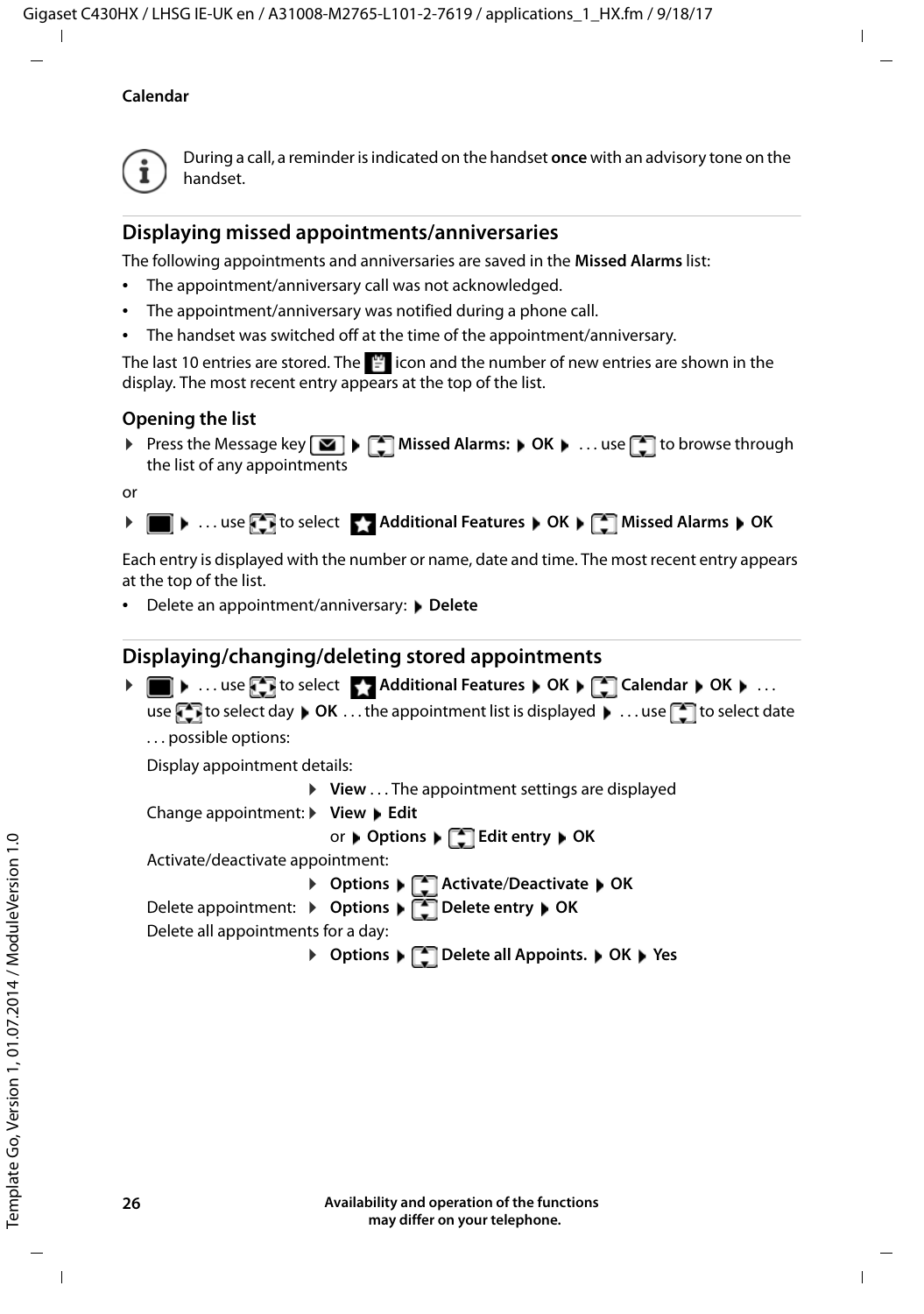#### **Calendar**



During a call, a reminder is indicated on the handset **once** with an advisory tone on the handset.

### <span id="page-25-0"></span>**Displaying missed appointments/anniversaries**

The following appointments and anniversaries are saved in the **Missed Alarms** list:

- The appointment/anniversary call was not acknowledged.
- The appointment/anniversary was notified during a phone call.
- The handset was switched off at the time of the appointment/anniversary.

The last 10 entries are stored. The  $\mathbb{F}$  icon and the number of new entries are shown in the display. The most recent entry appears at the top of the list.

### **Opening the list**

▶ Press the Message key **M** ▶ <a> Missed Alarms: ▶ OK ▶ ... use <a> I to browse through the list of any appointments

or

```
\triangleright \blacksquare \triangleright ... use \blacksquare Additional Features \triangleright OK \triangleright \blacksquare Missed Alarms \triangleright OK
```
Each entry is displayed with the number or name, date and time. The most recent entry appears at the top of the list.

**Delete an appointment/anniversary: ▶ Delete** 

### **Displaying/changing/deleting stored appointments**

▶ **■ ▶** ... use **C** to select **Additional Features ▶ OK ▶ C** Calendar ▶ OK ▶ ... use **the select day**  $\triangleright$  **OK** ... the appointment list is displayed  $\triangleright$  ... use **the select date** . . . possible options: Display appointment details: ▶ View . . . The appointment settings are displayed Change appointment: ▶ View ▶ Edit or **Options Edit entry OK** Activate/deactivate appointment: ¤ **Options Activate**/**Deactivate OK** Delete appointment: ¤ **Options Delete entry OK**

Delete all appointments for a day:

¤ **Options Delete all Appoints. OK Yes**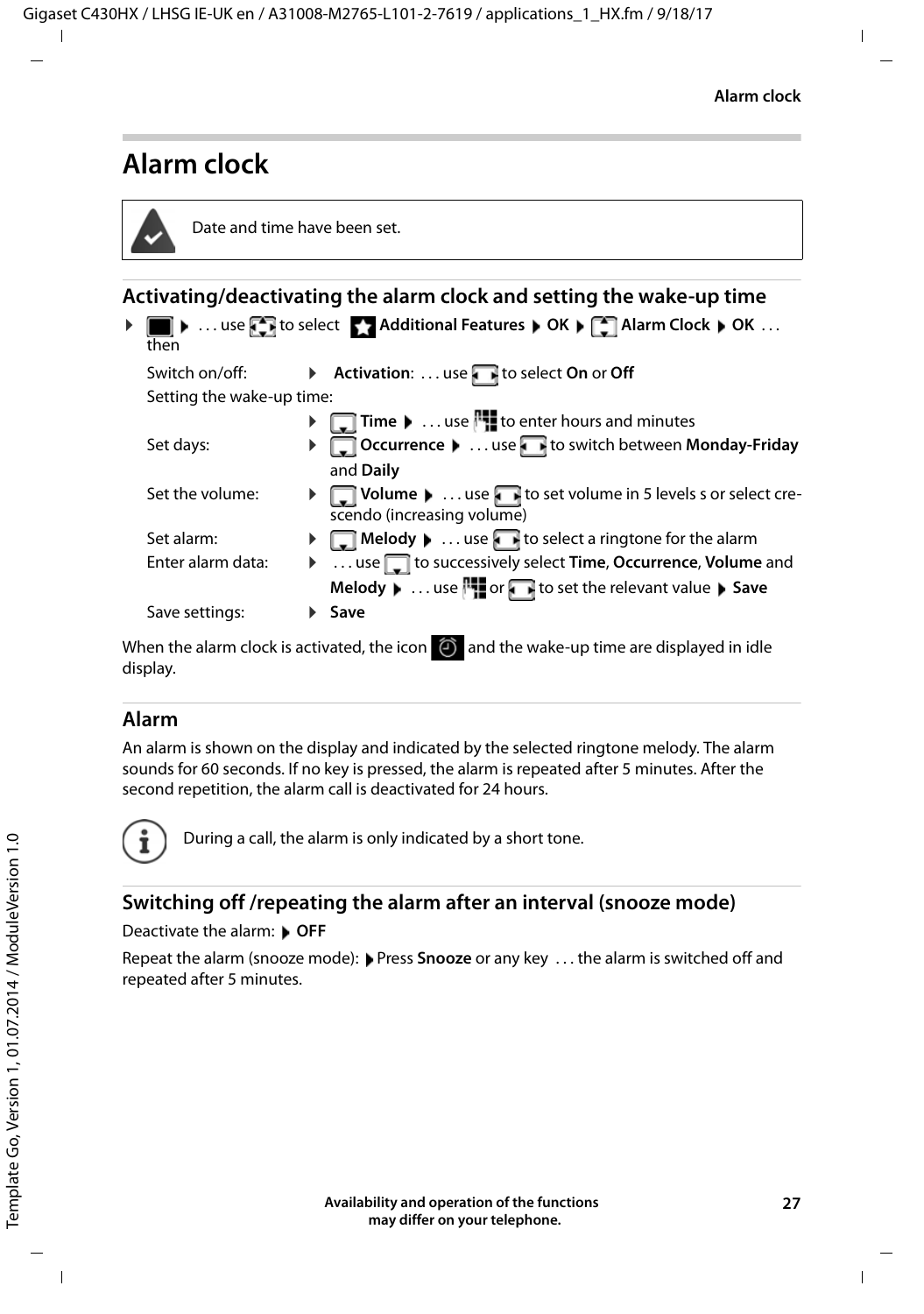# <span id="page-26-2"></span><span id="page-26-0"></span>**Alarm clock**

<span id="page-26-3"></span>

|            | Date and time have been set. |                                                                                                                        |
|------------|------------------------------|------------------------------------------------------------------------------------------------------------------------|
|            |                              | Activating/deactivating the alarm clock and setting the wake-up time                                                   |
| then       |                              | ▶ ■ ▶  use B to select Additional Features ▶ OK ▶ B Alarm Clock ▶ OK                                                   |
|            | Switch on/off:               | Activation:  use to select On or Off                                                                                   |
|            | Setting the wake-up time:    |                                                                                                                        |
|            |                              | □ Time ▶  use   to enter hours and minutes                                                                             |
| Set days:  |                              | ▶ ○ Occurrence ▶  use bit to switch between Monday-Friday                                                              |
|            |                              | and Daily                                                                                                              |
|            | Set the volume:              | $\blacktriangleright \Box$ Volume $\blacktriangleright$ use $\Box$ to set volume in 5 levels s or select cre-          |
|            |                              | scendo (increasing volume)                                                                                             |
| Set alarm: |                              | $\blacktriangleright \Box$ Melody $\blacktriangleright \ldots$ use $\Box$ to select a ringtone for the alarm           |
|            | Enter alarm data:            | ▶  use do successively select Time, Occurrence, Volume and                                                             |
|            |                              | Melody $\blacktriangleright$ use $\blacksquare$ or $\blacksquare$ to set the relevant value $\blacktriangleright$ Save |
|            | Save settings:               | $\blacktriangleright$ Save                                                                                             |
| display.   |                              | When the alarm clock is activated, the icon $\Theta$ and the wake-up time are displayed in idle                        |

### <span id="page-26-4"></span><span id="page-26-1"></span>**Alarm**

An alarm is shown on the display and indicated by the selected ringtone melody. The alarm sounds for 60 seconds. If no key is pressed, the alarm is repeated after 5 minutes. After the second repetition, the alarm call is deactivated for 24 hours.



During a call, the alarm is only indicated by a short tone.

### <span id="page-26-5"></span>**Switching off /repeating the alarm after an interval (snooze mode)**

#### Deactivate the alarm: **OFF**

Repeat the alarm (snooze mode): Press **Snooze** or any key . . . the alarm is switched off and repeated after 5 minutes.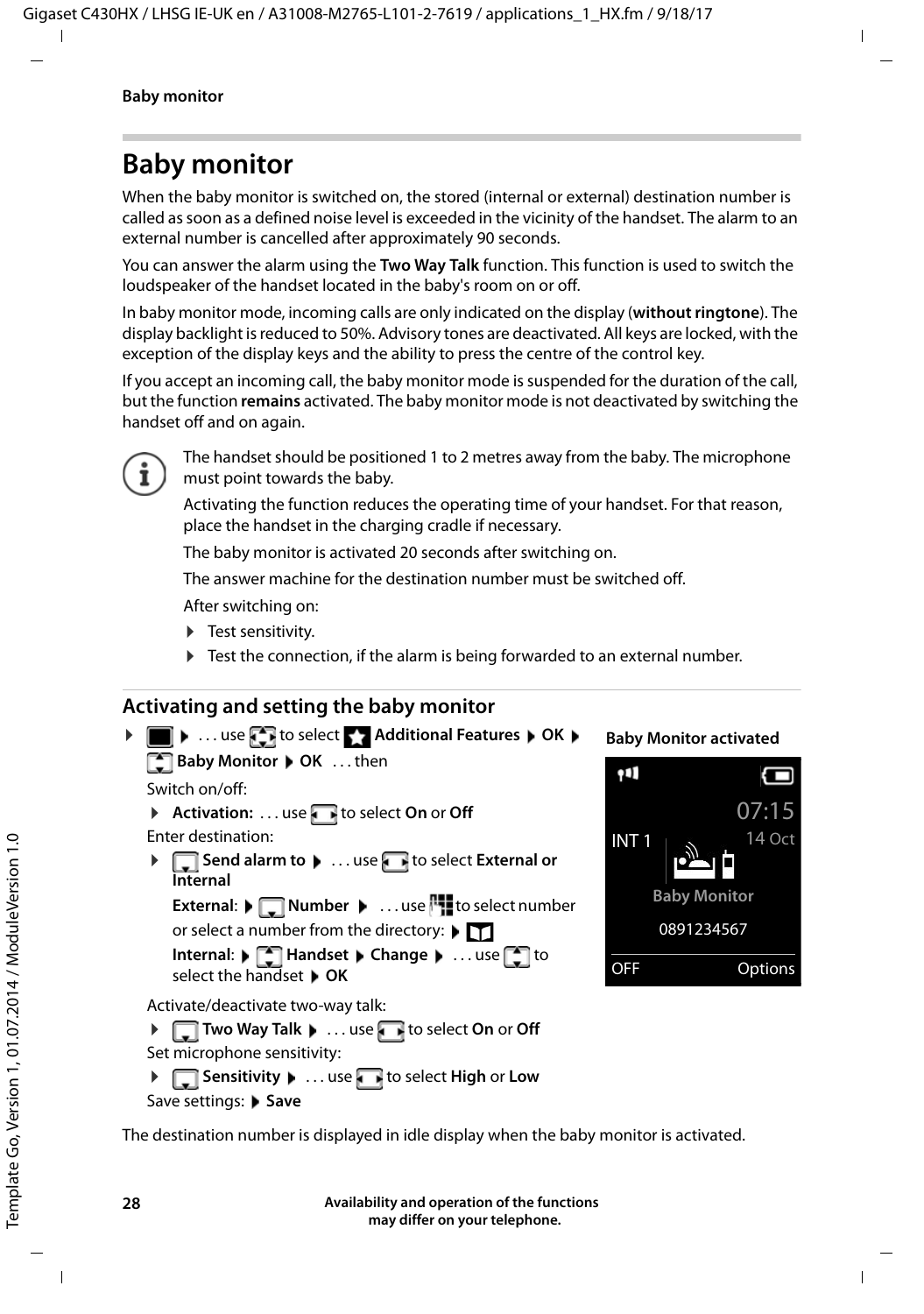# <span id="page-27-2"></span><span id="page-27-0"></span>**Baby monitor**

When the baby monitor is switched on, the stored (internal or external) destination number is called as soon as a defined noise level is exceeded in the vicinity of the handset. The alarm to an external number is cancelled after approximately 90 seconds.

You can answer the alarm using the **Two Way Talk** function. This function is used to switch the loudspeaker of the handset located in the baby's room on or off.

In baby monitor mode, incoming calls are only indicated on the display (**without ringtone**). The display backlight is reduced to 50%. Advisory tones are deactivated. All keys are locked, with the exception of the display keys and the ability to press the centre of the control key.

If you accept an incoming call, the baby monitor mode is suspended for the duration of the call, but the function **remains** activated. The baby monitor mode is not deactivated by switching the handset off and on again.



The handset should be positioned 1 to 2 metres away from the baby. The microphone must point towards the baby.

Activating the function reduces the operating time of your handset. For that reason, place the handset in the charging cradle if necessary.

The baby monitor is activated 20 seconds after switching on.

The answer machine for the destination number must be switched off.

After switching on:

- $\blacktriangleright$  Test sensitivity.
- $\blacktriangleright$  Test the connection, if the alarm is being forwarded to an external number.

### <span id="page-27-3"></span><span id="page-27-1"></span>**Activating and setting the baby monitor**



**Baby Monitor activated**



The destination number is displayed in idle display when the baby monitor is activated.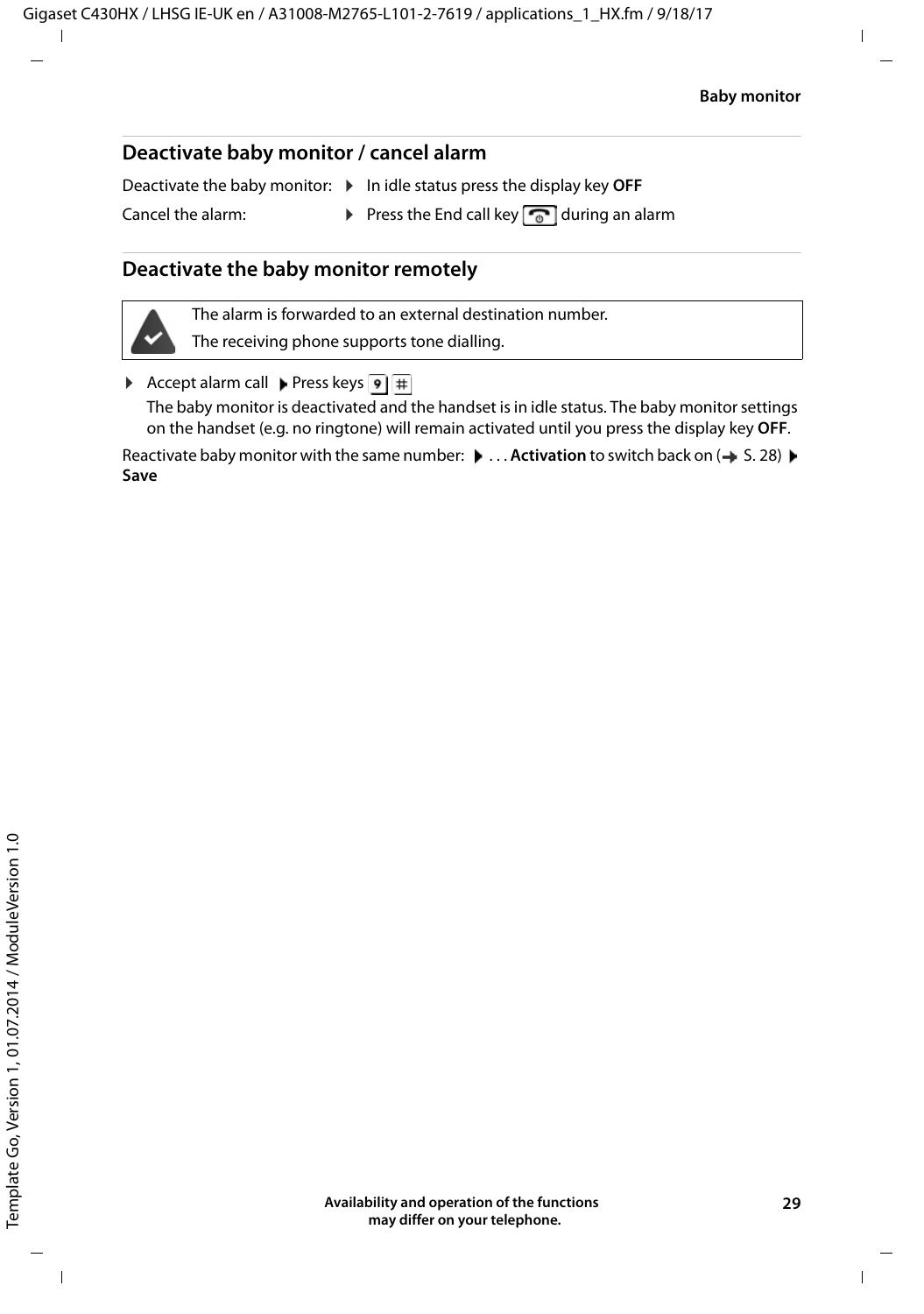### <span id="page-28-0"></span>**Deactivate baby monitor / cancel alarm**

Deactivate the baby monitor:  $\triangleright$  In idle status press the display key OFF

Cancel the alarm: **•** Press the End call key  $\sqrt{\bullet}$  during an alarm

### **Deactivate the baby monitor remotely**



The alarm is forwarded to an external destination number.

The receiving phone supports tone dialling.

Accept alarm call Press keys  $\boxed{9}$  #

The baby monitor is deactivated and the handset is in idle status. The baby monitor settings on the handset (e.g. no ringtone) will remain activated until you press the display key **OFF**.

Reactivate baby monitor with the same number:  $\bullet \dots$  **Activation** to switch back on ( $\bullet$  S. [28\)](#page-27-1)  $\bullet$ **Save**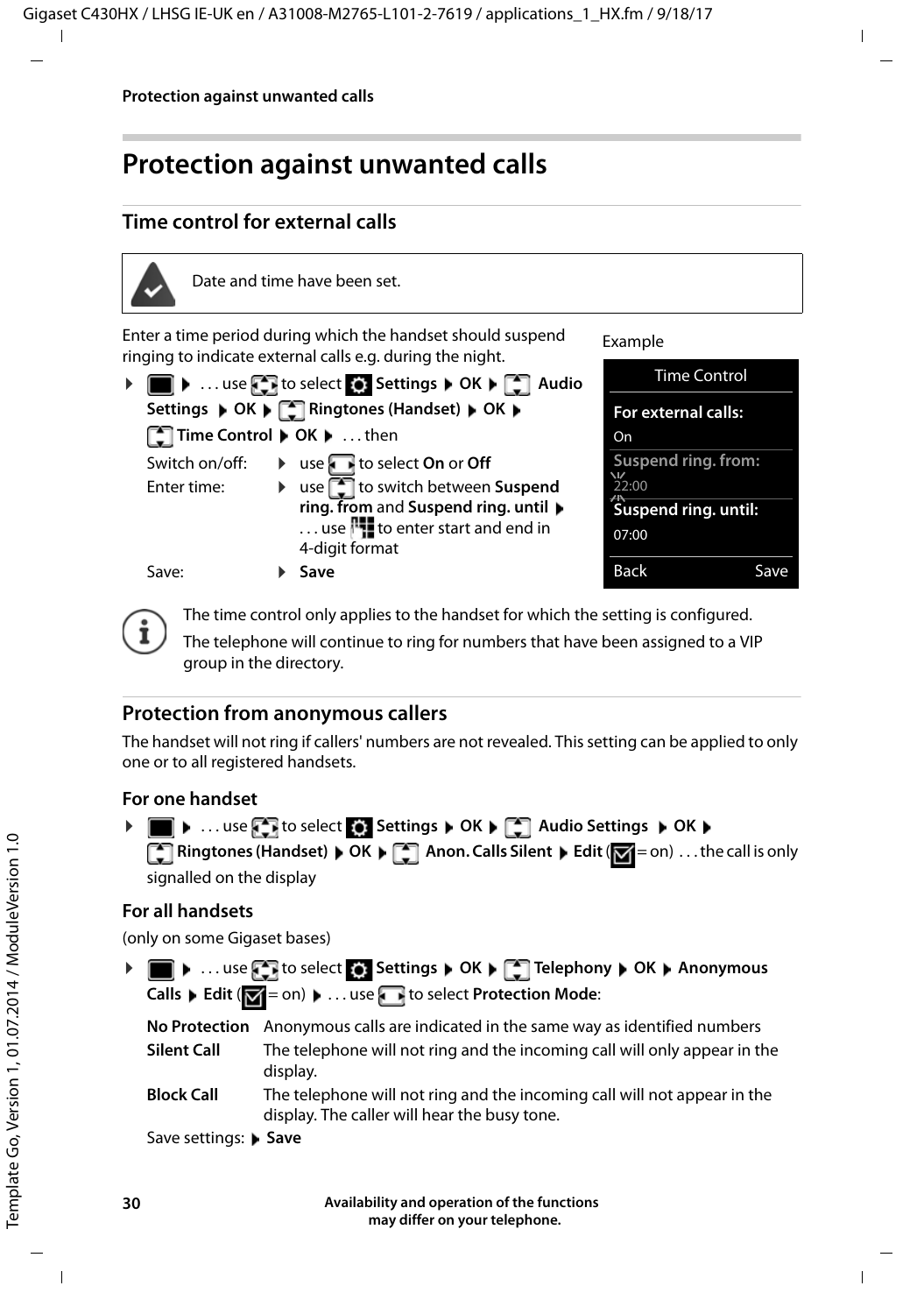# <span id="page-29-0"></span>**Protection against unwanted calls**

## <span id="page-29-3"></span>**Time control for external calls**



Date and time have been set.

<span id="page-29-2"></span>Enter a time period during which the handset should suspend ringing to indicate external calls e.g. during the night.

|                                         |  | ▶ ■ ▶  use by to select $\bullet$ Settings ▶ OK ▶ C Audio                                                                                                         |  |  |
|-----------------------------------------|--|-------------------------------------------------------------------------------------------------------------------------------------------------------------------|--|--|
| Settings DC DE Ringtones (Handset) DC D |  |                                                                                                                                                                   |  |  |
| ■ Time Control ▶ OK ▶ then              |  |                                                                                                                                                                   |  |  |
| Switch on/off:                          |  | $\triangleright$ use $\triangleright$ to select On or Off                                                                                                         |  |  |
| Enter time:                             |  | ▶ use stript use switch between Suspend<br>ring. from and Suspend ring. until $\blacktriangleright$<br>use <b>l'i</b> to enter start and end in<br>4-digit format |  |  |
| Save:                                   |  | Save                                                                                                                                                              |  |  |

Example



The time control only applies to the handset for which the setting is configured.

The telephone will continue to ring for numbers that have been assigned to a VIP group in the directory.

### **Protection from anonymous callers**

<span id="page-29-1"></span>The handset will not ring if callers' numbers are not revealed. This setting can be applied to only one or to all registered handsets.

### **For one handset**

| ▶ ■ ▶  use the to select of Settings ▶ OK ▶ 【 】 Audio Settings ▶ OK ▶        |
|------------------------------------------------------------------------------|
| Ringtones (Handset) DK DE Anon. Calls Silent DEdit (M= on)  the call is only |
| signalled on the display                                                     |

### **For all handsets**

(only on some Gigaset bases)

**▶ ■ ▶** ... use **T** to select  $\bullet$  Settings ▶ OK ▶ ■ Telephony ▶ OK ▶ Anonymous **Calls ▶ Edit (** $\boxed{\blacksquare}$  = on) ▶ ... use to select **Protection Mode**:

|                    | No Protection Anonymous calls are indicated in the same way as identified numbers                                        |
|--------------------|--------------------------------------------------------------------------------------------------------------------------|
| <b>Silent Call</b> | The telephone will not ring and the incoming call will only appear in the<br>display.                                    |
| <b>Block Call</b>  | The telephone will not ring and the incoming call will not appear in the<br>display. The caller will hear the busy tone. |

Save settings: Save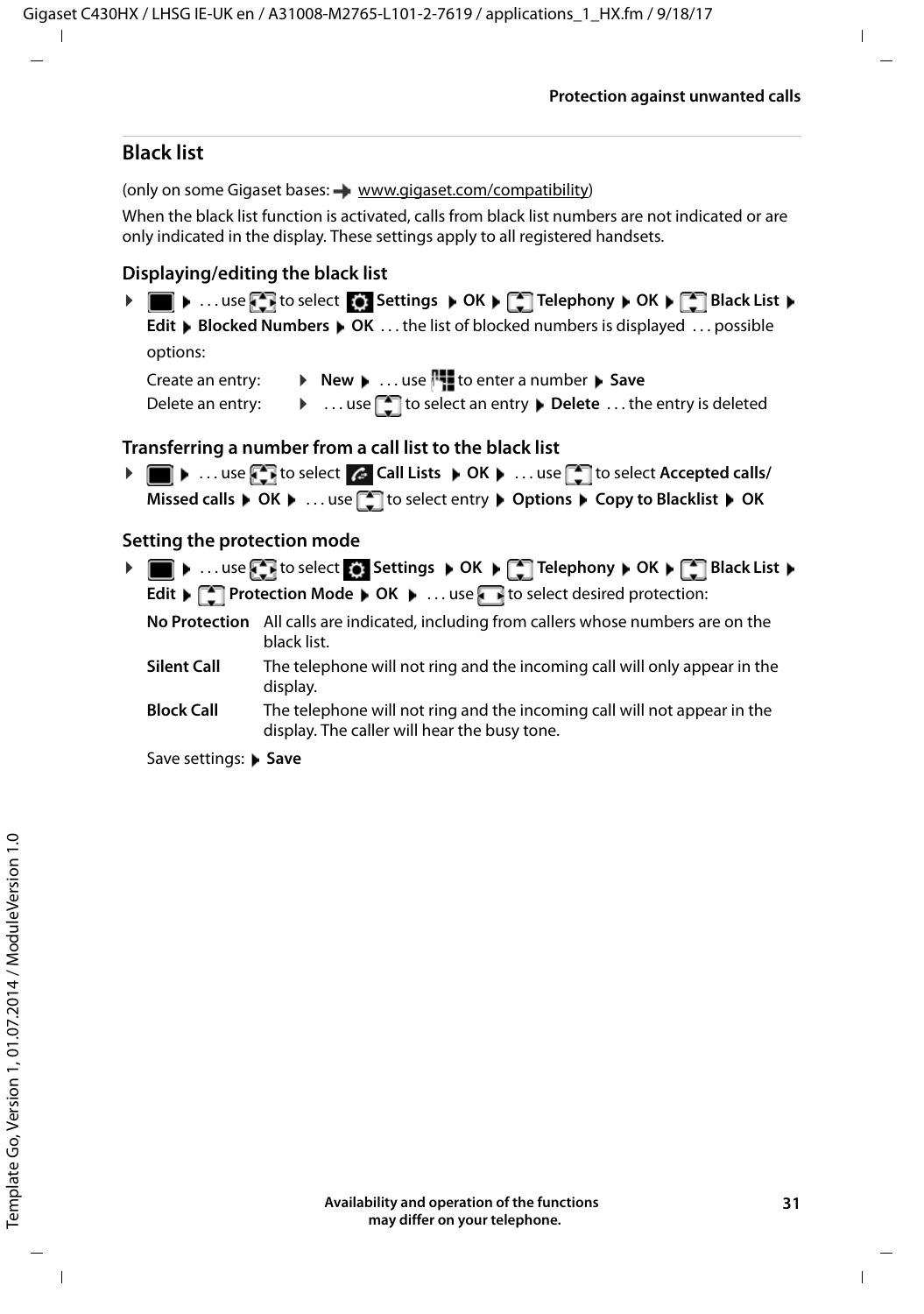### **Black list**

<span id="page-30-0"></span>(only on some Gigaset bases:  $\rightarrow$  [www.gigaset.com/compatibility](http://www.gigaset.com/compatibility))

When the black list function is activated, calls from black list numbers are not indicated or are only indicated in the display. These settings apply to all registered handsets.

### **Displaying/editing the black list**

- **▶ I I D** ... use **F** if to select **S** Settings **A** OK **A**  $\begin{bmatrix} 2 \\ 1 \end{bmatrix}$  Telephony **A** OK **A**  $\begin{bmatrix} 2 \\ 1 \end{bmatrix}$  Black List **A Edit Displayed Numbers DIG K** . . . the list of blocked numbers is displayed . . . possible options: Create an entry: **Example 20 Increase 1.1** to enter a number **Figure** Save
	- Delete an entry:  $\longrightarrow \dots$  use  $\Box$  to select an entry  $\blacktriangleright$  Delete  $\dots$  the entry is deleted

### **Transferring a number from a call list to the black list**

**▶ ■ ▶ ... use T** to select **C** Call Lists **▶ OK ▶ ... use** to select Accepted calls/ **Missed calls**  $\triangleright$  OK  $\triangleright$  ... use  $\begin{bmatrix} \cdot \\ \cdot \end{bmatrix}$  to select entry  $\triangleright$  Options  $\triangleright$  Copy to Blacklist  $\triangleright$  OK

### **Setting the protection mode**

- <span id="page-30-1"></span>**▶** ■ ▶ ...use T to select **S** Settings ▶ OK ▶ T Telephony ▶ OK ▶ T Black List ▶ **Edit**  $\blacktriangleright$  $\lceil \frac{2}{3} \rceil$  **Protection Mode**  $\blacktriangleright$  **OK**  $\blacktriangleright$  **... use the to select desired protection:** 
	- **No Protection** All calls are indicated, including from callers whose numbers are on the black list.
	- **Silent Call** The telephone will not ring and the incoming call will only appear in the display.
	- **Block Call** The telephone will not ring and the incoming call will not appear in the display. The caller will hear the busy tone.
	- Save settings: Save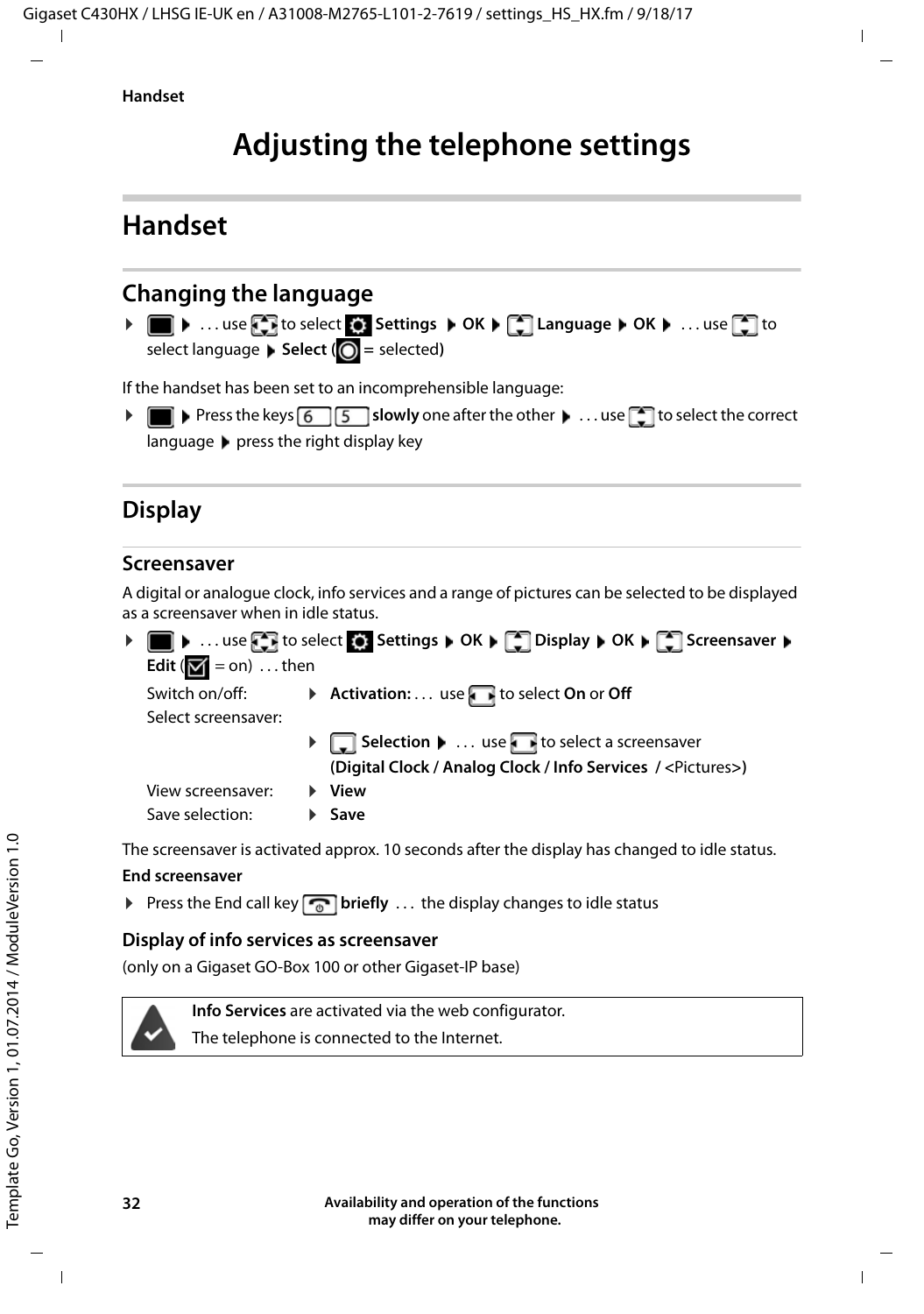# **Adjusting the telephone settings**

# <span id="page-31-1"></span><span id="page-31-0"></span>**Handset**

# <span id="page-31-2"></span>**Changing the language**

**▶** ■ ▶ ... use **F** to select **S**: Settings ▶ OK ▶ F Language ▶ OK ▶ ... use F to select language **> Select** (  $\bigcirc$  = selected)

<span id="page-31-5"></span>If the handset has been set to an incomprehensible language:

**▶** ■ ▶ Press the keys **6** | 5 | slowly one after the other ▶ ... use to to select the correct languagepress the right display key

# <span id="page-31-4"></span>**Display**

### <span id="page-31-3"></span>**Screensaver**

A digital or analogue clock, info services and a range of pictures can be selected to be displayed as a screensaver when in idle status.

|                                           | ▶ ■ ▶  use < T to select < Settings ▶ OK ▶ < Display ▶ OK ▶ < Screensaver ▶ |
|-------------------------------------------|-----------------------------------------------------------------------------|
| Edit ( $\boxed{\blacksquare}$ = on)  then |                                                                             |
| Switch on/off:                            | Activation: use $\blacksquare$ to select On or Off                          |
| Select screensaver:                       |                                                                             |
|                                           | ▶ Selection ▶  use bet of select a screensaver                              |
|                                           | (Digital Clock / Analog Clock / Info Services / <pictures>)</pictures>      |
| View screensaver:                         | ▶ View                                                                      |
| Save selection:                           | $\blacktriangleright$ Save                                                  |
|                                           |                                                                             |

The screensaver is activated approx. 10 seconds after the display has changed to idle status.

### **End screensaver**

**Press the End call key <b>briefly** ... the display changes to idle status

### **Display of info services as screensaver**

(only on a Gigaset GO-Box 100 or other Gigaset-IP base)



The telephone is connected to the Internet.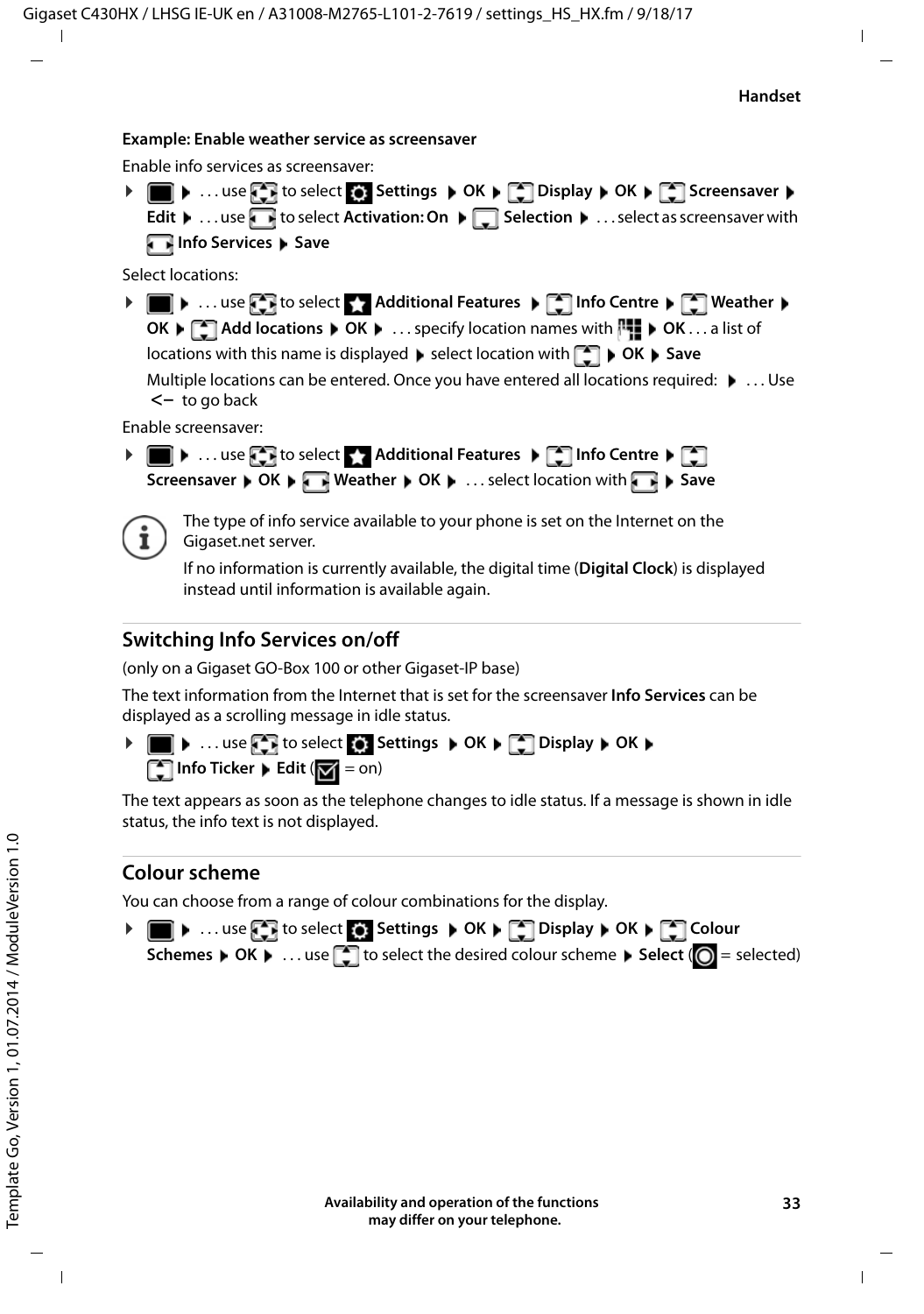#### **Example: Enable weather service as screensaver**

Enable info services as screensaver:

**▶ ■ ▶ ... use to select 3 Settings ▶ OK ▶ ■ Display ▶ OK ▶ ■ Screensaver ▶ Edit**  $\mathbf{F}$  . . . use **T** to select **Activation: On**  $\mathbf{F}$  **Selection**  $\mathbf{F}$  . . . select as screensaver with **Info Services** Save

Select locations:

**E**  $\bullet$  ... use **F** to select **Additional Features**  $\bullet$  **F** Info Centre  $\bullet$  **F** Weather  $\bullet$ **OK** ▶  $\Box$  Add locations ▶ OK ▶ ... specify location names with  $\Box$  ▶ OK ... a list of locations with this name is displayed  $\blacktriangleright$  select location with  $\begin{bmatrix} \blacktriangleright \\ \blacktriangleright \end{bmatrix}$   $\blacktriangleright$  **OK**  $\blacktriangleright$  **Save** Multiple locations can be entered. Once you have entered all locations required:  $\blacktriangleright$  ... Use **<–** to go back

Enable screensaver:

**Example 1 ... use**  $\blacksquare$  **to select**  $\blacksquare$  **Additional Features**  $\blacktriangleright \blacksquare$  **Info Centre**  $\blacktriangleright \square$ **Screensaver**  $\triangleright$  OK  $\triangleright$  **Weather**  $\triangleright$  OK  $\triangleright$  ... select location with  $\blacksquare$   $\triangleright$  Save



The type of info service available to your phone is set on the Internet on the Gigaset.net server.

If no information is currently available, the digital time (**Digital Clock**) is displayed instead until information is available again.

### **Switching Info Services on/off**

(only on a Gigaset GO-Box 100 or other Gigaset-IP base)

The text information from the Internet that is set for the screensaver **Info Services** can be displayed as a scrolling message in idle status.

**▶ ■ ▶ ... use to select 8. Settings ▶ OK ▶ CDIsplay ▶ OK ▶ T** Info Ticker **F** Edit ( $\mathbf{V} = \text{on}$ )

The text appears as soon as the telephone changes to idle status. If a message is shown in idle status, the info text is not displayed.

### <span id="page-32-0"></span>**Colour scheme**

You can choose from a range of colour combinations for the display.

**▶ ■ ▶ ... use Colour Colour B** Settings ▶ OK ▶ COLOUR **Display ▶ OK ▶** Colour **Schemes • OK •** ... use  $\Box$  to select the desired colour scheme • Select ( $\bigcirc$  = selected)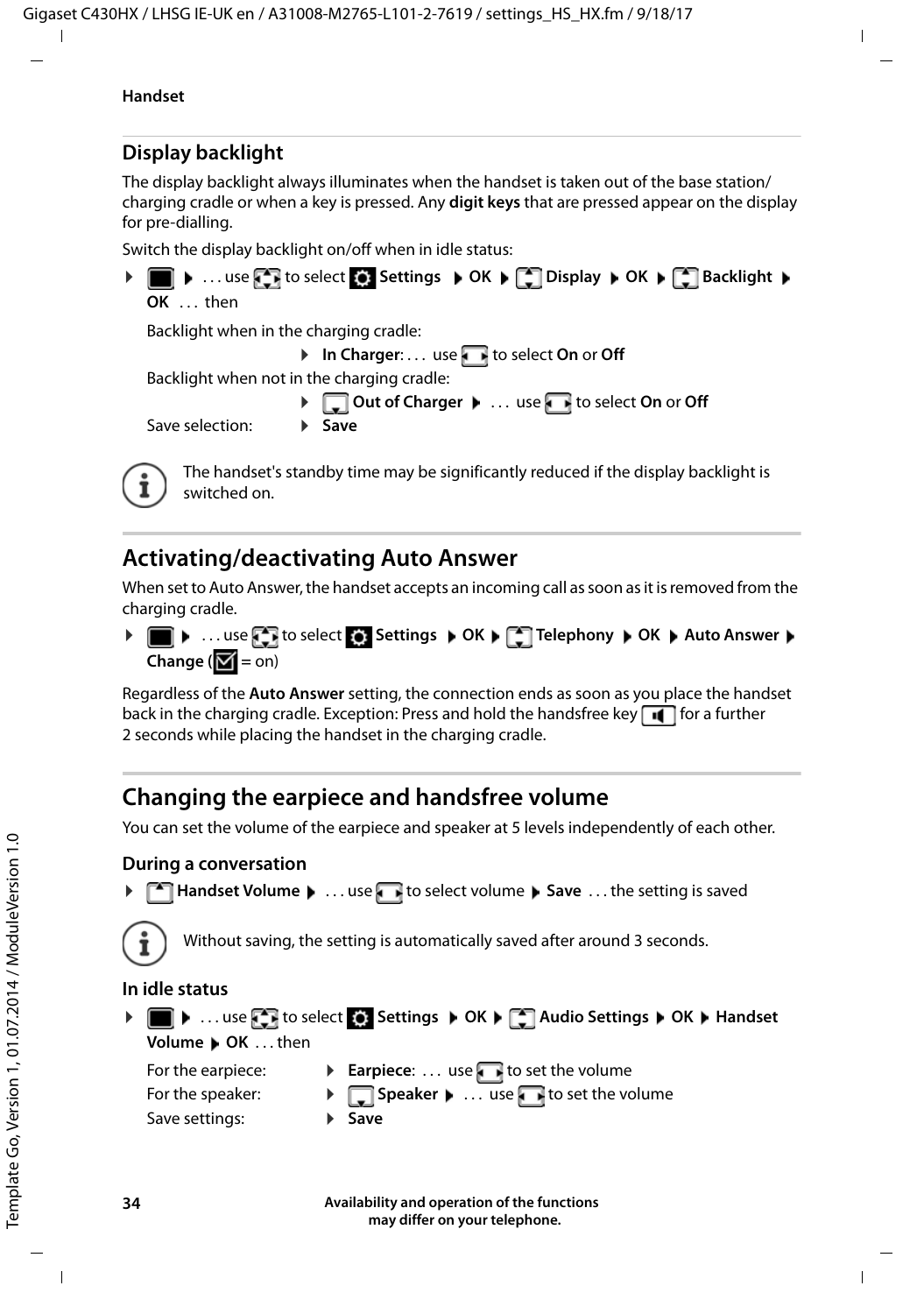# <span id="page-33-2"></span>**Display backlight**

The display backlight always illuminates when the handset is taken out of the base station/ charging cradle or when a key is pressed. Any **digit keys** that are pressed appear on the display for pre-dialling.

Switch the display backlight on/off when in idle status:



# <span id="page-33-3"></span><span id="page-33-0"></span>**Activating/deactivating Auto Answer**

When set to Auto Answer, the handset accepts an incoming call as soon as it is removed from the charging cradle.

**▶ III ▶** ... use  $\Box$  to select  $\Box$  Settings ▶ OK ▶  $\Box$  Telephony ▶ OK ▶ Auto Answer ▶ **Change (** $\mathbf{Z} = \text{on}$ **)** 

Regardless of the **Auto Answer** setting, the connection ends as soon as you place the handset back in the charging cradle. Exception: Press and hold the handsfree key  $\blacksquare$  for a further 2 seconds while placing the handset in the charging cradle.

# <span id="page-33-1"></span>**Changing the earpiece and handsfree volume**

<span id="page-33-4"></span>You can set the volume of the earpiece and speaker at 5 levels independently of each other.

### **During a conversation**

**▶ △ Handset Volume ▶ ... use** is select volume ▶ Save ... the setting is saved



Without saving, the setting is automatically saved after around 3 seconds.

### **In idle status**

| Volume DOK then                       | ▶   ▶   use <   to select <   Settings   OK   <   Audio Settings   OK   Handset       |
|---------------------------------------|---------------------------------------------------------------------------------------|
| For the earpiece:<br>For the speaker: | <b>Earpiece:</b> use <b>F</b> to set the volume<br>> Speaker >  use to set the volume |
| Save settings:                        | $\blacktriangleright$ Save                                                            |

**Availability and operation of the functions may differ on your telephone.**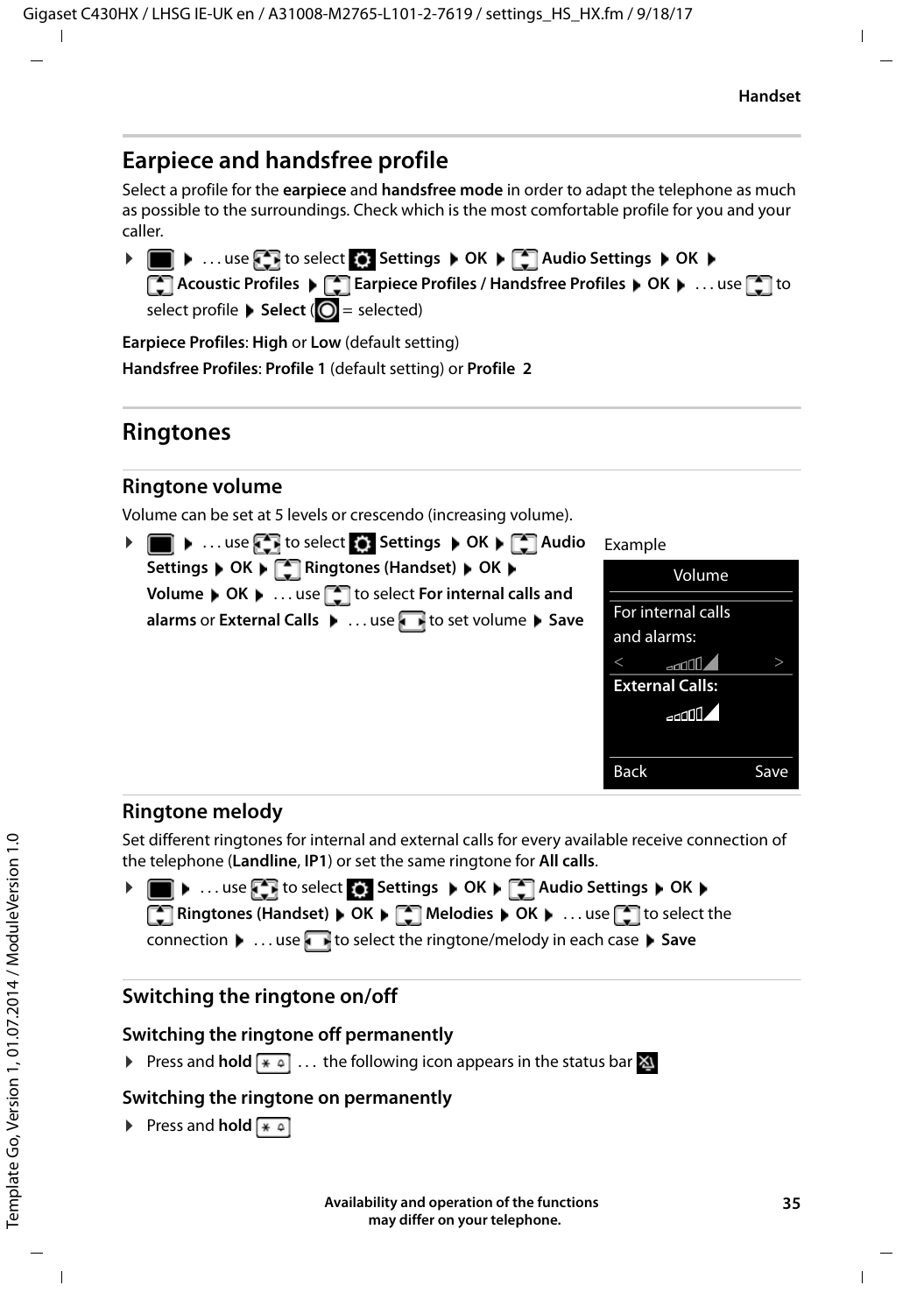# <span id="page-34-0"></span>**Earpiece and handsfree profile**

Select a profile for the **earpiece** and **handsfree mode** in order to adapt the telephone as much as possible to the surroundings. Check which is the most comfortable profile for you and your caller.

 $\triangleright$   $\blacksquare$   $\triangleright$  ... use  $\blacksquare$  to select  $\blacksquare$  Settings  $\triangleright$  OK  $\triangleright$  OK  $\triangleright$  Audio Settings  $\triangleright$  OK  $\triangleright$ **Acoustic Profiles**  $\triangleright$  **<b>Earpiece Profiles / Handsfree Profiles**  $\triangleright$  **OK**  $\triangleright$  **... use**  $\cdot$  **to** select profile **Select** (**O** = selected)

**Earpiece Profiles**: **High** or **Low** (default setting)

**Handsfree Profiles**: **Profile 1** (default setting) or **Profile 2**

# <span id="page-34-2"></span>**Ringtones**

### <span id="page-34-3"></span>**Ringtone volume**

Volume can be set at 5 levels or crescendo (increasing volume).

| ▶ ■ ▶  use < F to select < Settings ▶ OK ▶ < Audio                                                                                                                            | Example                            |      |
|-------------------------------------------------------------------------------------------------------------------------------------------------------------------------------|------------------------------------|------|
| Settings $\blacktriangleright$ OK $\blacktriangleright$ $\begin{bmatrix} \bullet \\ \bullet \end{bmatrix}$ Ringtones (Handset) $\blacktriangleright$ OK $\blacktriangleright$ | Volume                             |      |
| Volume $\triangleright$ OK $\triangleright$ use $\triangleright$ to select For internal calls and<br>alarms or External Calls (Calls and Called A to set volume ) Save        | For internal calls<br>and alarms:  |      |
|                                                                                                                                                                               | and fill<br><b>External Calls:</b> |      |
|                                                                                                                                                                               | بالالتك                            |      |
|                                                                                                                                                                               | <b>Back</b>                        | Save |

### <span id="page-34-1"></span>**Ringtone melody**

Set different ringtones for internal and external calls for every available receive connection of the telephone (**Landline**, **IP1**) or set the same ringtone for **All calls**.

**▶ ■ ▶ ... use to select is Settings ▶ OK ▶ C Audio Settings ▶ OK ▶ Ringtones (Handset)**  $\triangleright$  **OK**  $\triangleright$  **<b>C** Melodies  $\triangleright$  OK  $\triangleright$  ... use **c** to select the connection **b** . . . use **th** to select the ringtone/melody in each case **b** Save

### <span id="page-34-4"></span>**Switching the ringtone on/off**

### **Switching the ringtone off permanently**

**▶** Press and **hold**  $\overline{\ast}$  **a** . . . the following icon appears in the status bar  $\Delta$ 

### **Switching the ringtone on permanently**

**Press and hold**  $* \infty$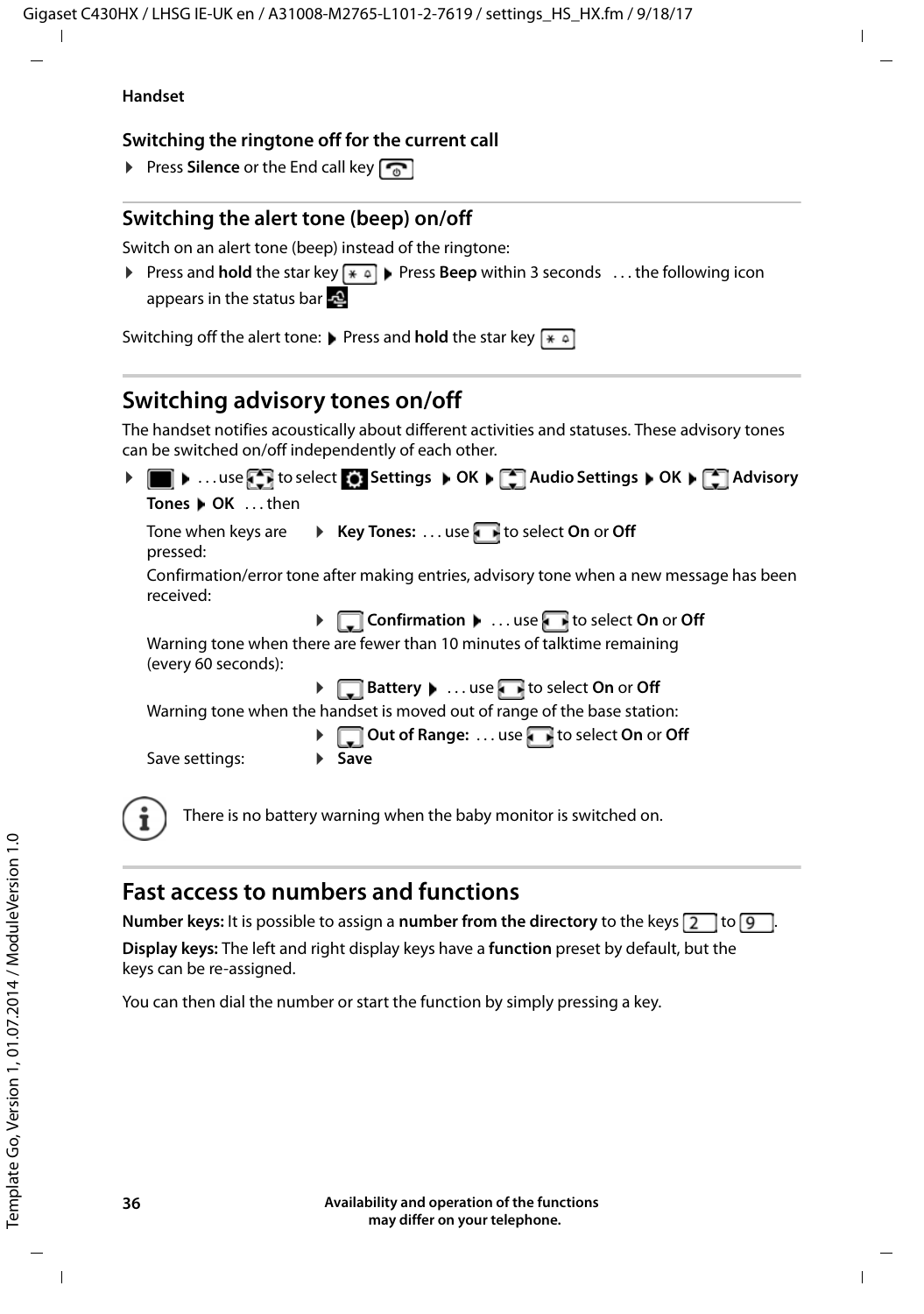#### **Handset**

### **Switching the ringtone off for the current call**

**▶ Press Silence** or the End call key

# <span id="page-35-1"></span>**Switching the alert tone (beep) on/off**

Switch on an alert tone (beep) instead of the ringtone:

**Example 3 Press and <b>hold** the star key  $\overline{*}$  **Press Beep** within 3 seconds ... the following icon appears in the status bar

Switching off the alert tone: **Press and hold** the star key  $\overline{)}$ 

# <span id="page-35-0"></span>**Switching advisory tones on/off**

The handset notifies acoustically about different activities and statuses. These advisory tones can be switched on/off independently of each other.



# <span id="page-35-2"></span>**Fast access to numbers and functions**

**Number keys:** It is possible to assign a **number from the directory** to the keys  $\boxed{2}$  to  $\boxed{9}$ **Display keys:** The left and right display keys have a **function** preset by default, but the keys can be re-assigned.

You can then dial the number or start the function by simply pressing a key.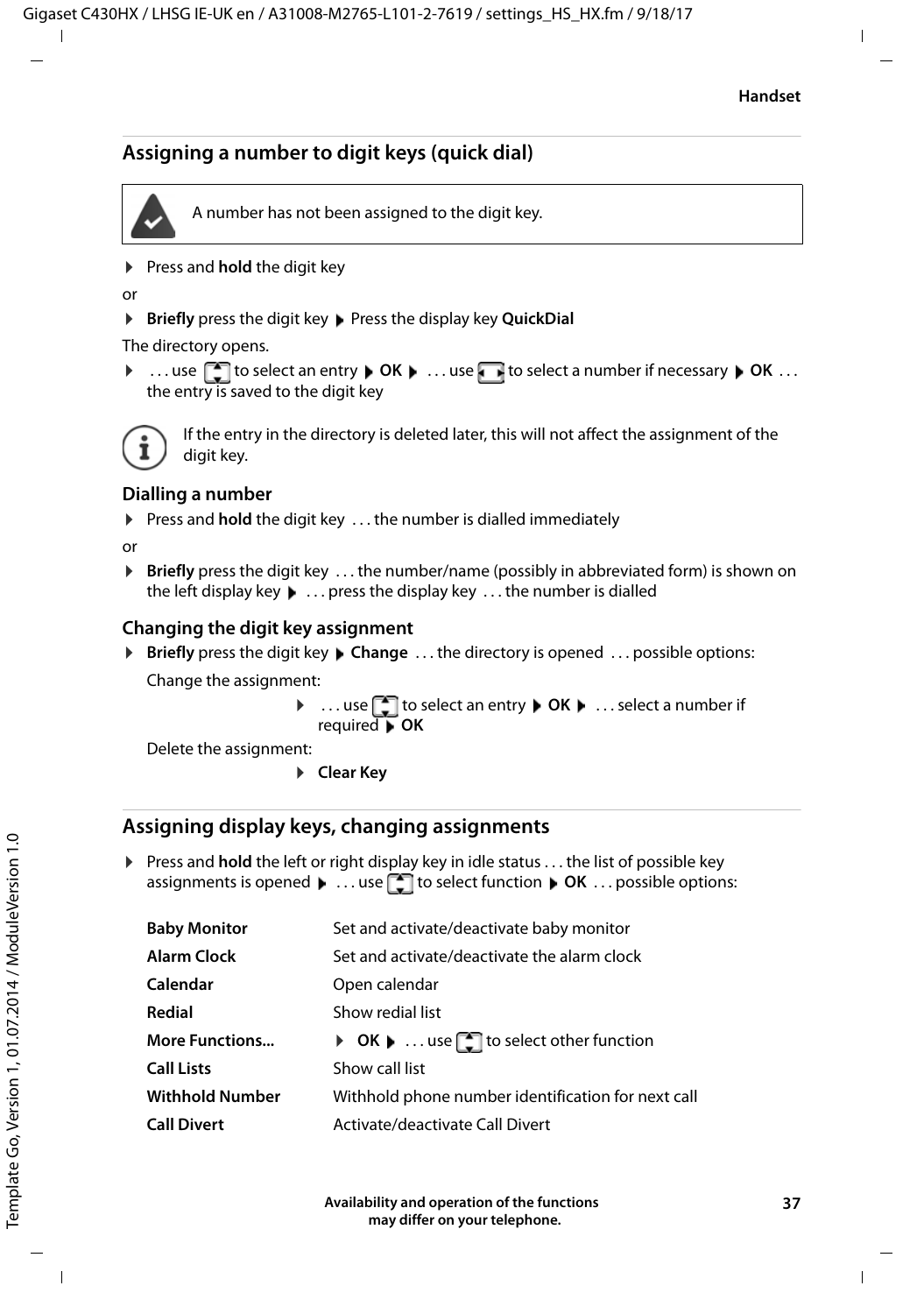# <span id="page-36-0"></span>**Assigning a number to digit keys (quick dial)**



A number has not been assigned to the digit key.

▶ Press and **hold** the digit key

 $\Omega$ 

▶ **Briefly** press the digit key ▶ Press the display key **QuickDial** 

The directory opens.

▶ ...use **the select an entry ▶ OK ▶ ...use to select a number if necessary ▶ OK ...** the entry is saved to the digit key



If the entry in the directory is deleted later, this will not affect the assignment of the digit key.

### **Dialling a number**

▶ Press and **hold** the digit key . . . the number is dialled immediately

or

▶ **Briefly** press the digit key . . . the number/name (possibly in abbreviated form) is shown on the left display key. . . press the display key . . . the number is dialled

### **Changing the digit key assignment**

▶ **Briefly** press the digit key ▶ Change ... the directory is opened ... possible options: Change the assignment:

> ▶ ...use **the select an entry** ▶ OK ▶ ...select a number if required **OK**

Delete the assignment:

▶ Clear Key

### **Assigning display keys, changing assignments**

**• Press and hold** the left or right display key in idle status . . . the list of possible key assignments is opened  $\blacktriangleright$  ... use **the select function**  $\blacktriangleright$  **OK** ... possible options:

| Set and activate/deactivate baby monitor           |
|----------------------------------------------------|
| Set and activate/deactivate the alarm clock        |
| Open calendar                                      |
| Show redial list                                   |
| ▶ OK ▶  use contract other function                |
| Show call list                                     |
| Withhold phone number identification for next call |
| Activate/deactivate Call Divert                    |
|                                                    |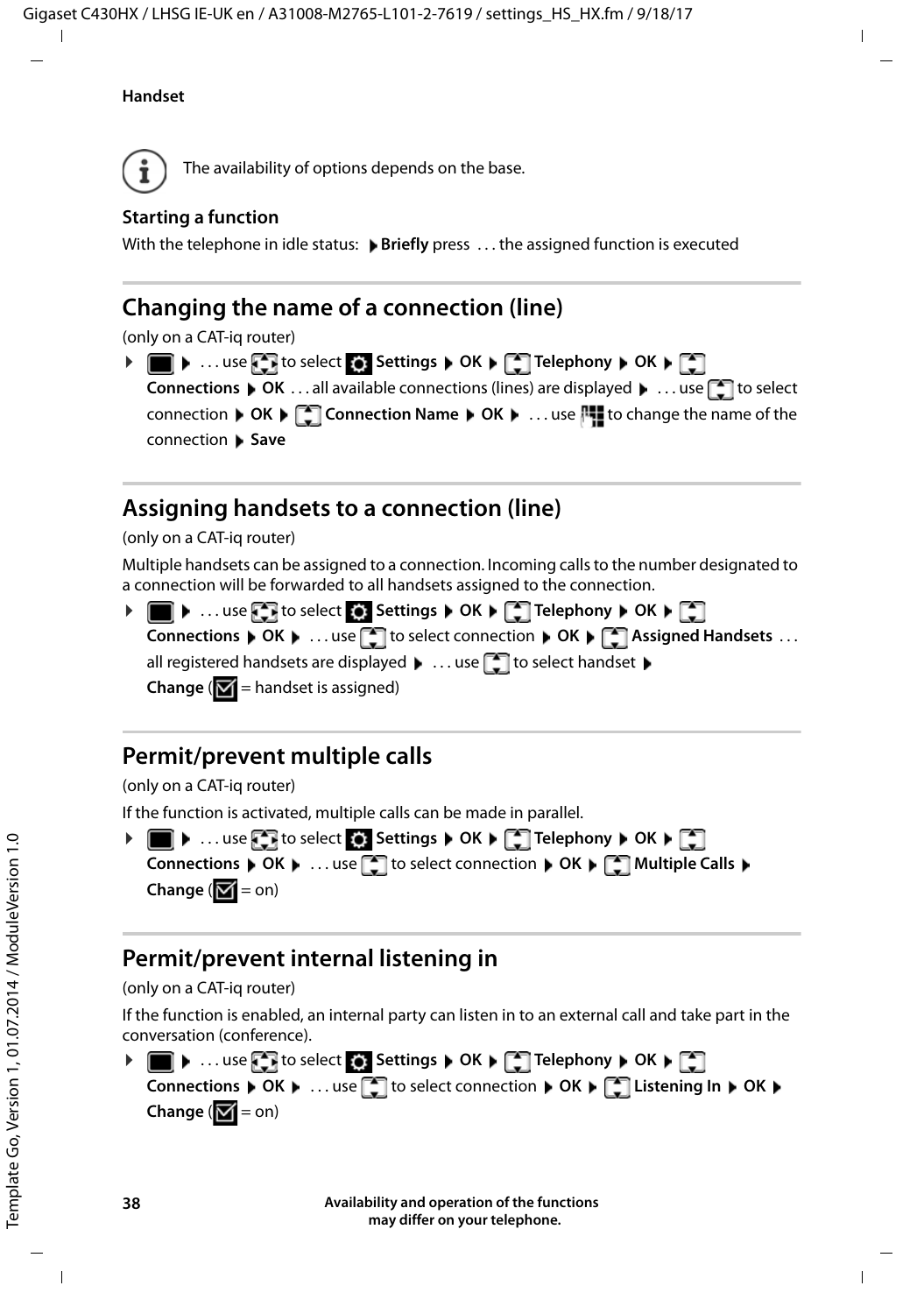#### **Handset**



<span id="page-37-1"></span>The availability of options depends on the base.

### **Starting a function**

With the telephone in idle status: **Briefly** press ... the assigned function is executed

# **Changing the name of a connection (line)**

(only on a CAT-iq router)

<span id="page-37-3"></span> $\triangleright$   $\blacksquare$   $\triangleright$  ... use  $\blacksquare$  to select  $\lozenge$  Settings  $\triangleright$  OK  $\triangleright$   $\blacksquare$  Telephony  $\triangleright$  OK  $\triangleright$   $\blacksquare$ **Connections ▶ OK ...all available connections (lines) are displayed ▶ ... use to select** connection **▶ OK ▶ Connection Name ▶ OK ▶ ... use House** to change the name of the connection **Save**

# <span id="page-37-0"></span>**Assigning handsets to a connection (line)**

(only on a CAT-iq router)

Multiple handsets can be assigned to a connection. Incoming calls to the number designated to a connection will be forwarded to all handsets assigned to the connection.

**▶ ■ ▶ ...use to select**  $\bullet$  **Settings ▶ OK ▶ CO Telephony ▶ OK ▶ CO Connections**  $\triangleright$  OK  $\triangleright$  ... use  $\begin{bmatrix} \cdot \\ \cdot \end{bmatrix}$  to select connection  $\triangleright$  OK  $\triangleright$   $\begin{bmatrix} \cdot \\ \cdot \end{bmatrix}$  Assigned Handsets ... all registered handsets are displayed  $\blacktriangleright$  ... use  $\begin{array}{|c|c|}\hline \quad\bullet\end{array}$  to select handset  $\blacktriangleright$ **Change** ( $\mathbf{V}$  = handset is assigned)

# <span id="page-37-4"></span>**Permit/prevent multiple calls**

(only on a CAT-iq router)

If the function is activated, multiple calls can be made in parallel.



# <span id="page-37-2"></span>**Permit/prevent internal listening in**

### (only on a CAT-iq router)

If the function is enabled, an internal party can listen in to an external call and take part in the conversation (conference).

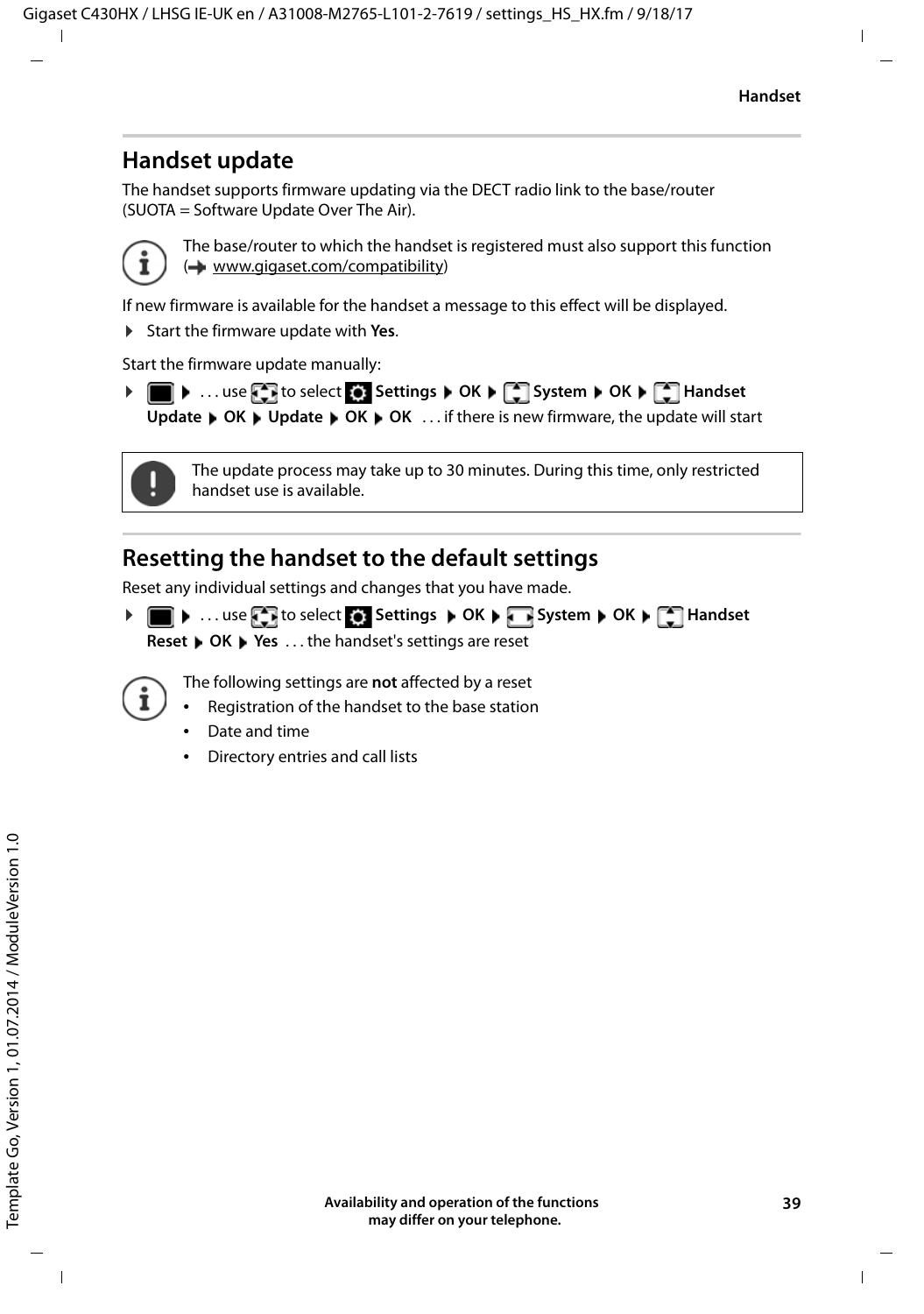# **Handset update**

<span id="page-38-2"></span><span id="page-38-0"></span>The handset supports firmware updating via the DECT radio link to the base/router (SUOTA = Software Update Over The Air).



The base/router to which the handset is registered must also support this function (**+** [www.gigaset.com/compatibility](http://www.gigaset.com/compatibility))

If new firmware is available for the handset a message to this effect will be displayed.

▶ Start the firmware update with Yes.

Start the firmware update manually:

**▶ ■ ▶ ... use to select Settings ▶ OK ▶ COSYStem ▶ OK ▶ CO Handset Update ▶ OK ▶ Update ▶ OK ▶ OK ... if there is new firmware, the update will start** 



The update process may take up to 30 minutes. During this time, only restricted handset use is available.

# <span id="page-38-1"></span>**Resetting the handset to the default settings**

Reset any individual settings and changes that you have made.

**▶ ■ ▶ ...use to select Gettings ▶ OK ▶ Bystem ▶ OK ▶ CHAndset Reset ▶ OK ▶ Yes ... the handset's settings are reset** 

The following settings are **not** affected by a reset

- Registration of the handset to the base station
- Date and time
- Directory entries and call lists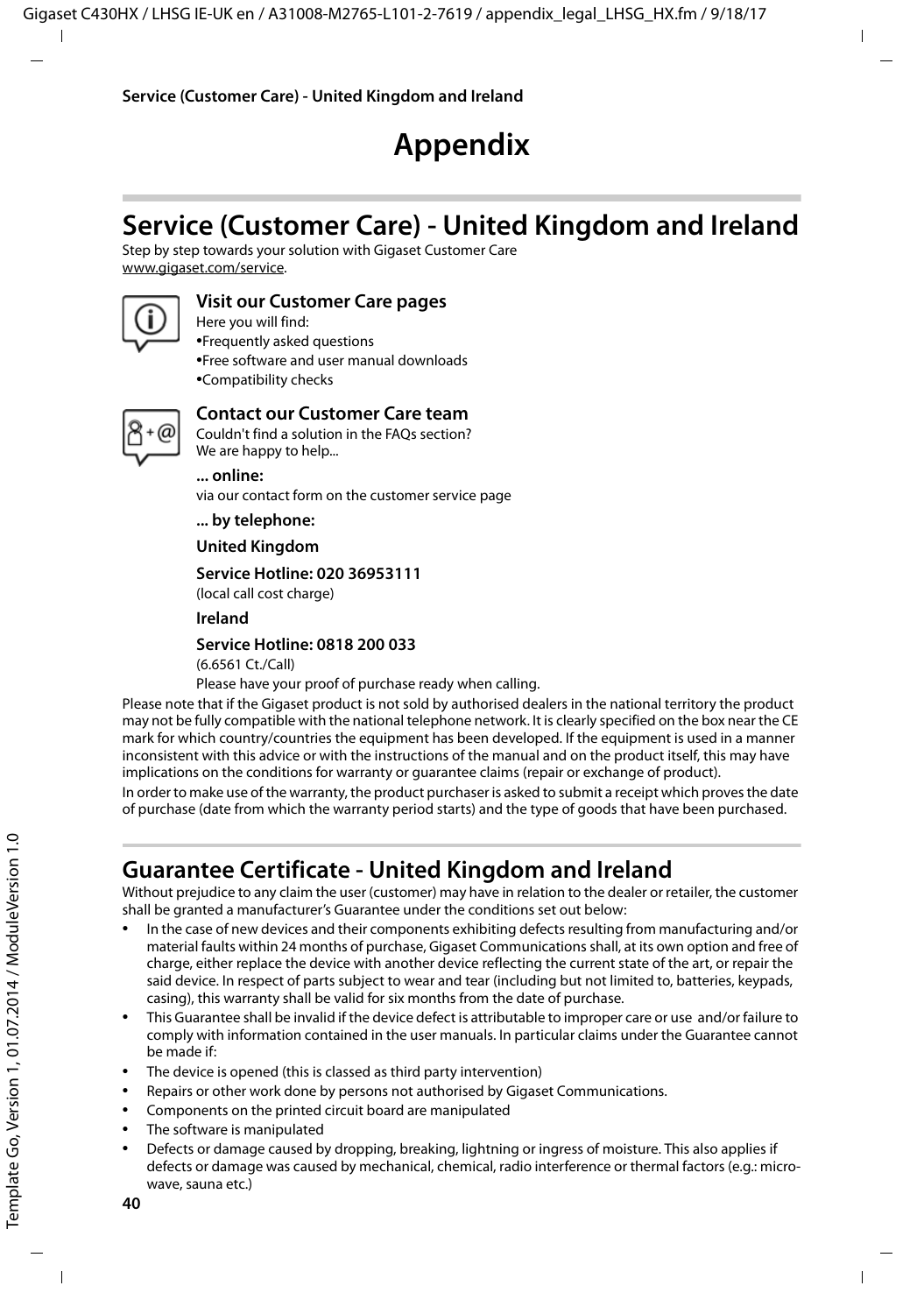# **Appendix**

# <span id="page-39-2"></span><span id="page-39-1"></span><span id="page-39-0"></span>**Service (Customer Care) - United Kingdom and Ireland**

[Step by step towards your solution with Gigaset Customer Care](http://www.gigaset.com/service)  [w](http://www.gigaset.com/service)ww.gigaset.com/service.



### **Visit our Customer Care pages**

Here you will find: •Frequently asked questions •Free software and user manual downloads •Compatibility checks



### **Contact our Customer Care team**

Couldn't find a solution in the FAQs section? We are happy to help...

**... online:** 

via our contact form on the customer service page

**... by telephone:** 

**United Kingdom** 

#### **Service Hotline: 020 36953111**

(local call cost charge)

**Ireland**

#### **Service Hotline: 0818 200 033**

(6.6561 Ct./Call)

Please have your proof of purchase ready when calling.

Please note that if the Gigaset product is not sold by authorised dealers in the national territory the product may not be fully compatible with the national telephone network. It is clearly specified on the box near the CE mark for which country/countries the equipment has been developed. If the equipment is used in a manner inconsistent with this advice or with the instructions of the manual and on the product itself, this may have implications on the conditions for warranty or guarantee claims (repair or exchange of product).

In order to make use of the warranty, the product purchaser is asked to submit a receipt which proves the date of purchase (date from which the warranty period starts) and the type of goods that have been purchased.

# <span id="page-39-3"></span>**Guarantee Certificate - United Kingdom and Ireland**

Without prejudice to any claim the user (customer) may have in relation to the dealer or retailer, the customer shall be granted a manufacturer's Guarantee under the conditions set out below:

- In the case of new devices and their components exhibiting defects resulting from manufacturing and/or material faults within 24 months of purchase, Gigaset Communications shall, at its own option and free of charge, either replace the device with another device reflecting the current state of the art, or repair the said device. In respect of parts subject to wear and tear (including but not limited to, batteries, keypads, casing), this warranty shall be valid for six months from the date of purchase.
- This Guarantee shall be invalid if the device defect is attributable to improper care or use and/or failure to comply with information contained in the user manuals. In particular claims under the Guarantee cannot be made if:
- The device is opened (this is classed as third party intervention)
- Repairs or other work done by persons not authorised by Gigaset Communications.
- Components on the printed circuit board are manipulated
- The software is manipulated
- Defects or damage caused by dropping, breaking, lightning or ingress of moisture. This also applies if defects or damage was caused by mechanical, chemical, radio interference or thermal factors (e.g.: microwave, sauna etc.)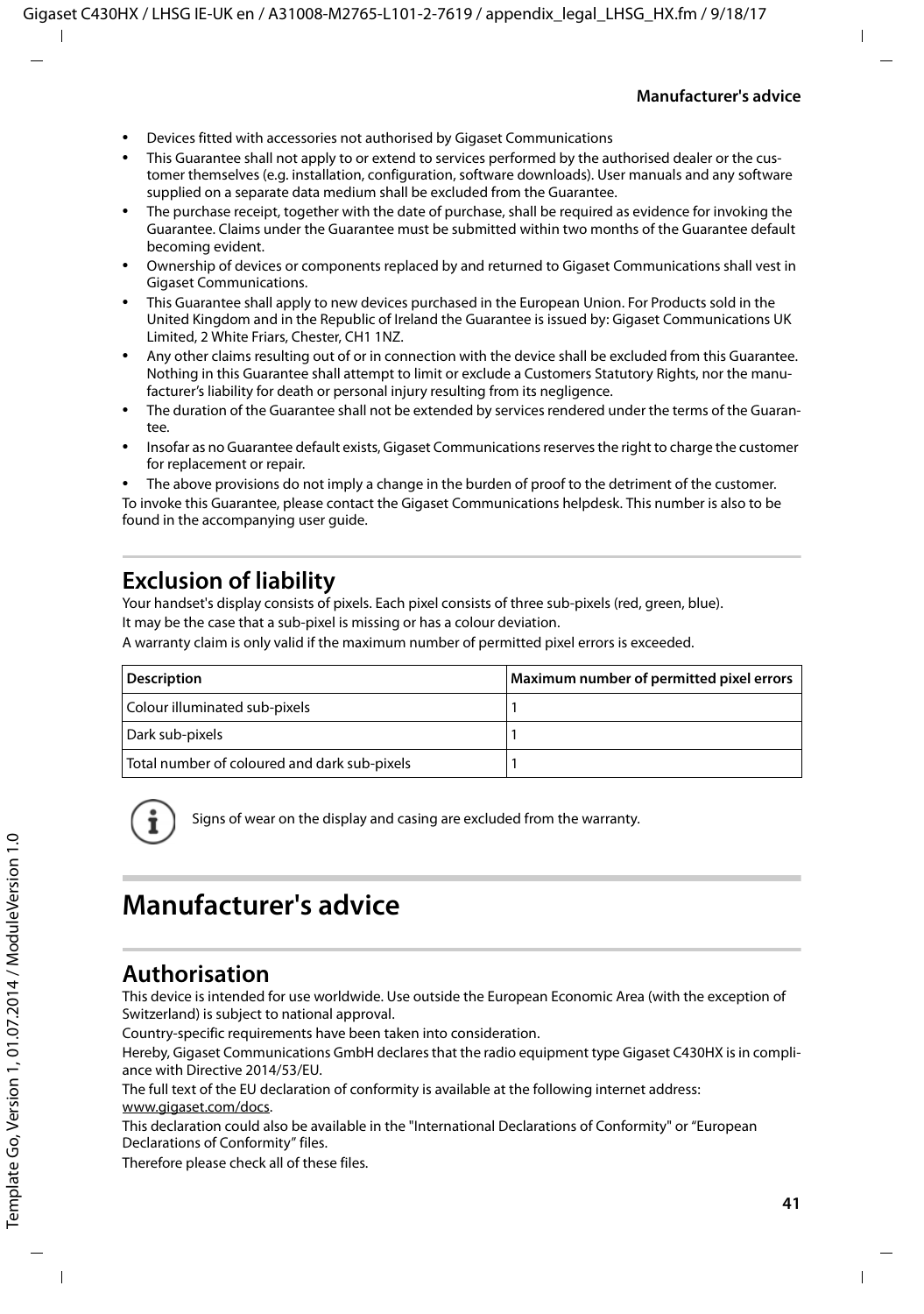- Devices fitted with accessories not authorised by Gigaset Communications
- This Guarantee shall not apply to or extend to services performed by the authorised dealer or the customer themselves (e.g. installation, configuration, software downloads). User manuals and any software supplied on a separate data medium shall be excluded from the Guarantee.
- The purchase receipt, together with the date of purchase, shall be required as evidence for invoking the Guarantee. Claims under the Guarantee must be submitted within two months of the Guarantee default becoming evident.
- Ownership of devices or components replaced by and returned to Gigaset Communications shall vest in Gigaset Communications.
- This Guarantee shall apply to new devices purchased in the European Union. For Products sold in the United Kingdom and in the Republic of Ireland the Guarantee is issued by: Gigaset Communications UK Limited, 2 White Friars, Chester, CH1 1NZ.
- Any other claims resulting out of or in connection with the device shall be excluded from this Guarantee. Nothing in this Guarantee shall attempt to limit or exclude a Customers Statutory Rights, nor the manufacturer's liability for death or personal injury resulting from its negligence.
- The duration of the Guarantee shall not be extended by services rendered under the terms of the Guarantee.
- Insofar as no Guarantee default exists, Gigaset Communications reserves the right to charge the customer for replacement or repair.
- The above provisions do not imply a change in the burden of proof to the detriment of the customer.

To invoke this Guarantee, please contact the Gigaset Communications helpdesk. This number is also to be found in the accompanying user guide.

# <span id="page-40-2"></span>**Exclusion of liability**

Your handset's display consists of pixels. Each pixel consists of three sub-pixels (red, green, blue). It may be the case that a sub-pixel is missing or has a colour deviation.

A warranty claim is only valid if the maximum number of permitted pixel errors is exceeded.

| <b>Description</b>                           | Maximum number of permitted pixel errors |
|----------------------------------------------|------------------------------------------|
| Colour illuminated sub-pixels                |                                          |
| Dark sub-pixels                              |                                          |
| Total number of coloured and dark sub-pixels |                                          |

Signs of wear on the display and casing are excluded from the warranty.

# <span id="page-40-3"></span><span id="page-40-0"></span>**Manufacturer's advice**

# <span id="page-40-1"></span>**Authorisation**

This device is intended for use worldwide. Use outside the European Economic Area (with the exception of Switzerland) is subject to national approval.

Country-specific requirements have been taken into consideration.

Hereby, Gigaset Communications GmbH declares that the radio equipment type Gigaset C430HX is in compliance with Directive 2014/53/EU.

The full text of the EU declaration of conformity is available at the following internet address: [www.gigaset.com/docs.](http://www.gigaset.com/docs)

This declaration could also be available in the "International Declarations of Conformity" or "European Declarations of Conformity" files.

Therefore please check all of these files.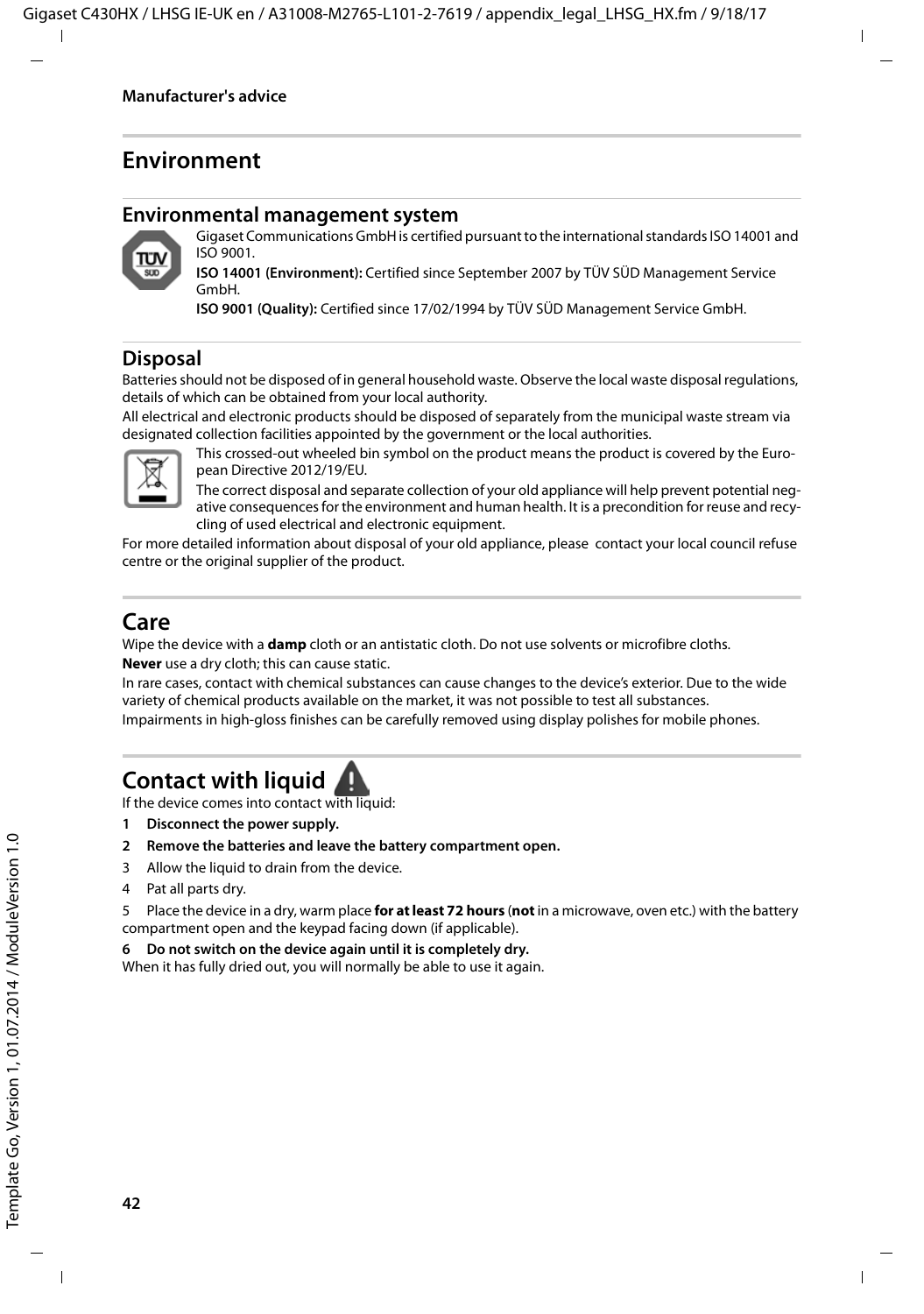# <span id="page-41-3"></span>**Environment**

#### **Environmental management system**



Gigaset Communications GmbH is certified pursuant to the international standards ISO 14001 and ISO 9001.

**ISO 14001 (Environment):** Certified since September 2007 by TÜV SÜD Management Service GmbH.

**ISO 9001 (Quality):** Certified since 17/02/1994 by TÜV SÜD Management Service GmbH.

### <span id="page-41-2"></span>**Disposal**

Batteries should not be disposed of in general household waste. Observe the local waste disposal regulations, details of which can be obtained from your local authority.

All electrical and electronic products should be disposed of separately from the municipal waste stream via designated collection facilities appointed by the government or the local authorities.



This crossed-out wheeled bin symbol on the product means the product is covered by the European Directive 2012/19/EU.

The correct disposal and separate collection of your old appliance will help prevent potential negative consequences for the environment and human health. It is a precondition for reuse and recycling of used electrical and electronic equipment.

For more detailed information about disposal of your old appliance, please contact your local council refuse centre or the original supplier of the product.

# <span id="page-41-0"></span>**Care**

Wipe the device with a **damp** cloth or an antistatic cloth. Do not use solvents or microfibre cloths. **Never** use a dry cloth; this can cause static.

In rare cases, contact with chemical substances can cause changes to the device's exterior. Due to the wide variety of chemical products available on the market, it was not possible to test all substances.

Impairments in high-gloss finishes can be carefully removed using display polishes for mobile phones.

# <span id="page-41-1"></span>**Contact with liquid**

If the device comes into contact with liquid:

- **1 Disconnect the power supply.**
- **2 Remove the batteries and leave the battery compartment open.**
- 3 Allow the liquid to drain from the device.
- 4 Pat all parts dry.

5 Place the device in a dry, warm place **for at least 72 hours** (**not** in a microwave, oven etc.) with the battery compartment open and the keypad facing down (if applicable).

#### **6 Do not switch on the device again until it is completely dry.**

When it has fully dried out, you will normally be able to use it again.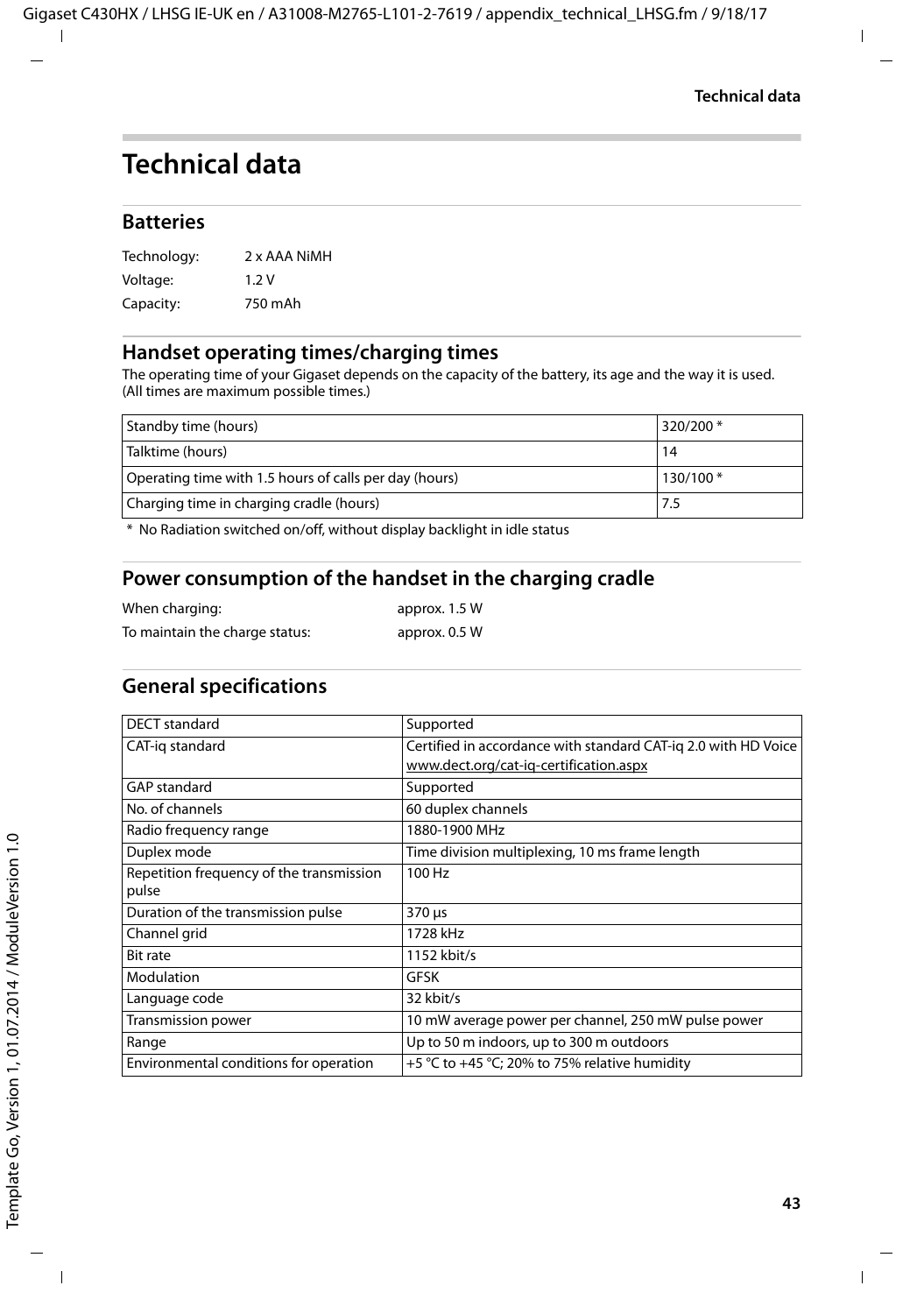# <span id="page-42-2"></span><span id="page-42-0"></span>**Technical data**

### **Batteries**

| Technology: | 2 x AAA NiMH |
|-------------|--------------|
| Voltage:    | 1.2V         |
| Capacity:   | 750 mAh      |

### <span id="page-42-1"></span>**Handset operating times/charging times**

The operating time of your Gigaset depends on the capacity of the battery, its age and the way it is used. (All times are maximum possible times.)

| Standby time (hours)                                   | 320/200 * |
|--------------------------------------------------------|-----------|
| Talktime (hours)                                       | 14        |
| Operating time with 1.5 hours of calls per day (hours) | 130/100*  |
| Charging time in charging cradle (hours)               | 7.5       |

\* No Radiation switched on/off, without display backlight in idle status

### **Power consumption of the handset in the charging cradle**

| When charging:                 | approx. 1.5 W |
|--------------------------------|---------------|
| To maintain the charge status: | approx. 0.5 W |

### **General specifications**

| DECT standard                            | Supported                                                      |
|------------------------------------------|----------------------------------------------------------------|
| CAT-ig standard                          | Certified in accordance with standard CAT-iq 2.0 with HD Voice |
|                                          | www.dect.org/cat-ig-certification.aspx                         |
| <b>GAP</b> standard                      | Supported                                                      |
| No. of channels                          | 60 duplex channels                                             |
| Radio frequency range                    | 1880-1900 MHz                                                  |
| Duplex mode                              | Time division multiplexing, 10 ms frame length                 |
| Repetition frequency of the transmission | 100 Hz                                                         |
| pulse                                    |                                                                |
| Duration of the transmission pulse       | 370 µs                                                         |
| Channel grid                             | 1728 kHz                                                       |
| <b>Bit rate</b>                          | 1152 kbit/s                                                    |
| Modulation                               | GFSK                                                           |
| Language code                            | 32 kbit/s                                                      |
| Transmission power                       | 10 mW average power per channel, 250 mW pulse power            |
| Range                                    | Up to 50 m indoors, up to 300 m outdoors                       |
| Environmental conditions for operation   | +5 °C to +45 °C; 20% to 75% relative humidity                  |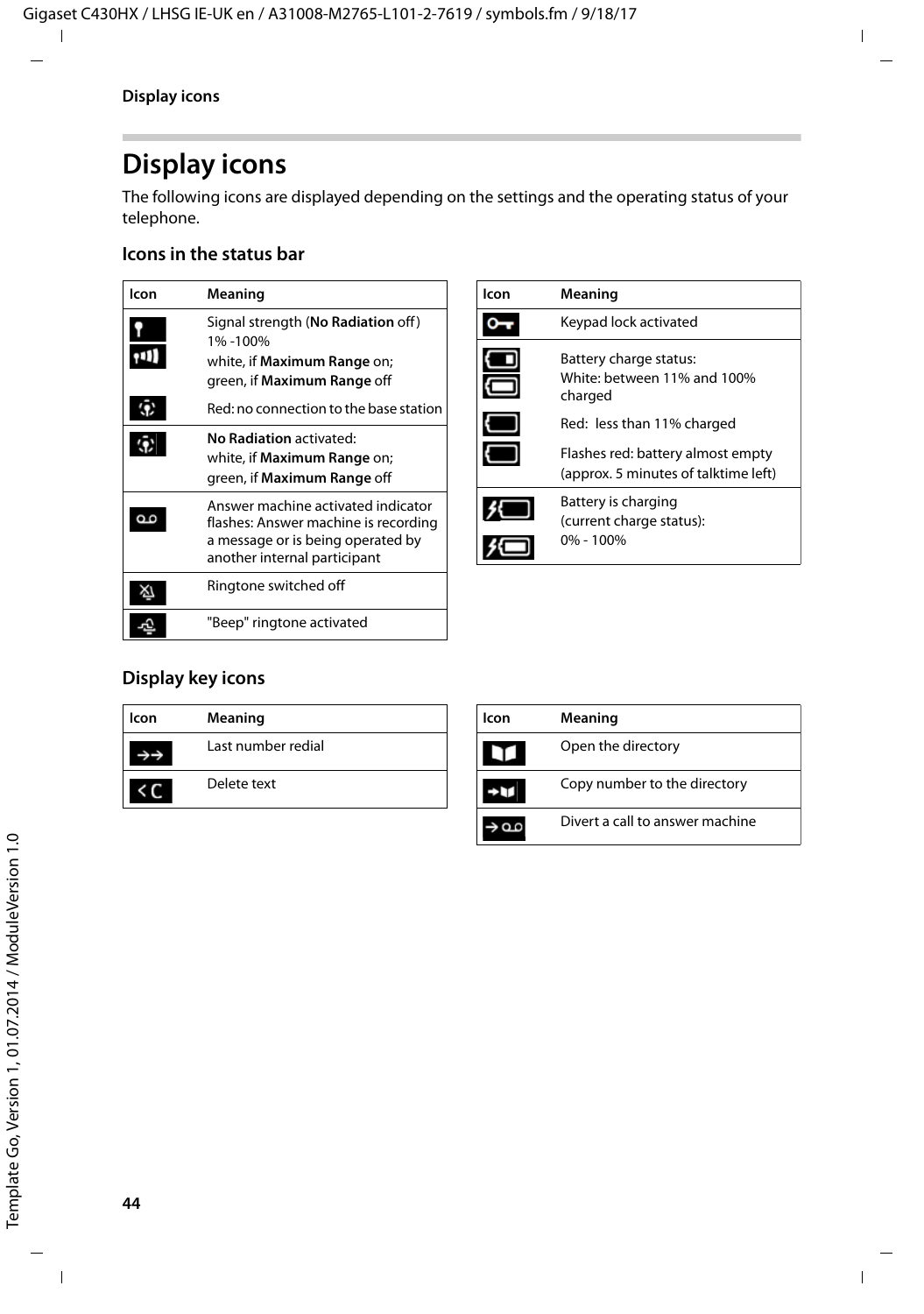# <span id="page-43-3"></span><span id="page-43-0"></span>**Display icons**

The following icons are displayed depending on the settings and the operating status of your telephone.

### <span id="page-43-4"></span>**Icons in the status bar**

<span id="page-43-5"></span>

| lcon | Meaning                                                                                                                                         |
|------|-------------------------------------------------------------------------------------------------------------------------------------------------|
|      | Signal strength (No Radiation off)<br>1%-100%<br>white, if <b>Maximum Range</b> on;<br>green, if Maximum Range off                              |
|      | Red: no connection to the base station                                                                                                          |
| ø    | No Radiation activated:<br>white, if <b>Maximum Range</b> on;<br>green, if Maximum Range off                                                    |
|      | Answer machine activated indicator<br>flashes: Answer machine is recording<br>a message or is being operated by<br>another internal participant |
|      | Ringtone switched off                                                                                                                           |
|      | "Beep" ringtone activated                                                                                                                       |

<span id="page-43-2"></span>

| lcon | Meaning                                                                                                                                                                     |
|------|-----------------------------------------------------------------------------------------------------------------------------------------------------------------------------|
|      | Keypad lock activated                                                                                                                                                       |
|      | Battery charge status:<br>White: between 11% and 100%<br>charged<br>Red: less than 11% charged<br>Flashes red: battery almost empty<br>(approx. 5 minutes of talktime left) |
|      | Battery is charging<br>(current charge status):<br>$0\% - 100\%$                                                                                                            |

### <span id="page-43-1"></span>**Display key icons**

| lcon | Meaning            |
|------|--------------------|
|      | Last number redial |
|      | Delete text        |

| lcon | Meaning                         |
|------|---------------------------------|
|      | Open the directory              |
|      | Copy number to the directory    |
|      | Divert a call to answer machine |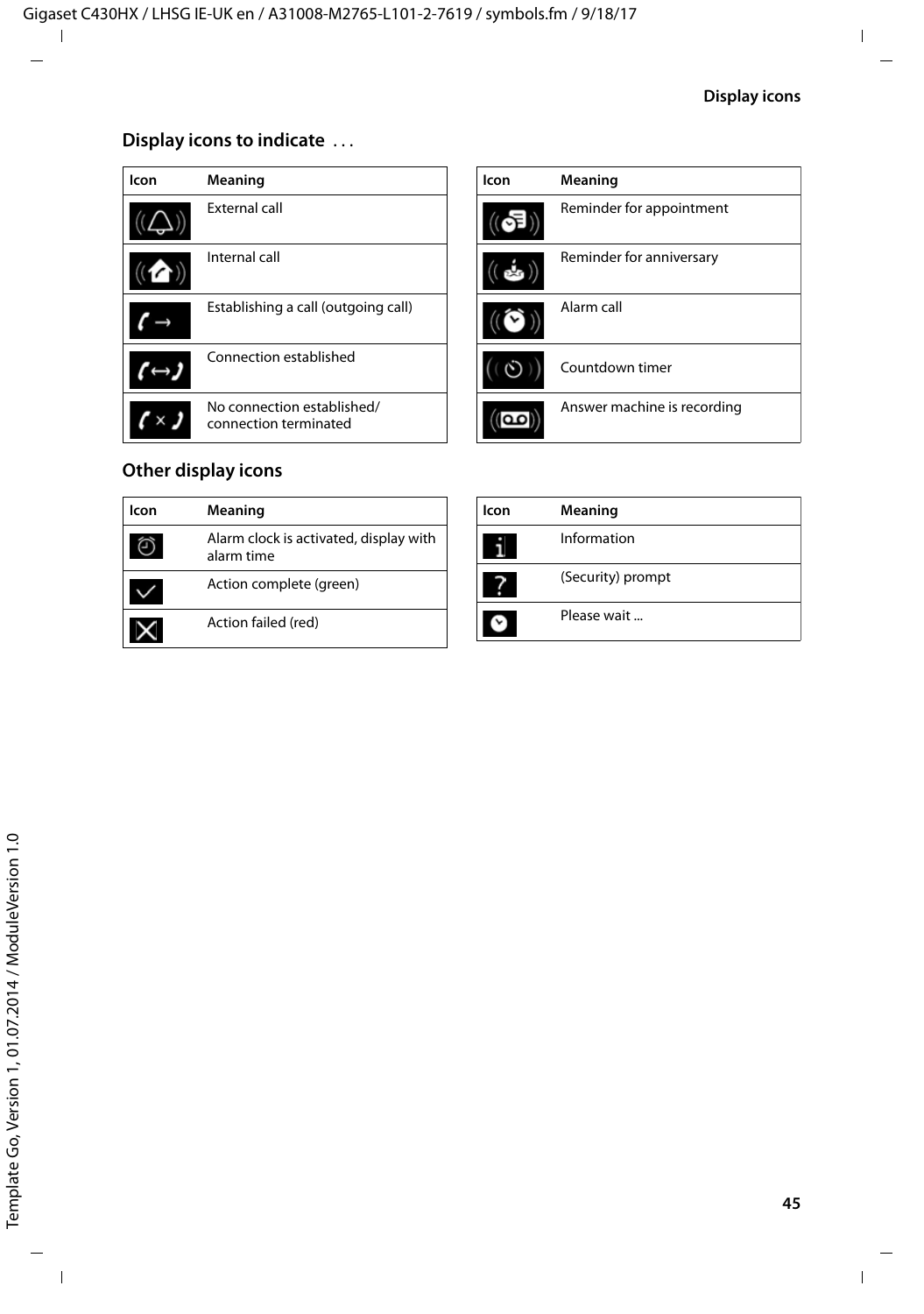### <span id="page-44-0"></span>**Display icons to indicate** . . .

| lcon | Meaning                                             |
|------|-----------------------------------------------------|
|      | External call                                       |
|      | Internal call                                       |
|      | Establishing a call (outgoing call)                 |
|      | Connection established                              |
|      | No connection established/<br>connection terminated |

| Icon       | Meaning                     |
|------------|-----------------------------|
| n          | Reminder for appointment    |
|            | Reminder for anniversary    |
|            | Alarm call                  |
| $\omega$ ) | Countdown timer             |
|            | Answer machine is recording |

# **Other display icons**

| lcon | Meaning                                              |
|------|------------------------------------------------------|
|      | Alarm clock is activated, display with<br>alarm time |
|      | Action complete (green)                              |
|      | Action failed (red)                                  |

| Icon | Meaning           |
|------|-------------------|
|      | Information       |
|      | (Security) prompt |
|      | Please wait       |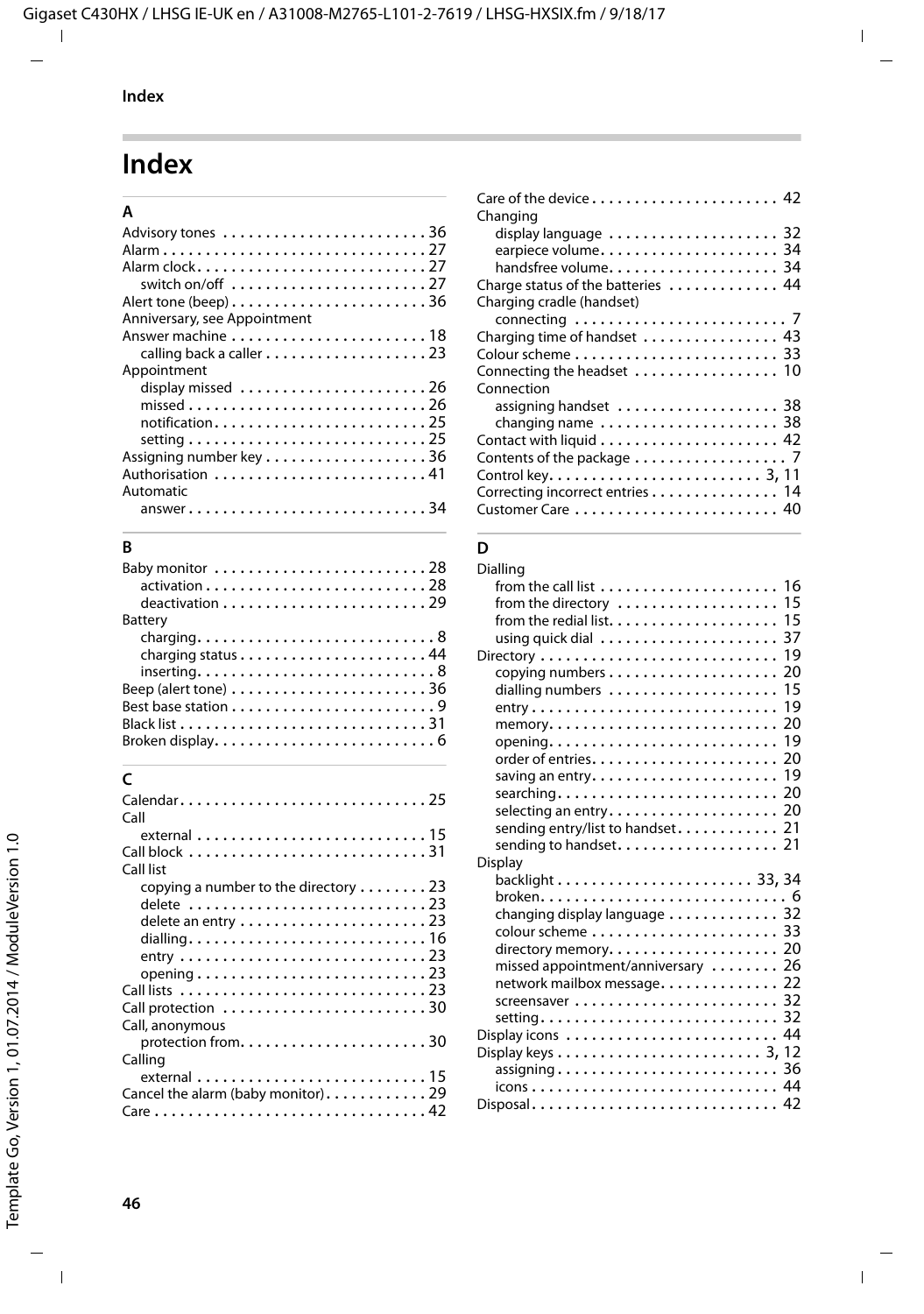# <span id="page-45-0"></span>**Index**

### **A**

| Alarm27                                                                     |
|-----------------------------------------------------------------------------|
| Alarm clock27                                                               |
|                                                                             |
| Alert tone (beep)36                                                         |
| Anniversary, see Appointment                                                |
|                                                                             |
|                                                                             |
| Appointment                                                                 |
| display missed 26                                                           |
|                                                                             |
| notification25                                                              |
|                                                                             |
| setting $\ldots \ldots \ldots \ldots \ldots \ldots \ldots \ldots \ldots 25$ |
| Assigning number key 36                                                     |
| Authorisation  41                                                           |
| Automatic                                                                   |
| $answer \dots \dots \dots \dots \dots \dots \dots \dots \dots \dots 34$     |

# **B**

| $\alpha$ ctivation $\ldots \ldots \ldots \ldots \ldots \ldots \ldots \ldots$<br>$deactivation \ldots \ldots \ldots \ldots \ldots \ldots$ |
|------------------------------------------------------------------------------------------------------------------------------------------|
| Battery                                                                                                                                  |
|                                                                                                                                          |
|                                                                                                                                          |
| $inserting. \ldots \ldots \ldots \ldots \ldots \ldots \ldots \ldots \ldots 8$                                                            |
| Beep (alert tone) $\dots \dots \dots \dots \dots \dots \dots \dots 36$                                                                   |
|                                                                                                                                          |
|                                                                                                                                          |
|                                                                                                                                          |

# **C**

| Calendar25<br>Call                                                   |  |
|----------------------------------------------------------------------|--|
|                                                                      |  |
|                                                                      |  |
| Call list                                                            |  |
| copying a number to the directory $\ldots \ldots$ . 23               |  |
| delete 23                                                            |  |
|                                                                      |  |
|                                                                      |  |
|                                                                      |  |
| opening $\ldots \ldots \ldots \ldots \ldots \ldots \ldots \ldots 23$ |  |
|                                                                      |  |
|                                                                      |  |
| Call, anonymous                                                      |  |
|                                                                      |  |
| Calling                                                              |  |
|                                                                      |  |
| Cancel the alarm (baby monitor). 29                                  |  |
|                                                                      |  |
|                                                                      |  |

| Changing                                                        |
|-----------------------------------------------------------------|
|                                                                 |
| display language  32                                            |
| earpiece volume 34                                              |
| handsfree volume 34                                             |
| Charge status of the batteries  44                              |
| Charging cradle (handset)                                       |
| connecting $\ldots \ldots \ldots \ldots \ldots \ldots \ldots$ 7 |
| Charging time of handset  43                                    |
|                                                                 |
| Connecting the headset  10                                      |
| Connection                                                      |
| assigning handset  38                                           |
| changing name  38                                               |
|                                                                 |
| Contents of the package $\ldots \ldots \ldots \ldots \ldots$    |
|                                                                 |
| Correcting incorrect entries 14                                 |
|                                                                 |

### **D**

| Dialling                           |  |
|------------------------------------|--|
|                                    |  |
| from the directory  15             |  |
|                                    |  |
|                                    |  |
|                                    |  |
|                                    |  |
| dialling numbers  15               |  |
|                                    |  |
|                                    |  |
|                                    |  |
|                                    |  |
|                                    |  |
|                                    |  |
| selecting an entry 20              |  |
| sending entry/list to handset 21   |  |
| sending to handset. 21             |  |
| <b>Display</b>                     |  |
|                                    |  |
|                                    |  |
| changing display language 32       |  |
|                                    |  |
|                                    |  |
| missed appointment/anniversary  26 |  |
| network mailbox message. 22        |  |
|                                    |  |
| setting 32                         |  |
|                                    |  |
|                                    |  |
|                                    |  |
|                                    |  |
|                                    |  |
| Disposal 42                        |  |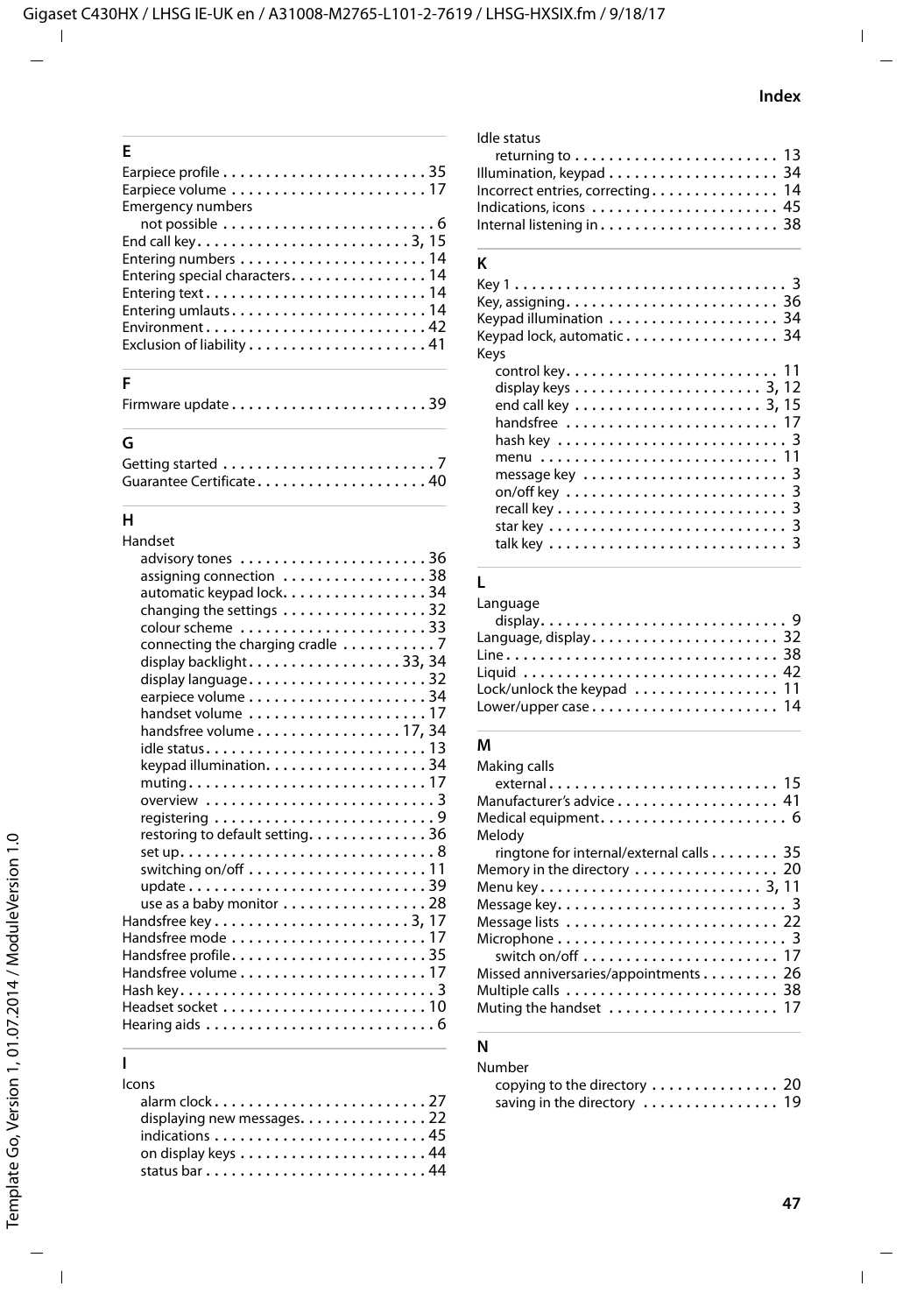| E                                                                        |
|--------------------------------------------------------------------------|
|                                                                          |
|                                                                          |
| <b>Emergency numbers</b>                                                 |
|                                                                          |
| End call key3, 15                                                        |
|                                                                          |
| Entering special characters 14                                           |
| Entering text14                                                          |
|                                                                          |
| $Environment \ldots \ldots \ldots \ldots \ldots \ldots \ldots \ldots 42$ |
| Exclusion of liability41                                                 |
|                                                                          |

### **F**

| Firmware update39 |  |  |  |  |  |  |  |  |  |  |  |  |  |  |  |  |  |  |  |  |  |  |
|-------------------|--|--|--|--|--|--|--|--|--|--|--|--|--|--|--|--|--|--|--|--|--|--|
|-------------------|--|--|--|--|--|--|--|--|--|--|--|--|--|--|--|--|--|--|--|--|--|--|

### **G**

| Guarantee Certificate 40 |  |  |  |  |  |  |  |  |  |  |
|--------------------------|--|--|--|--|--|--|--|--|--|--|

# **H**

| Handset                                                                           |
|-----------------------------------------------------------------------------------|
|                                                                                   |
| assigning connection 38                                                           |
| automatic keypad lock. 34                                                         |
| changing the settings 32                                                          |
| colour scheme 33                                                                  |
| connecting the charging cradle 7                                                  |
| display backlight33, 34                                                           |
| display language32                                                                |
|                                                                                   |
| handset volume 17                                                                 |
| handsfree volume 17, 34                                                           |
|                                                                                   |
|                                                                                   |
| $muting \ldots \ldots \ldots \ldots \ldots \ldots \ldots \ldots \ldots \ldots 17$ |
| overview $\ldots \ldots \ldots \ldots \ldots \ldots \ldots$                       |
|                                                                                   |
| restoring to default setting. 36                                                  |
|                                                                                   |
| switching on/off $\ldots \ldots \ldots \ldots \ldots \ldots \ldots$ 11            |
| update39                                                                          |
| use as a baby monitor 28                                                          |
|                                                                                   |
| Handsfree mode $\ldots \ldots \ldots \ldots \ldots \ldots \ldots 17$              |
| $\,$ Handsfree profile $\,.\,.\,.\,.\,.\,.\,.\,.\,.\,.\,.\,.\,.\,.\,.\,35$        |
| Handsfree volume $\ldots \ldots \ldots \ldots \ldots \ldots \ldots 17$            |
|                                                                                   |
| Headset socket $\dots\dots\dots\dots\dots\dots\dots\dots$                         |
|                                                                                   |
|                                                                                   |

### **I**

### Icons alarm clock . . . . . . . . . . . . . . . . . . . . . . . . . [27](#page-26-4) displaying new messages. . . . . . . . . . . . . . . [22](#page-21-2) indications . . . . . . . . . . . . . . . . . . . . . . . . . [45](#page-44-0) on display keys . . . . . . . . . . . . . . . . . . . . . . [44](#page-43-1) status bar . . . . . . . . . . . . . . . . . . . . . . . . . . [44](#page-43-4)

#### Idle status

| returning to $\ldots \ldots \ldots \ldots \ldots \ldots \ldots$ 13 |  |
|--------------------------------------------------------------------|--|
|                                                                    |  |
| Incorrect entries, correcting 14                                   |  |
| Indications, icons  45                                             |  |
|                                                                    |  |
|                                                                    |  |

### **K**

| Keys | Keypad illumination  34<br>Keypad lock, automatic 34                      |  |  |  |  |  |  |  |
|------|---------------------------------------------------------------------------|--|--|--|--|--|--|--|
|      | display keys $\dots\dots\dots\dots\dots\dots\dots$ 3, 12<br>handsfree  17 |  |  |  |  |  |  |  |
|      | menu  11                                                                  |  |  |  |  |  |  |  |

### **L**

| Language                                                       |  |
|----------------------------------------------------------------|--|
|                                                                |  |
|                                                                |  |
|                                                                |  |
|                                                                |  |
| Lock/unlock the keypad $\ldots \ldots \ldots \ldots \ldots$ 11 |  |
|                                                                |  |

### **M**

| Making calls                                                           |
|------------------------------------------------------------------------|
|                                                                        |
| Manufacturer's advice 41                                               |
|                                                                        |
| Melody                                                                 |
| ringtone for internal/external calls 35                                |
| Memory in the directory  20                                            |
|                                                                        |
|                                                                        |
| Message lists  22                                                      |
| Microphone $\ldots \ldots \ldots \ldots \ldots \ldots \ldots \ldots$ 3 |
| switch on/off $\ldots \ldots \ldots \ldots \ldots \ldots \ldots 17$    |
| Missed anniversaries/appointments 26                                   |
|                                                                        |
| Muting the handset  17                                                 |
|                                                                        |

### **N**

| Number                       |  |
|------------------------------|--|
| copying to the directory  20 |  |
| saving in the directory  19  |  |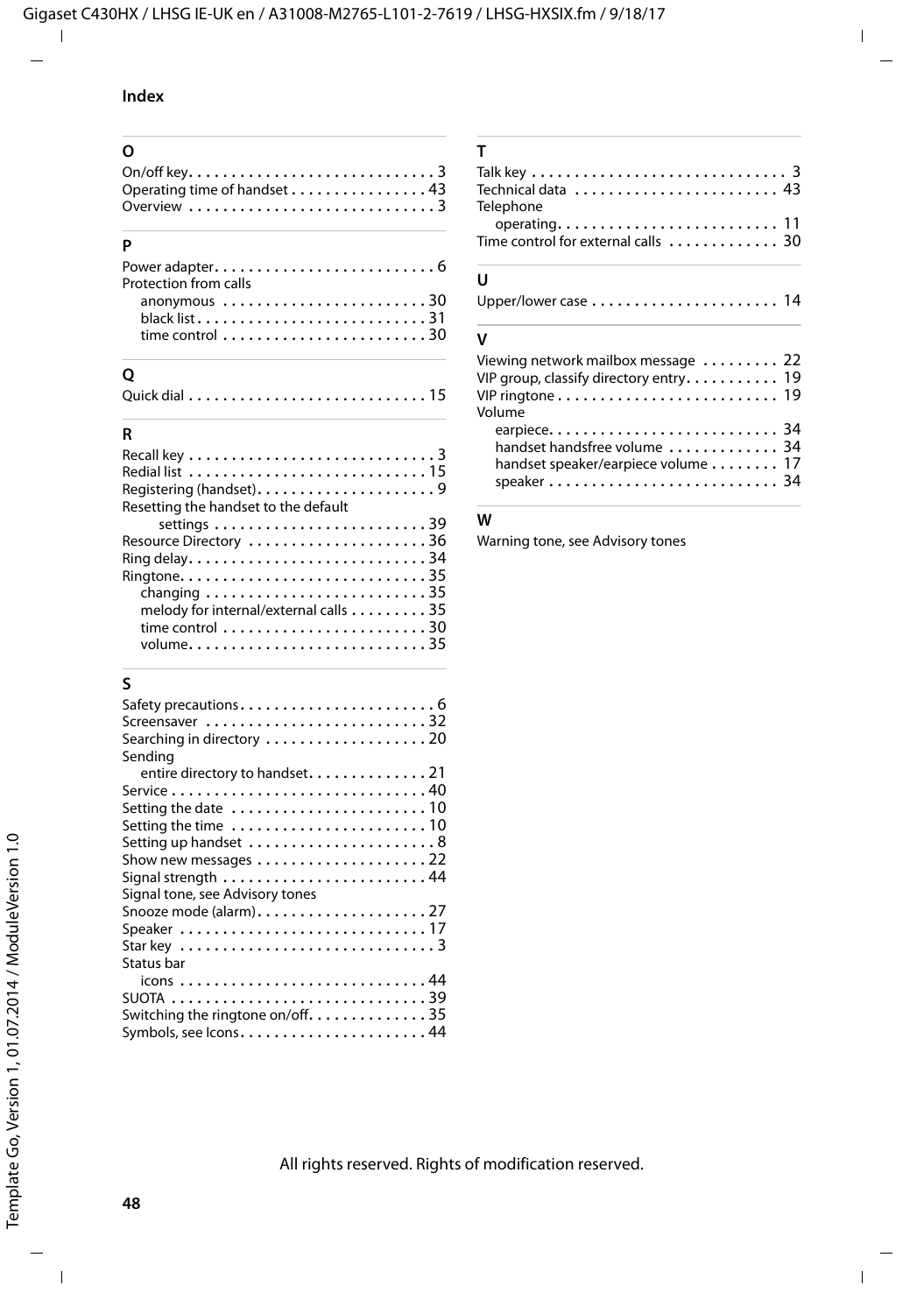### **Index**

| $\Omega$                                                                    |
|-----------------------------------------------------------------------------|
| On/off key. $\dots \dots \dots \dots \dots \dots \dots \dots \dots \dots$ 3 |
| Operating time of handset 43                                                |
| Overview $\ldots \ldots \ldots \ldots \ldots \ldots \ldots \ldots$          |
|                                                                             |

#### **P**

| Protection from calls                                              |  |
|--------------------------------------------------------------------|--|
| anonymous 30                                                       |  |
| time control $\ldots \ldots \ldots \ldots \ldots \ldots \ldots 30$ |  |

### **Q**

### **R**

| Resetting the handset to the default                                    |
|-------------------------------------------------------------------------|
| settings $\ldots \ldots \ldots \ldots \ldots \ldots \ldots \ldots 39$   |
| Resource Directory 36                                                   |
| Ring delay34                                                            |
|                                                                         |
| changing $\ldots \ldots \ldots \ldots \ldots \ldots \ldots \ldots$ . 35 |
| melody for internal/external calls 35                                   |
| time control $\ldots \ldots \ldots \ldots \ldots \ldots \ldots 30$      |
|                                                                         |
|                                                                         |

## **S**

| Screensaver 32                                                                   |
|----------------------------------------------------------------------------------|
|                                                                                  |
| Sendina                                                                          |
| entire directory to handset21                                                    |
| Service $\ldots \ldots \ldots \ldots \ldots \ldots \ldots \ldots \ldots$         |
|                                                                                  |
| Setting the time $\ldots \ldots \ldots \ldots \ldots \ldots \ldots 10$           |
|                                                                                  |
|                                                                                  |
|                                                                                  |
| Signal tone, see Advisory tones                                                  |
| Snooze mode (alarm)27                                                            |
|                                                                                  |
| Star key $\ldots \ldots \ldots \ldots \ldots \ldots \ldots \ldots \ldots \ldots$ |
| Status bar                                                                       |
|                                                                                  |
|                                                                                  |
| Switching the ringtone on/off35                                                  |
|                                                                                  |

### Talk key . . . . . . . . . . . . . . . . . . . . . . . . . . . . . . [3](#page-2-11) Technical data . . . . . . . . . . . . . . . . . . . . . . . . [43](#page-42-2) Telephone operating. . . . . . . . . . . . . . . . . . . . . . . . . . [11](#page-10-6) Time control for external calls .............. [30](#page-29-3)

### **U**

**T**

# **V**

| Viewing network mailbox message  22<br>VIP group, classify directory entry 19<br>VIP ringtone 19 |  |
|--------------------------------------------------------------------------------------------------|--|
| Volume                                                                                           |  |
|                                                                                                  |  |
| handset handsfree volume  34                                                                     |  |
| handset speaker/earpiece volume 17                                                               |  |
|                                                                                                  |  |

### **W**

[Warning tone, see Advisory tones](#page-35-2)